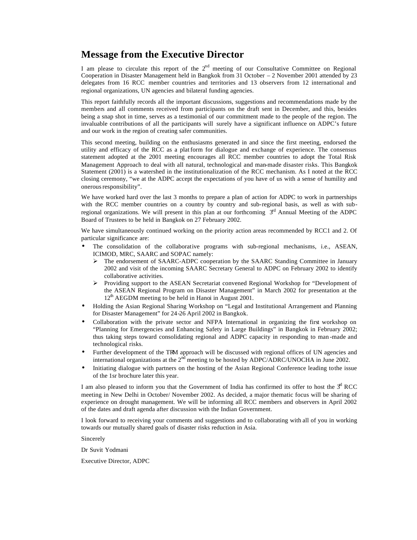# **Message from the Executive Director**

I am please to circulate this report of the  $2<sup>nd</sup>$  meeting of our Consultative Committee on Regional Cooperation in Disaster Management held in Bangkok from 31 October – 2 November 2001 attended by 23 delegates from 16 RCC member countries and territories and 13 observers from 12 international and regional organizations, UN agencies and bilateral funding agencies.

This report faithfully records all the important discussions, suggestions and recommendations made by the members and all comments received from participants on the draft sent in December, and this, besides being a snap shot in time, serves as a testimonial of our commitment made to the people of the region. The invaluable contributions of all the participants will surely have a significant influence on ADPC's future and our work in the region of creating safer communities.

This second meeting, building on the enthusiasms generated in and since the first meeting, endorsed the utility and efficacy of the RCC as a plat form for dialogue and exchange of experience. The consensus statement adopted at the 2001 meeting encourages all RCC member countries to adopt the Total Risk Management Approach to deal with all natural, technological and man-made disaster risks. This Bangkok Statement (2001) is a watershed in the institutionalization of the RCC mechanism. As I noted at the RCC closing ceremony, "we at the ADPC accept the expectations of you have of us with a sense of humility and onerous responsibility".

We have worked hard over the last 3 months to prepare a plan of action for ADPC to work in partnerships with the RCC member countries on a country by country and sub-regional basis, as well as with subregional organizations. We will present in this plan at our forthcoming  $3<sup>rd</sup>$  Annual Meeting of the ADPC Board of Trustees to be held in Bangkok on 27 February 2002.

We have simultaneously continued working on the priority action areas recommended by RCC1 and 2. Of particular significance are:

- The consolidation of the collaborative programs with sub-regional mechanisms, i.e., ASEAN, ICIMOD, MRC, SAARC and SOPAC namely:
	- $\triangleright$  The endorsement of SAARC-ADPC cooperation by the SAARC Standing Committee in January 2002 and visit of the incoming SAARC Secretary General to ADPC on February 2002 to identify collaborative activities.
	- ÿ Providing support to the ASEAN Secretariat convened Regional Workshop for "Development of the ASEAN Regional Program on Disaster Management" in March 2002 for presentation at the  $12<sup>th</sup>$  AEGDM meeting to be held in Hanoi in August 2001.
- Holding the Asian Regional Sharing Workshop on "Legal and Institutional Arrangement and Planning for Disaster Management" for 24-26 April 2002 in Bangkok.
- Collaboration with the private sector and NFPA International in organizing the first workshop on "Planning for Emergencies and Enhancing Safety in Large Buildings" in Bangkok in February 2002; thus taking steps toward consolidating regional and ADPC capacity in responding to man -made and technological risks.
- Further development of the TRM approach will be discussed with regional offices of UN agencies and international organizations at the  $2<sup>n\overline{d}</sup>$  meeting to be hosted by ADPC/ADRC/UNOCHA in June 2002.
- Initiating dialogue with partners on the hosting of the Asian Regional Conference leading to the issue of the 1sr brochure later this year.

I am also pleased to inform you that the Government of India has confirmed its offer to host the  $3<sup>dt</sup>$  RCC meeting in New Delhi in October/ November 2002. As decided, a major thematic focus will be sharing of experience on drought management. We will be informing all RCC members and observers in April 2002 of the dates and draft agenda after discussion with the Indian Government.

I look forward to receiving your comments and suggestions and to collaborating with all of you in working towards our mutually shared goals of disaster risks reduction in Asia.

Sincerely

Dr Suvit Yodmani

Executive Director, ADPC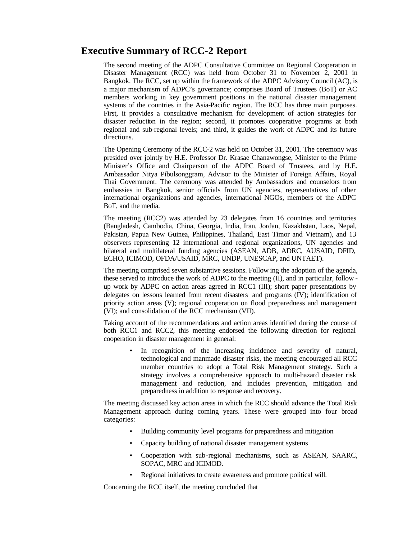# **Executive Summary of RCC-2 Report**

The second meeting of the ADPC Consultative Committee on Regional Cooperation in Disaster Management (RCC) was held from October 31 to November 2, 2001 in Bangkok. The RCC, set up within the framework of the ADPC Advisory Council (AC), is a major mechanism of ADPC's governance; comprises Board of Trustees (BoT) or AC members working in key government positions in the national disaster management systems of the countries in the Asia-Pacific region. The RCC has three main purposes. First, it provides a consultative mechanism for development of action strategies for disaster reduction in the region; second, it promotes cooperative programs at both regional and sub-regional levels; and third, it guides the work of ADPC and its future directions.

The Opening Ceremony of the RCC-2 was held on October 31, 2001. The ceremony was presided over jointly by H.E. Professor Dr. Krasae Chanawongse, Minister to the Prime Minister's Office and Chairperson of the ADPC Board of Trustees, and by H.E. Ambassador Nitya Pibulsonggram, Advisor to the Minister of Foreign Affairs, Royal Thai Government. The ceremony was attended by Ambassadors and counselors from embassies in Bangkok, senior officials from UN agencies, representatives of other international organizations and agencies, international NGOs, members of the ADPC BoT, and the media.

The meeting (RCC2) was attended by 23 delegates from 16 countries and territories (Bangladesh, Cambodia, China, Georgia, India, Iran, Jordan, Kazakhstan, Laos, Nepal, Pakistan, Papua New Guinea, Philippines, Thailand, East Timor and Vietnam), and 13 observers representing 12 international and regional organizations, UN agencies and bilateral and multilateral funding agencies (ASEAN, ADB, ADRC, AUSAID, DFID, ECHO, ICIMOD, OFDA/USAID, MRC, UNDP, UNESCAP, and UNTAET).

The meeting comprised seven substantive sessions. Follow ing the adoption of the agenda, these served to introduce the work of ADPC to the meeting (II), and in particular, follow up work by ADPC on action areas agreed in RCC1 (III); short paper presentations by delegates on lessons learned from recent disasters and programs (IV); identification of priority action areas (V); regional cooperation on flood preparedness and management (VI); and consolidation of the RCC mechanism (VII).

Taking account of the recommendations and action areas identified during the course of both RCC1 and RCC2, this meeting endorsed the following direction for regional cooperation in disaster management in general:

> • In recognition of the increasing incidence and severity of natural, technological and manmade disaster risks, the meeting encouraged all RCC member countries to adopt a Total Risk Management strategy. Such a strategy involves a comprehensive approach to multi-hazard disaster risk management and reduction, and includes prevention, mitigation and preparedness in addition to response and recovery.

The meeting discussed key action areas in which the RCC should advance the Total Risk Management approach during coming years. These were grouped into four broad categories:

- Building community level programs for preparedness and mitigation
- Capacity building of national disaster management systems
- Cooperation with sub-regional mechanisms, such as ASEAN, SAARC, SOPAC, MRC and ICIMOD.
- Regional initiatives to create awareness and promote political will.

Concerning the RCC itself, the meeting concluded that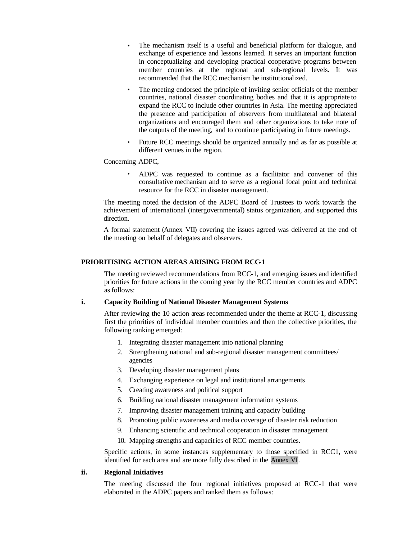- The mechanism itself is a useful and beneficial platform for dialogue, and exchange of experience and lessons learned. It serves an important function in conceptualizing and developing practical cooperative programs between member countries at the regional and sub-regional levels. It was recommended that the RCC mechanism be institutionalized.
- The meeting endorsed the principle of inviting senior officials of the member countries, national disaster coordinating bodies and that it is appropriate to expand the RCC to include other countries in Asia. The meeting appreciated the presence and participation of observers from multilateral and bilateral organizations and encouraged them and other organizations to take note of the outputs of the meeting, and to continue participating in future meetings.
- Future RCC meetings should be organized annually and as far as possible at different venues in the region.

Concerning ADPC,

• ADPC was requested to continue as a facilitator and convener of this consultative mechanism and to serve as a regional focal point and technical resource for the RCC in disaster management.

The meeting noted the decision of the ADPC Board of Trustees to work towards the achievement of international (intergovernmental) status organization, and supported this direction.

A formal statement (Annex VII) covering the issues agreed was delivered at the end of the meeting on behalf of delegates and observers.

# **PRIORITISING ACTION AREAS ARISING FROM RCC-1**

The meeting reviewed recommendations from RCC-1, and emerging issues and identified priorities for future actions in the coming year by the RCC member countries and ADPC as follows:

#### **i. Capacity Building of National Disaster Management Systems**

After reviewing the 10 action areas recommended under the theme at RCC-1, discussing first the priorities of individual member countries and then the collective priorities, the following ranking emerged:

- 1. Integrating disaster management into national planning
- 2. Strengthening national and sub-regional disaster management committees/ agencies
- 3. Developing disaster management plans
- 4. Exchanging experience on legal and institutional arrangements
- 5. Creating awareness and political support
- 6. Building national disaster management information systems
- 7. Improving disaster management training and capacity building
- 8. Promoting public awareness and media coverage of disaster risk reduction
- 9. Enhancing scientific and technical cooperation in disaster management
- 10. Mapping strengths and capacities of RCC member countries.

Specific actions, in some instances supplementary to those specified in RCC1, were identified for each area and are more fully described in the Annex VI.

#### **ii. Regional Initiatives**

The meeting discussed the four regional initiatives proposed at RCC-1 that were elaborated in the ADPC papers and ranked them as follows: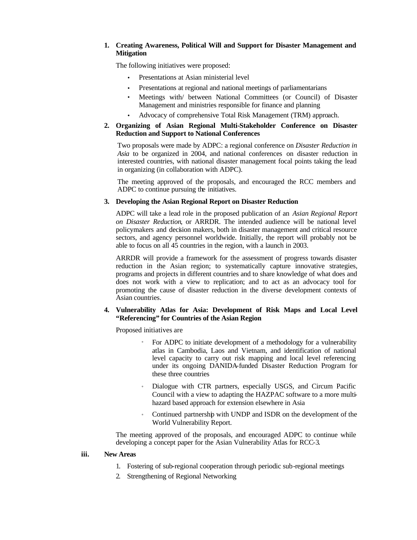# **1. Creating Awareness, Political Will and Support for Disaster Management and Mitigation**

The following initiatives were proposed:

- Presentations at Asian ministerial level
- Presentations at regional and national meetings of parliamentarians
- Meetings with/ between National Committees (or Council) of Disaster Management and ministries responsible for finance and planning
- Advocacy of comprehensive Total Risk Management (TRM) approach.

# **2. Organizing of Asian Regional Multi-Stakeholder Conference on Disaster Reduction and Support to National Conferences**

Two proposals were made by ADPC: a regional conference on *Disaster Reduction in Asia* to be organized in 2004, and national conferences on disaster reduction in interested countries, with national disaster management focal points taking the lead in organizing (in collaboration with ADPC).

The meeting approved of the proposals, and encouraged the RCC members and ADPC to continue pursuing the initiatives.

# **3. Developing the Asian Regional Report on Disaster Reduction**

ADPC will take a lead role in the proposed publication of an *Asian Regional Report on Disaster Reduction*, or ARRDR. The intended audience will be national level policymakers and decision makers, both in disaster management and critical resource sectors, and agency personnel worldwide. Initially, the report will probably not be able to focus on all 45 countries in the region, with a launch in 2003.

ARRDR will provide a framework for the assessment of progress towards disaster reduction in the Asian region; to systematically capture innovative strategies, programs and projects in different countries and to share knowledge of what does and does not work with a view to replication; and to act as an advocacy tool for promoting the cause of disaster reduction in the diverse development contexts of Asian countries.

# **4. Vulnerability Atlas for Asia: Development of Risk Maps and Local Level "Referencing" for Countries of the Asian Region**

Proposed initiatives are

- For ADPC to initiate development of a methodology for a vulnerability atlas in Cambodia, Laos and Vietnam, and identification of national level capacity to carry out risk mapping and local level referencing under its ongoing DANIDA-funded Disaster Reduction Program for these three countries
- Dialogue with CTR partners, especially USGS, and Circum Pacific Council with a view to adapting the HAZPAC software to a more multihazard based approach for extension elsewhere in Asia
- Continued partnership with UNDP and ISDR on the development of the World Vulnerability Report.

The meeting approved of the proposals, and encouraged ADPC to continue while developing a concept paper for the Asian Vulnerability Atlas for RCC-3.

### **iii. New Areas**

- 1. Fostering of sub-regional cooperation through periodic sub-regional meetings
- 2. Strengthening of Regional Networking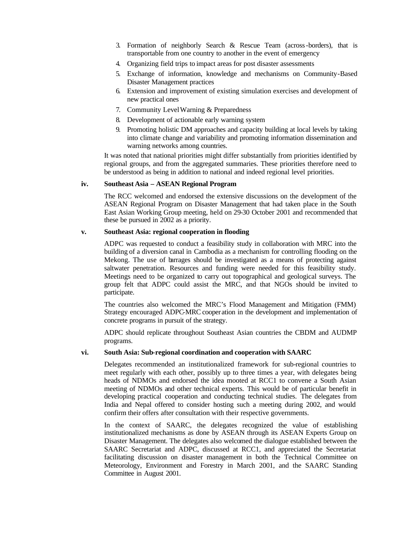- 3. Formation of neighborly Search & Rescue Team (across-borders), that is transportable from one country to another in the event of emergency
- 4. Organizing field trips to impact areas for post disaster assessments
- 5. Exchange of information, knowledge and mechanisms on Community-Based Disaster Management practices
- 6. Extension and improvement of existing simulation exercises and development of new practical ones
- 7. Community Level Warning & Preparedness
- 8. Development of actionable early warning system
- 9. Promoting holistic DM approaches and capacity building at local levels by taking into climate change and variability and promoting information dissemination and warning networks among countries.

It was noted that national priorities might differ substantially from priorities identified by regional groups, and from the aggregated summaries. These priorities therefore need to be understood as being in addition to national and indeed regional level priorities.

#### **iv. Southeast Asia – ASEAN Regional Program**

The RCC welcomed and endorsed the extensive discussions on the development of the ASEAN Regional Program on Disaster Management that had taken place in the South East Asian Working Group meeting, held on 29-30 October 2001 and recommended that these be pursued in 2002 as a priority.

#### **v. Southeast Asia: regional cooperation in flooding**

ADPC was requested to conduct a feasibility study in collaboration with MRC into the building of a diversion canal in Cambodia as a mechanism for controlling flooding on the Mekong. The use of barrages should be investigated as a means of protecting against saltwater penetration. Resources and funding were needed for this feasibility study. Meetings need to be organized to carry out topographical and geological surveys. The group felt that ADPC could assist the MRC, and that NGOs should be invited to participate.

The countries also welcomed the MRC's Flood Management and Mitigation (FMM) Strategy encouraged ADPC-MRC cooper ation in the development and implementation of concrete programs in pursuit of the strategy.

ADPC should replicate throughout Southeast Asian countries the CBDM and AUDMP programs.

#### **vi. South Asia: Sub-regional coordination and cooperation with SAARC**

Delegates recommended an institutionalized framework for sub-regional countries to meet regularly with each other, possibly up to three times a year, with delegates being heads of NDMOs and endorsed the idea mooted at RCC1 to convene a South Asian meeting of NDMOs and other technical experts. This would be of particular benefit in developing practical cooperation and conducting technical studies. The delegates from India and Nepal offered to consider hosting such a meeting during 2002, and would confirm their offers after consultation with their respective governments.

In the context of SAARC, the delegates recognized the value of establishing institutionalized mechanisms as done by ASEAN through its ASEAN Experts Group on Disaster Management. The delegates also welcomed the dialogue established between the SAARC Secretariat and ADPC, discussed at RCC1, and appreciated the Secretariat facilitating discussion on disaster management in both the Technical Committee on Meteorology, Environment and Forestry in March 2001, and the SAARC Standing Committee in August 2001.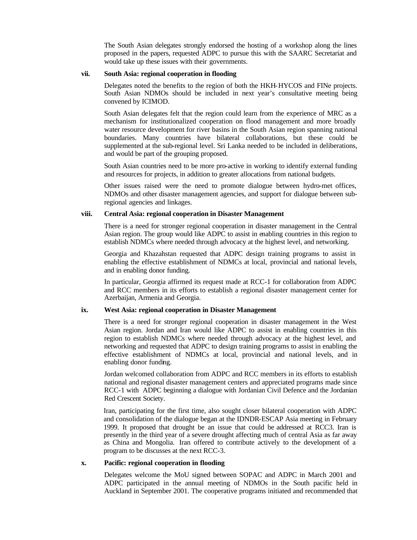The South Asian delegates strongly endorsed the hosting of a workshop along the lines proposed in the papers, requested ADPC to pursue this with the SAARC Secretariat and would take up these issues with their governments.

#### **vii. South Asia: regional cooperation in flooding**

Delegates noted the benefits to the region of both the HKH-HYCOS and FINe projects. South Asian NDMOs should be included in next year's consultative meeting being convened by ICIMOD.

South Asian delegates felt that the region could learn from the experience of MRC as a mechanism for institutionalized cooperation on flood management and more broadly water resource development for river basins in the South Asian region spanning national boundaries. Many countries have bilateral collaborations, but these could be supplemented at the sub-regional level. Sri Lanka needed to be included in deliberations, and would be part of the grouping proposed.

South Asian countries need to be more pro-active in working to identify external funding and resources for projects, in addition to greater allocations from national budgets.

Other issues raised were the need to promote dialogue between hydro-met offices, NDMOs and other disaster management agencies, and support for dialogue between subregional agencies and linkages.

#### **viii. Central Asia: regional cooperation in Disaster Management**

There is a need for stronger regional cooperation in disaster management in the Central Asian region. The group would like ADPC to assist in enabling countries in this region to establish NDMCs where needed through advocacy at the highest level, and networking.

Georgia and Khazahstan requested that ADPC design training programs to assist in enabling the effective establishment of NDMCs at local, provincial and national levels, and in enabling donor funding.

In particular, Georgia affirmed its request made at RCC-1 for collaboration from ADPC and RCC members in its efforts to establish a regional disaster management center for Azerbaijan, Armenia and Georgia.

#### **ix. West Asia: regional cooperation in Disaster Management**

There is a need for stronger regional cooperation in disaster management in the West Asian region. Jordan and Iran would like ADPC to assist in enabling countries in this region to establish NDMCs where needed through advocacy at the highest level, and networking and requested that ADPC to design training programs to assist in enabling the effective establishment of NDMCs at local, provincial and national levels, and in enabling donor funding.

Jordan welcomed collaboration from ADPC and RCC members in its efforts to establish national and regional disaster management centers and appreciated programs made since RCC-1 with ADPC beginning a dialogue with Jordanian Civil Defence and the Jordanian Red Crescent Society.

Iran, participating for the first time, also sought closer bilateral cooperation with ADPC and consolidation of the dialogue began at the IDNDR-ESCAP Asia meeting in February 1999. It proposed that drought be an issue that could be addressed at RCC3. Iran is presently in the third year of a severe drought affecting much of central Asia as far away as China and Mongolia. Iran offered to contribute actively to the development of a program to be discusses at the next RCC-3.

#### **x. Pacific: regional cooperation in flooding**

Delegates welcome the MoU signed between SOPAC and ADPC in March 2001 and ADPC participated in the annual meeting of NDMOs in the South pacific held in Auckland in September 2001. The cooperative programs initiated and recommended that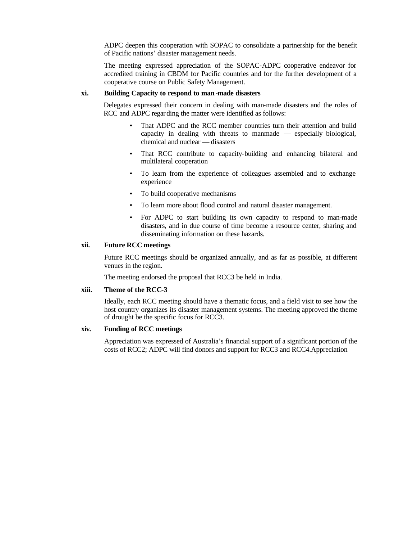ADPC deepen this cooperation with SOPAC to consolidate a partnership for the benefit of Pacific nations' disaster management needs.

The meeting expressed appreciation of the SOPAC-ADPC cooperative endeavor for accredited training in CBDM for Pacific countries and for the further development of a cooperative course on Public Safety Management.

#### **xi. Building Capacity to respond to man-made disasters**

Delegates expressed their concern in dealing with man-made disasters and the roles of RCC and ADPC regarding the matter were identified as follows:

- That ADPC and the RCC member countries turn their attention and build capacity in dealing with threats to manmade — especially biological, chemical and nuclear — disasters
- That RCC contribute to capacity-building and enhancing bilateral and multilateral cooperation
- To learn from the experience of colleagues assembled and to exchange experience
- To build cooperative mechanisms
- To learn more about flood control and natural disaster management.
- For ADPC to start building its own capacity to respond to man-made disasters, and in due course of time become a resource center, sharing and disseminating information on these hazards.

#### **xii. Future RCC meetings**

Future RCC meetings should be organized annually, and as far as possible, at different venues in the region.

The meeting endorsed the proposal that RCC3 be held in India.

#### **xiii. Theme of the RCC-3**

Ideally, each RCC meeting should have a thematic focus, and a field visit to see how the host country organizes its disaster management systems. The meeting approved the theme of drought be the specific focus for RCC3.

#### **xiv. Funding of RCC meetings**

Appreciation was expressed of Australia's financial support of a significant portion of the costs of RCC2; ADPC will find donors and support for RCC3 and RCC4.Appreciation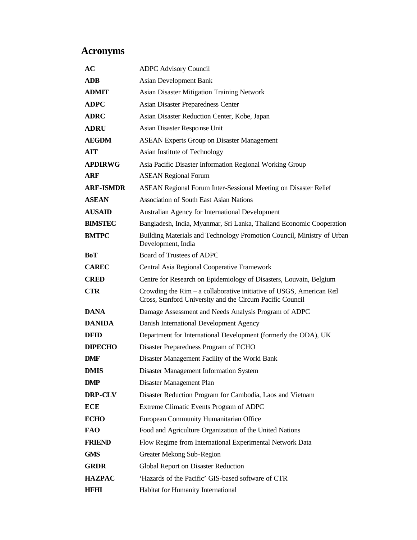# **Acronyms**

| AC               | <b>ADPC Advisory Council</b>                                                                                                     |
|------------------|----------------------------------------------------------------------------------------------------------------------------------|
| <b>ADB</b>       | <b>Asian Development Bank</b>                                                                                                    |
| <b>ADMIT</b>     | <b>Asian Disaster Mitigation Training Network</b>                                                                                |
| <b>ADPC</b>      | Asian Disaster Preparedness Center                                                                                               |
| <b>ADRC</b>      | Asian Disaster Reduction Center, Kobe, Japan                                                                                     |
| <b>ADRU</b>      | Asian Disaster Response Unit                                                                                                     |
| <b>AEGDM</b>     | <b>ASEAN Experts Group on Disaster Management</b>                                                                                |
| AIT              | Asian Institute of Technology                                                                                                    |
| <b>APDIRWG</b>   | Asia Pacific Disaster Information Regional Working Group                                                                         |
| <b>ARF</b>       | <b>ASEAN Regional Forum</b>                                                                                                      |
| <b>ARF-ISMDR</b> | ASEAN Regional Forum Inter-Sessional Meeting on Disaster Relief                                                                  |
| <b>ASEAN</b>     | <b>Association of South East Asian Nations</b>                                                                                   |
| <b>AUSAID</b>    | Australian Agency for International Development                                                                                  |
| <b>BIMSTEC</b>   | Bangladesh, India, Myanmar, Sri Lanka, Thailand Economic Cooperation                                                             |
| <b>BMTPC</b>     | Building Materials and Technology Promotion Council, Ministry of Urban<br>Development, India                                     |
| BoT              | Board of Trustees of ADPC                                                                                                        |
| <b>CAREC</b>     | Central Asia Regional Cooperative Framework                                                                                      |
| <b>CRED</b>      | Centre for Research on Epidemiology of Disasters, Louvain, Belgium                                                               |
| <b>CTR</b>       | Crowding the Rim – a collaborative initiative of USGS, American Red<br>Cross, Stanford University and the Circum Pacific Council |
| <b>DANA</b>      | Damage Assessment and Needs Analysis Program of ADPC                                                                             |
| <b>DANIDA</b>    | Danish International Development Agency                                                                                          |
| <b>DFID</b>      | Department for International Development (formerly the ODA), UK                                                                  |
| <b>DIPECHO</b>   | Disaster Preparedness Program of ECHO                                                                                            |
| DMF              | Disaster Management Facility of the World Bank                                                                                   |
| <b>DMIS</b>      | Disaster Management Information System                                                                                           |
| <b>DMP</b>       | Disaster Management Plan                                                                                                         |
| DRP-CLV          | Disaster Reduction Program for Cambodia, Laos and Vietnam                                                                        |
| <b>ECE</b>       | Extreme Climatic Events Program of ADPC                                                                                          |
| <b>ECHO</b>      | European Community Humanitarian Office                                                                                           |
| <b>FAO</b>       | Food and Agriculture Organization of the United Nations                                                                          |
| <b>FRIEND</b>    | Flow Regime from International Experimental Network Data                                                                         |
| <b>GMS</b>       | Greater Mekong Sub-Region                                                                                                        |
| <b>GRDR</b>      | Global Report on Disaster Reduction                                                                                              |
| <b>HAZPAC</b>    | 'Hazards of the Pacific' GIS-based software of CTR                                                                               |
| <b>HFHI</b>      | Habitat for Humanity International                                                                                               |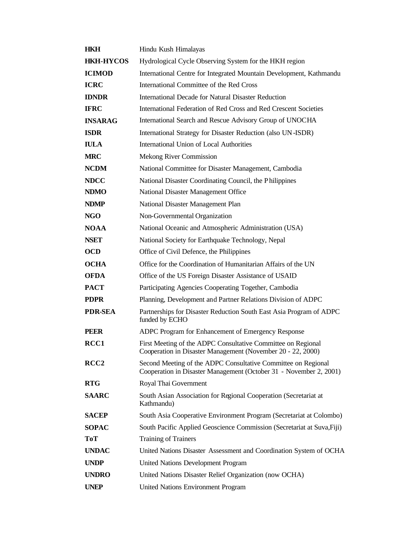| <b>HKH</b>       | Hindu Kush Himalayas                                                                                                                |
|------------------|-------------------------------------------------------------------------------------------------------------------------------------|
| <b>HKH-HYCOS</b> | Hydrological Cycle Observing System for the HKH region                                                                              |
| <b>ICIMOD</b>    | International Centre for Integrated Mountain Development, Kathmandu                                                                 |
| <b>ICRC</b>      | International Committee of the Red Cross                                                                                            |
| <b>IDNDR</b>     | <b>International Decade for Natural Disaster Reduction</b>                                                                          |
| <b>IFRC</b>      | International Federation of Red Cross and Red Crescent Societies                                                                    |
| <b>INSARAG</b>   | International Search and Rescue Advisory Group of UNOCHA                                                                            |
| <b>ISDR</b>      | International Strategy for Disaster Reduction (also UN-ISDR)                                                                        |
| <b>IULA</b>      | International Union of Local Authorities                                                                                            |
| <b>MRC</b>       | Mekong River Commission                                                                                                             |
| <b>NCDM</b>      | National Committee for Disaster Management, Cambodia                                                                                |
| <b>NDCC</b>      | National Disaster Coordinating Council, the Philippines                                                                             |
| <b>NDMO</b>      | National Disaster Management Office                                                                                                 |
| <b>NDMP</b>      | National Disaster Management Plan                                                                                                   |
| NGO              | Non-Governmental Organization                                                                                                       |
| <b>NOAA</b>      | National Oceanic and Atmospheric Administration (USA)                                                                               |
| <b>NSET</b>      | National Society for Earthquake Technology, Nepal                                                                                   |
| <b>OCD</b>       | Office of Civil Defence, the Philippines                                                                                            |
| <b>OCHA</b>      | Office for the Coordination of Humanitarian Affairs of the UN                                                                       |
| <b>OFDA</b>      | Office of the US Foreign Disaster Assistance of USAID                                                                               |
| <b>PACT</b>      | Participating Agencies Cooperating Together, Cambodia                                                                               |
| <b>PDPR</b>      | Planning, Development and Partner Relations Division of ADPC                                                                        |
| <b>PDR-SEA</b>   | Partnerships for Disaster Reduction South East Asia Program of ADPC<br>funded by ECHO                                               |
| <b>PEER</b>      | ADPC Program for Enhancement of Emergency Response                                                                                  |
| RCC1             | First Meeting of the ADPC Consultative Committee on Regional<br>Cooperation in Disaster Management (November 20 - 22, 2000)         |
| RCC <sub>2</sub> | Second Meeting of the ADPC Consultative Committee on Regional<br>Cooperation in Disaster Management (October 31 - November 2, 2001) |
| <b>RTG</b>       | Royal Thai Government                                                                                                               |
| <b>SAARC</b>     | South Asian Association for Regional Cooperation (Secretariat at<br>Kathmandu)                                                      |
| <b>SACEP</b>     | South Asia Cooperative Environment Program (Secretariat at Colombo)                                                                 |
| <b>SOPAC</b>     | South Pacific Applied Geoscience Commission (Secretariat at Suva, Fiji)                                                             |
| <b>ToT</b>       | <b>Training of Trainers</b>                                                                                                         |
| <b>UNDAC</b>     | United Nations Disaster Assessment and Coordination System of OCHA                                                                  |
| <b>UNDP</b>      | <b>United Nations Development Program</b>                                                                                           |
| <b>UNDRO</b>     | United Nations Disaster Relief Organization (now OCHA)                                                                              |
| <b>UNEP</b>      | <b>United Nations Environment Program</b>                                                                                           |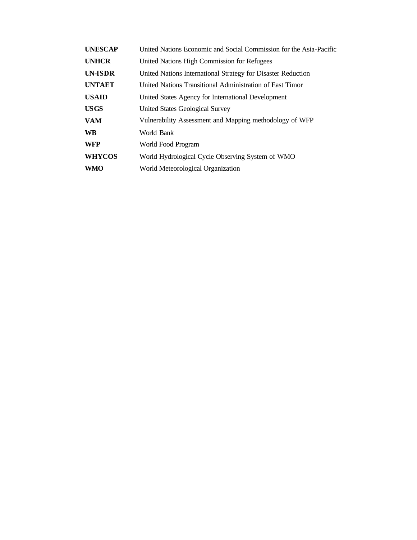| <b>UNESCAP</b> | United Nations Economic and Social Commission for the Asia-Pacific |
|----------------|--------------------------------------------------------------------|
| <b>UNHCR</b>   | United Nations High Commission for Refugees                        |
| UN-ISDR        | United Nations International Strategy for Disaster Reduction       |
| <b>UNTAET</b>  | United Nations Transitional Administration of East Timor           |
| <b>USAID</b>   | United States Agency for International Development                 |
| <b>USGS</b>    | United States Geological Survey                                    |
| <b>VAM</b>     | Vulnerability Assessment and Mapping methodology of WFP            |
| <b>WB</b>      | World Bank                                                         |
| <b>WFP</b>     | World Food Program                                                 |
| <b>WHYCOS</b>  | World Hydrological Cycle Observing System of WMO                   |
| <b>WMO</b>     | World Meteorological Organization                                  |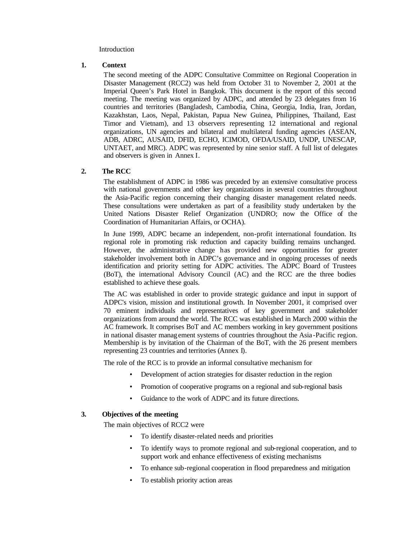#### Introduction

#### **1. Context**

The second meeting of the ADPC Consultative Committee on Regional Cooperation in Disaster Management (RCC2) was held from October 31 to November 2, 2001 at the Imperial Queen's Park Hotel in Bangkok. This document is the report of this second meeting. The meeting was organized by ADPC, and attended by 23 delegates from 16 countries and territories (Bangladesh, Cambodia, China, Georgia, India, Iran, Jordan, Kazakhstan, Laos, Nepal, Pakistan, Papua New Guinea, Philippines, Thailand, East Timor and Vietnam), and 13 observers representing 12 international and regional organizations, UN agencies and bilateral and multilateral funding agencies (ASEAN, ADB, ADRC, AUSAID, DFID, ECHO, ICIMOD, OFDA/USAID, UNDP, UNESCAP, UNTAET, and MRC). ADPC was represented by nine senior staff. A full list of delegates and observers is given in Annex I.

#### **2. The RCC**

The establishment of ADPC in 1986 was preceded by an extensive consultative process with national governments and other key organizations in several countries throughout the Asia-Pacific region concerning their changing disaster management related needs. These consultations were undertaken as part of a feasibility study undertaken by the United Nations Disaster Relief Organization (UNDRO; now the Office of the Coordination of Humanitarian Affairs, or OCHA).

In June 1999, ADPC became an independent, non-profit international foundation. Its regional role in promoting risk reduction and capacity building remains unchanged. However, the administrative change has provided new opportunities for greater stakeholder involvement both in ADPC's governance and in ongoing processes of needs identification and priority setting for ADPC activities. The ADPC Board of Trustees (BoT), the international Advisory Council (AC) and the RCC are the three bodies established to achieve these goals.

The AC was established in order to provide strategic guidance and input in support of ADPC's vision, mission and institutional growth. In November 2001, it comprised over 70 eminent individuals and representatives of key government and stakeholder organizations from around the world. The RCC was established in March 2000 within the AC framework. It comprises BoT and AC members working in key government positions in national disaster manag ement systems of countries throughout the Asia -Pacific region. Membership is by invitation of the Chairman of the BoT, with the 26 present members representing 23 countries and territories (Annex I).

The role of the RCC is to provide an informal consultative mechanism for

- Development of action strategies for disaster reduction in the region
- Promotion of cooperative programs on a regional and sub-regional basis
- Guidance to the work of ADPC and its future directions.

#### **3. Objectives of the meeting**

The main objectives of RCC2 were

- To identify disaster-related needs and priorities
- To identify ways to promote regional and sub-regional cooperation, and to support work and enhance effectiveness of existing mechanisms
- To enhance sub-regional cooperation in flood preparedness and mitigation
- To establish priority action areas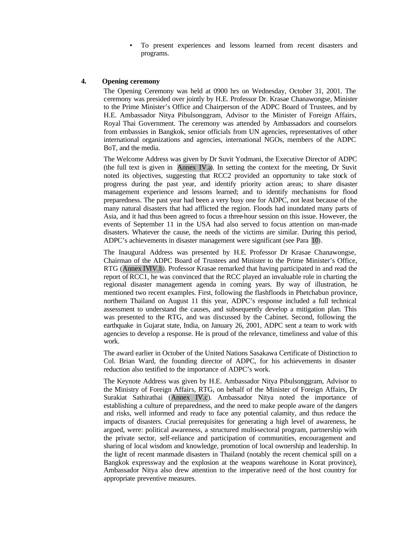• To present experiences and lessons learned from recent disasters and programs.

#### **4. Opening ceremony**

The Opening Ceremony was held at 0900 hrs on Wednesday, October 31, 2001. The ceremony was presided over jointly by H.E. Professor Dr. Krasae Chanawongse, Minister to the Prime Minister's Office and Chairperson of the ADPC Board of Trustees, and by H.E. Ambassador Nitya Pibulsonggram, Advisor to the Minister of Foreign Affairs, Royal Thai Government. The ceremony was attended by Ambassadors and counselors from embassies in Bangkok, senior officials from UN agencies, representatives of other international organizations and agencies, international NGOs, members of the ADPC BoT, and the media.

The Welcome Address was given by Dr Suvit Yodmani, the Executive Director of ADPC (the full text is given in Annex IV.a). In setting the context for the meeting, Dr Suvit noted its objectives, suggesting that RCC2 provided an opportunity to take stock of progress during the past year, and identify priority action areas; to share disaster management experience and lessons learned; and to identify mechanisms for flood preparedness. The past year had been a very busy one for ADPC, not least because of the many natural disasters that had afflicted the region. Floods had inundated many parts of Asia, and it had thus been agreed to focus a three-hour session on this issue. However, the events of September 11 in the USA had also served to focus attention on man-made disasters. Whatever the cause, the needs of the victims are similar. During this period, ADPC's achievements in disaster management were significant (see Para 10).

The Inaugural Address was presented by H.E. Professor Dr Krasae Chanawongse, Chairman of the ADPC Board of Trustees and Minister to the Prime Minister's Office, RTG (Annex IVIV.b). Professor Krasae remarked that having participated in and read the report of RCC1, he was convinced that the RCC played an invaluable role in charting the regional disaster management agenda in coming years. By way of illustration, he mentioned two recent examples. First, following the flashfloods in Phetchabun province, northern Thailand on August 11 this year, ADPC's response included a full technical assessment to understand the causes, and subsequently develop a mitigation plan. This was presented to the RTG, and was discussed by the Cabinet. Second, following the earthquake in Gujarat state, India, on January 26, 2001, ADPC sent a team to work with agencies to develop a response. He is proud of the relevance, timeliness and value of this work.

The award earlier in October of the United Nations Sasakawa Certificate of Distinction to Col. Brian Ward, the founding director of ADPC, for his achievements in disaster reduction also testified to the importance of ADPC's work.

The Keynote Address was given by H.E. Ambassador Nitya Pibulsonggram, Advisor to the Ministry of Foreign Affairs, RTG, on behalf of the Minister of Foreign Affairs, Dr Surakiat Sathirathai (Annex IV.c). Ambassador Nitya noted the importance of establishing a culture of preparedness, and the need to make people aware of the dangers and risks, well informed and ready to face any potential calamity, and thus reduce the impacts of disasters. Crucial prerequisites for generating a high level of awareness, he argued, were: political awareness, a structured multi-sectoral program, partnership with the private sector, self-reliance and participation of communities, encouragement and sharing of local wisdom and knowledge, promotion of local ownership and leadership. In the light of recent manmade disasters in Thailand (notably the recent chemical spill on a Bangkok expressway and the explosion at the weapons warehouse in Korat province), Ambassador Nitya also drew attention to the imperative need of the host country for appropriate preventive measures.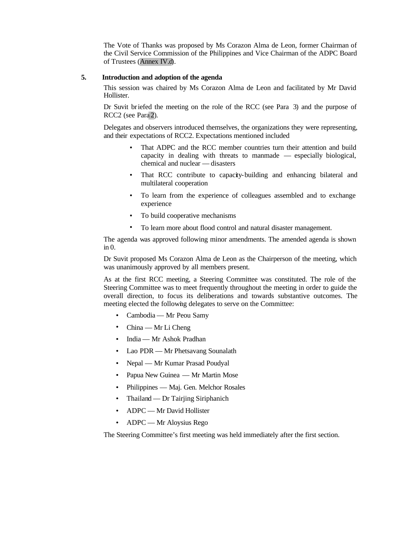The Vote of Thanks was proposed by Ms Corazon Alma de Leon, former Chairman of the Civil Service Commission of the Philippines and Vice Chairman of the ADPC Board of Trustees (Annex IV.d).

#### **5. Introduction and adoption of the agenda**

This session was chaired by Ms Corazon Alma de Leon and facilitated by Mr David Hollister.

Dr Suvit briefed the meeting on the role of the RCC (see Para 3) and the purpose of RCC2 (see Para 2).

Delegates and observers introduced themselves, the organizations they were representing, and their expectations of RCC2. Expectations mentioned included

- That ADPC and the RCC member countries turn their attention and build capacity in dealing with threats to manmade — especially biological, chemical and nuclear — disasters
- That RCC contribute to capacity-building and enhancing bilateral and multilateral cooperation
- To learn from the experience of colleagues assembled and to exchange experience
- To build cooperative mechanisms
- To learn more about flood control and natural disaster management.

The agenda was approved following minor amendments. The amended agenda is shown in 0.

Dr Suvit proposed Ms Corazon Alma de Leon as the Chairperson of the meeting, which was unanimously approved by all members present.

As at the first RCC meeting, a Steering Committee was constituted. The role of the Steering Committee was to meet frequently throughout the meeting in order to guide the overall direction, to focus its deliberations and towards substantive outcomes. The meeting elected the following delegates to serve on the Committee:

- Cambodia Mr Peou Samy
- China Mr Li Cheng
- India Mr Ashok Pradhan
- Lao PDR Mr Phetsavang Sounalath
- Nepal Mr Kumar Prasad Poudyal
- Papua New Guinea Mr Martin Mose
- Philippines Maj. Gen. Melchor Rosales
- Thailand Dr Tairjing Siriphanich
- ADPC Mr David Hollister
- ADPC Mr Aloysius Rego

The Steering Committee's first meeting was held immediately after the first section.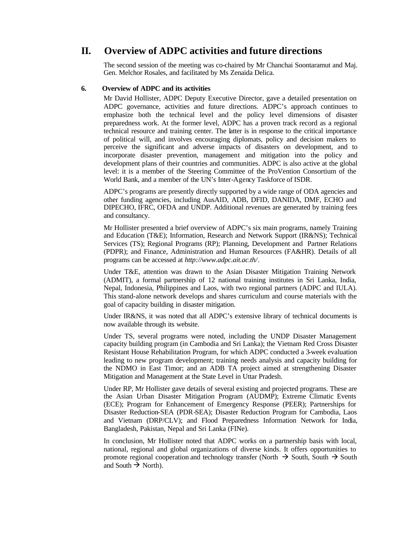# **II. Overview of ADPC activities and future directions**

The second session of the meeting was co-chaired by Mr Chanchai Soontaramut and Maj. Gen. Melchor Rosales, and facilitated by Ms Zenaida Delica.

## **6. Overview of ADPC and its activities**

Mr David Hollister, ADPC Deputy Executive Director, gave a detailed presentation on ADPC governance, activities and future directions. ADPC's approach continues to emphasize both the technical level and the policy level dimensions of disaster preparedness work. At the former level, ADPC has a proven track record as a regional technical resource and training center. The latter is in response to the critical importance of political will, and involves encouraging diplomats, policy and decision makers to perceive the significant and adverse impacts of disasters on development, and to incorporate disaster prevention, management and mitigation into the policy and development plans of their countries and communities. ADPC is also active at the global level: it is a member of the Steering Committee of the ProVention Consortium of the World Bank, and a member of the UN's Inter-Agency Taskforce of ISDR.

ADPC's programs are presently directly supported by a wide range of ODA agencies and other funding agencies, including AusAID, ADB, DFID, DANIDA, DMF, ECHO and DIPECHO, IFRC, OFDA and UNDP. Additional revenues are generated by training fees and consultancy.

Mr Hollister presented a brief overview of ADPC's six main programs, namely Training and Education (T&E); Information, Research and Network Support (IR&NS); Technical Services (TS); Regional Programs (RP); Planning, Development and Partner Relations (PDPR); and Finance, Administration and Human Resources (FA&HR). Details of all programs can be accessed at *http://www.adpc.ait.ac.th/*.

Under T&E, attention was drawn to the Asian Disaster Mitigation Training Network (ADMIT), a formal partnership of 12 national training institutes in Sri Lanka, India, Nepal, Indonesia, Philippines and Laos, with two regional partners (ADPC and IULA). This stand-alone network develops and shares curriculum and course materials with the goal of capacity building in disaster mitigation.

Under IR&NS, it was noted that all ADPC's extensive library of technical documents is now available through its website.

Under TS, several programs were noted, including the UNDP Disaster Management capacity building program (in Cambodia and Sri Lanka); the Vietnam Red Cross Disaster Resistant House Rehabilitation Program, for which ADPC conducted a 3-week evaluation leading to new program development; training needs analysis and capacity building for the NDMO in East Timor; and an ADB TA project aimed at strengthening Disaster Mitigation and Management at the State Level in Uttar Pradesh.

Under RP, Mr Hollister gave details of several existing and projected programs. These are the Asian Urban Disaster Mitigation Program (AUDMP); Extreme Climatic Events (ECE); Program for Enhancement of Emergency Response (PEER); Partnerships for Disaster Reduction-SEA (PDR-SEA); Disaster Reduction Program for Cambodia, Laos and Vietnam (DRP/CLV); and Flood Preparedness Information Network for India, Bangladesh, Pakistan, Nepal and Sri Lanka (FINe).

In conclusion, Mr Hollister noted that ADPC works on a partnership basis with local, national, regional and global organizations of diverse kinds. It offers opportunities to promote regional cooperation and technology transfer (North  $\rightarrow$  South, South  $\rightarrow$  South and South  $\rightarrow$  North).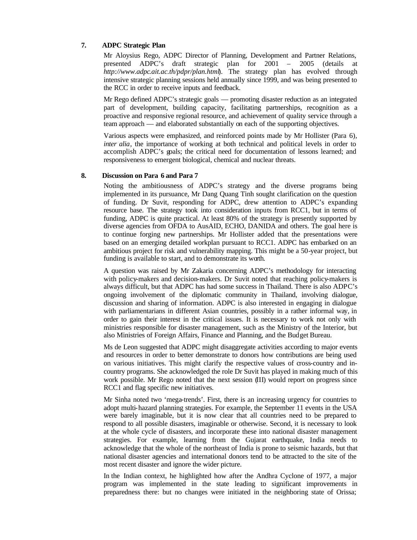### **7. ADPC Strategic Plan**

Mr Aloysius Rego, ADPC Director of Planning, Development and Partner Relations, presented ADPC's draft strategic plan for 2001 – 2005 (details at *http://www.adpc.ait.ac.th/pdpr/plan.html*). The strategy plan has evolved through intensive strategic planning sessions held annually since 1999, and was being presented to the RCC in order to receive inputs and feedback.

Mr Rego defined ADPC's strategic goals — promoting disaster reduction as an integrated part of development, building capacity, facilitating partnerships, recognition as a proactive and responsive regional resource, and achievement of quality service through a team approach — and elaborated substantially on each of the supporting objectives.

Various aspects were emphasized, and reinforced points made by Mr Hollister (Para 6)*, inter alia*, the importance of working at both technical and political levels in order to accomplish ADPC's goals; the critical need for documentation of lessons learned; and responsiveness to emergent biological, chemical and nuclear threats.

#### **8. Discussion on Para 6 and Para 7**

Noting the ambitiousness of ADPC's strategy and the diverse programs being implemented in its pursuance, Mr Dang Quang Tinh sought clarification on the question of funding. Dr Suvit, responding for ADPC, drew attention to ADPC's expanding resource base. The strategy took into consideration inputs from RCC1, but in terms of funding, ADPC is quite practical. At least 80% of the strategy is presently supported by diverse agencies from OFDA to AusAID, ECHO, DANIDA and others. The goal here is to continue forging new partnerships. Mr Hollister added that the presentations were based on an emerging detailed workplan pursuant to RCC1. ADPC has embarked on an ambitious project for risk and vulnerability mapping. This might be a 50-year project, but funding is available to start, and to demonstrate its worth.

A question was raised by Mr Zakaria concerning ADPC's methodology for interacting with policy-makers and decision-makers. Dr Suvit noted that reaching policy-makers is always difficult, but that ADPC has had some success in Thailand. There is also ADPC's ongoing involvement of the diplomatic community in Thailand, involving dialogue, discussion and sharing of information. ADPC is also interested in engaging in dialogue with parliamentarians in different Asian countries, possibly in a rather informal way, in order to gain their interest in the critical issues. It is necessary to work not only with ministries responsible for disaster management, such as the Ministry of the Interior, but also Ministries of Foreign Affairs, Finance and Planning, and the Budget Bureau.

Ms de Leon suggested that ADPC might disaggregate activities according to major events and resources in order to better demonstrate to donors how contributions are being used on various initiatives. This might clarify the respective values of cross-country and incountry programs. She acknowledged the role Dr Suvit has played in making much of this work possible. Mr Rego noted that the next session (III) would report on progress since RCC1 and flag specific new initiatives.

Mr Sinha noted two 'mega-trends'. First, there is an increasing urgency for countries to adopt multi-hazard planning strategies. For example, the September 11 events in the USA were barely imaginable, but it is now clear that all countries need to be prepared to respond to all possible disasters, imaginable or otherwise. Second, it is necessary to look at the whole cycle of disasters, and incorporate these into national disaster management strategies. For example, learning from the Gujarat earthquake, India needs to acknowledge that the whole of the northeast of India is prone to seismic hazards, but that national disaster agencies and international donors tend to be attracted to the site of the most recent disaster and ignore the wider picture.

In the Indian context, he highlighted how after the Andhra Cyclone of 1977, a major program was implemented in the state leading to significant improvements in preparedness there: but no changes were initiated in the neighboring state of Orissa;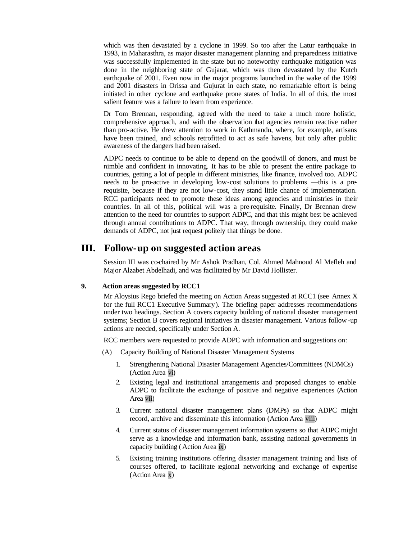which was then devastated by a cyclone in 1999. So too after the Latur earthquake in 1993, in Maharasthra, as major disaster management planning and preparedness initiative was successfully implemented in the state but no noteworthy earthquake mitigation was done in the neighboring state of Gujarat, which was then devastated by the Kutch earthquake of 2001. Even now in the major programs launched in the wake of the 1999 and 2001 disasters in Orissa and Gujurat in each state, no remarkable effort is being initiated in other cyclone and earthquake prone states of India. In all of this, the most salient feature was a failure to learn from experience.

Dr Tom Brennan, responding, agreed with the need to take a much more holistic, comprehensive approach, and with the observation that agencies remain reactive rather than pro-active. He drew attention to work in Kathmandu, where, for example, artisans have been trained, and schools retrofitted to act as safe havens, but only after public awareness of the dangers had been raised.

ADPC needs to continue to be able to depend on the goodwill of donors, and must be nimble and confident in innovating. It has to be able to present the entire package to countries, getting a lot of people in different ministries, like finance, involved too. ADPC needs to be pro-active in developing low-cost solutions to problems —this is a prerequisite, because if they are not low-cost, they stand little chance of implementation. RCC participants need to promote these ideas among agencies and ministries in their countries. In all of this, political will was a pre-requisite. Finally, Dr Brennan drew attention to the need for countries to support ADPC, and that this might best be achieved through annual contributions to ADPC. That way, through ownership, they could make demands of ADPC, not just request politely that things be done.

# **III. Follow-up on suggested action areas**

Session III was co-chaired by Mr Ashok Pradhan, Col. Ahmed Mahnoud Al Mefleh and Major Alzabet Abdelhadi, and was facilitated by Mr David Hollister.

#### **9. Action areas suggested by RCC1**

Mr Aloysius Rego briefed the meeting on Action Areas suggested at RCC1 (see Annex X for the full RCC1 Executive Summary). The briefing paper addresses recommendations under two headings. Section A covers capacity building of national disaster management systems; Section B covers regional initiatives in disaster management. Various follow-up actions are needed, specifically under Section A.

RCC members were requested to provide ADPC with information and suggestions on:

- (A) Capacity Building of National Disaster Management Systems
	- 1. Strengthening National Disaster Management Agencies/Committees (NDMCs) (Action Area vi)
	- 2. Existing legal and institutional arrangements and proposed changes to enable ADPC to facilit ate the exchange of positive and negative experiences (Action Area vii)
	- 3. Current national disaster management plans (DMPs) so that ADPC might record, archive and disseminate this information (Action Area viii)
	- 4. Current status of disaster management information systems so that ADPC might serve as a knowledge and information bank, assisting national governments in capacity building (Action Area ix)
	- 5. Existing training institutions offering disaster management training and lists of courses offered, to facilitate regional networking and exchange of expertise (Action Area x)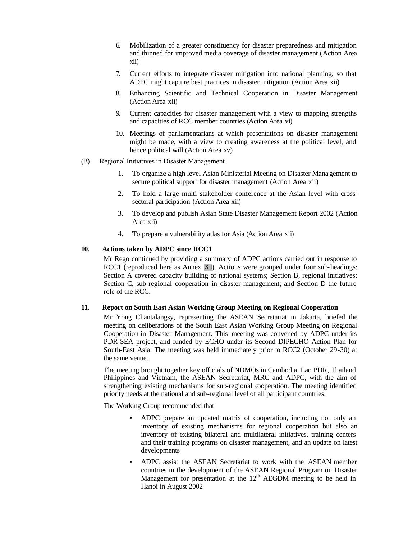- 6. Mobilization of a greater constituency for disaster preparedness and mitigation and thinned for improved media coverage of disaster management (Action Area xii)
- 7. Current efforts to integrate disaster mitigation into national planning, so that ADPC might capture best practices in disaster mitigation (Action Area xii)
- 8. Enhancing Scientific and Technical Cooperation in Disaster Management (Action Area xii)
- 9. Current capacities for disaster management with a view to mapping strengths and capacities of RCC member countries (Action Area vi)
- 10. Meetings of parliamentarians at which presentations on disaster management might be made, with a view to creating awareness at the political level, and hence political will (Action Area xv)
- (B) Regional Initiatives in Disaster Management
	- 1. To organize a high level Asian Ministerial Meeting on Disaster Mana gement to secure political support for disaster management (Action Area xii)
	- 2. To hold a large multi stakeholder conference at the Asian level with crosssectoral participation (Action Area xii)
	- 3. To develop and publish Asian State Disaster Management Report 2002 (Action Area xii)
	- 4. To prepare a vulnerability atlas for Asia (Action Area xii)

# **10. Actions taken by ADPC since RCC1**

Mr Rego continued by providing a summary of ADPC actions carried out in response to RCC1 (reproduced here as Annex XI). Actions were grouped under four sub-headings: Section A covered capacity building of national systems; Section B, regional initiatives; Section C, sub-regional cooperation in disaster management; and Section D the future role of the RCC.

#### **11. Report on South East Asian Working Group Meeting on Regional Cooperation**

Mr Yong Chantalangsy, representing the ASEAN Secretariat in Jakarta, briefed the meeting on deliberations of the South East Asian Working Group Meeting on Regional Cooperation in Disaster Management. This meeting was convened by ADPC under its PDR-SEA project, and funded by ECHO under its Second DIPECHO Action Plan for South-East Asia. The meeting was held immediately prior to RCC2 (October 29-30) at the same venue.

The meeting brought together key officials of NDMOs in Cambodia, Lao PDR, Thailand, Philippines and Vietnam, the ASEAN Secretariat, MRC and ADPC, with the aim of strengthening existing mechanisms for sub-regional cooperation. The meeting identified priority needs at the national and sub-regional level of all participant countries.

The Working Group recommended that

- ADPC prepare an updated matrix of cooperation, including not only an inventory of existing mechanisms for regional cooperation but also an inventory of existing bilateral and multilateral initiatives, training centers and their training programs on disaster management, and an update on latest developments
- ADPC assist the ASEAN Secretariat to work with the ASEAN member countries in the development of the ASEAN Regional Program on Disaster Management for presentation at the  $12<sup>th</sup>$  AEGDM meeting to be held in Hanoi in August 2002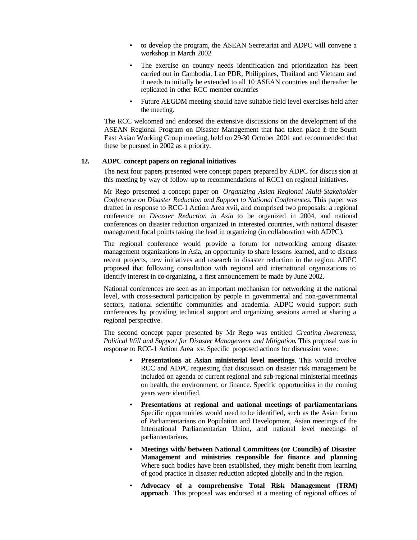- to develop the program, the ASEAN Secretariat and ADPC will convene a workshop in March 2002
- The exercise on country needs identification and prioritization has been carried out in Cambodia, Lao PDR, Philippines, Thailand and Vietnam and it needs to initially be extended to all 10 ASEAN countries and thereafter be replicated in other RCC member countries
- Future AEGDM meeting should have suitable field level exercises held after the meeting.

The RCC welcomed and endorsed the extensive discussions on the development of the ASEAN Regional Program on Disaster Management that had taken place in the South East Asian Working Group meeting, held on 29-30 October 2001 and recommended that these be pursued in 2002 as a priority.

# **12. ADPC concept papers on regional initiatives**

The next four papers presented were concept papers prepared by ADPC for discussion at this meeting by way of follow-up to recommendations of RCC1 on regional initiatives.

Mr Rego presented a concept paper on *Organizing Asian Regional Multi-Stakeholder Conference on Disaster Reduction and Support to National Conferences*. This paper was drafted in response to RCC-1 Action Area xvii, and comprised two proposals: a regional conference on *Disaster Reduction in Asia* to be organized in 2004, and national conferences on disaster reduction organized in interested countries, with national disaster management focal points taking the lead in organizing (in collaboration with ADPC).

The regional conference would provide a forum for networking among disaster management organizations in Asia, an opportunity to share lessons learned, and to discuss recent projects, new initiatives and research in disaster reduction in the region. ADPC proposed that following consultation with regional and international organizations to identify interest in co-organizing, a first announcement be made by June 2002.

National conferences are seen as an important mechanism for networking at the national level, with cross-sectoral participation by people in governmental and non-governmental sectors, national scientific communities and academia. ADPC would support such conferences by providing technical support and organizing sessions aimed at sharing a regional perspective.

The second concept paper presented by Mr Rego was entitled *Creating Awareness, Political Will and Support for Disaster Management and Mitigation*. This proposal was in response to RCC-1 Action Area xv. Specific proposed actions for discussion were:

- **Presentations at Asian ministerial level meetings**. This would involve RCC and ADPC requesting that discussion on disaster risk management be included on agenda of current regional and sub-regional ministerial meetings on health, the environment, or finance. Specific opportunities in the coming years were identified.
- **Presentations at regional and national meetings of parliamentarians**. Specific opportunities would need to be identified, such as the Asian forum of Parliamentarians on Population and Development, Asian meetings of the International Parliamentarian Union, and national level meetings of parliamentarians.
- **Meetings with/ between National Committees (or Councils) of Disaster Management and ministries responsible for finance and planning**. Where such bodies have been established, they might benefit from learning of good practice in disaster reduction adopted globally and in the region.
- **Advocacy of a comprehensive Total Risk Management (TRM) approach**. This proposal was endorsed at a meeting of regional offices of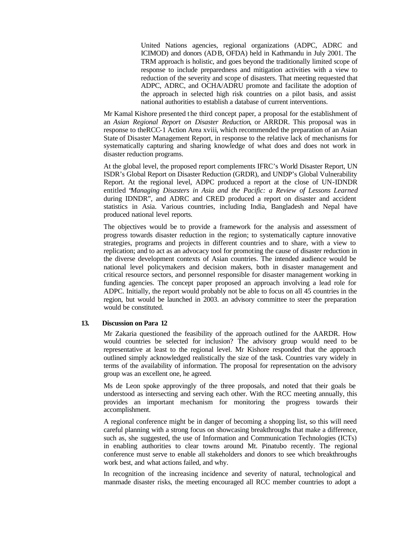United Nations agencies, regional organizations (ADPC, ADRC and ICIMOD) and donors (ADB, OFDA) held in Kathmandu in July 2001. The TRM approach is holistic, and goes beyond the traditionally limited scope of response to include preparedness and mitigation activities with a view to reduction of the severity and scope of disasters. That meeting requested that ADPC, ADRC, and OCHA/ADRU promote and facilitate the adoption of the approach in selected high risk countries on a pilot basis, and assist national authorities to establish a database of current interventions.

Mr Kamal Kishore presented t he third concept paper, a proposal for the establishment of an *Asian Regional Report on Disaster Reduction*, or ARRDR. This proposal was in response to theRCC-1 Action Area xviii, which recommended the preparation of an Asian State of Disaster Management Report, in response to the relative lack of mechanisms for systematically capturing and sharing knowledge of what does and does not work in disaster reduction programs.

At the global level, the proposed report complements IFRC's World Disaster Report, UN ISDR's Global Report on Disaster Reduction (GRDR), and UNDP's Global Vulnerability Report. At the regional level, ADPC produced a report at the close of UN-IDNDR entitled "*Managing Disasters in Asia and the Pacific: a Review of Lessons Learned* during IDNDR", and ADRC and CRED produced a report on disaster and accident statistics in Asia. Various countries, including India, Bangladesh and Nepal have produced national level reports.

The objectives would be to provide a framework for the analysis and assessment of progress towards disaster reduction in the region; to systematically capture innovative strategies, programs and projects in different countries and to share, with a view to replication; and to act as an advocacy tool for promoting the cause of disaster reduction in the diverse development contexts of Asian countries. The intended audience would be national level policymakers and decision makers, both in disaster management and critical resource sectors, and personnel responsible for disaster management working in funding agencies. The concept paper proposed an approach involving a lead role for ADPC. Initially, the report would probably not be able to focus on all 45 countries in the region, but would be launched in 2003. an advisory committee to steer the preparation would be constituted.

# **13. Discussion on Para 12**

Mr Zakaria questioned the feasibility of the approach outlined for the AARDR. How would countries be selected for inclusion? The advisory group would need to be representative at least to the regional level. Mr Kishore responded that the approach outlined simply acknowledged realistically the size of the task. Countries vary widely in terms of the availability of information. The proposal for representation on the advisory group was an excellent one, he agreed.

Ms de Leon spoke approvingly of the three proposals, and noted that their goals be understood as intersecting and serving each other. With the RCC meeting annually, this provides an important mechanism for monitoring the progress towards their accomplishment.

A regional conference might be in danger of becoming a shopping list, so this will need careful planning with a strong focus on showcasing breakthroughs that make a difference, such as, she suggested, the use of Information and Communication Technologies (ICTs) in enabling authorities to clear towns around Mt. Pinatubo recently. The regional conference must serve to enable all stakeholders and donors to see which breakthroughs work best, and what actions failed, and why.

In recognition of the increasing incidence and severity of natural, technological and manmade disaster risks, the meeting encouraged all RCC member countries to adopt a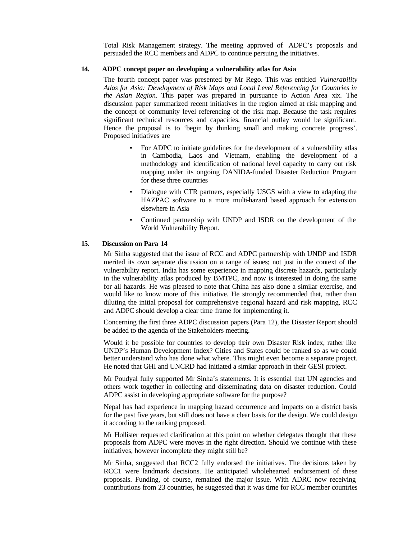Total Risk Management strategy. The meeting approved of ADPC's proposals and persuaded the RCC members and ADPC to continue persuing the initiatives.

#### **14. ADPC concept paper on developing a vulnerability atlas for Asia**

The fourth concept paper was presented by Mr Rego. This was entitled *Vulnerability Atlas for Asia: Development of Risk Maps and Local Level Referencing for Countries in the Asian Region*. This paper was prepared in pursuance to Action Area xix. The discussion paper summarized recent initiatives in the region aimed at risk mapping and the concept of community level referencing of the risk map. Because the task requires significant technical resources and capacities, financial outlay would be significant. Hence the proposal is to 'begin by thinking small and making concrete progress'. Proposed initiatives are

- For ADPC to initiate guidelines for the development of a vulnerability atlas in Cambodia, Laos and Vietnam, enabling the development of a methodology and identification of national level capacity to carry out risk mapping under its ongoing DANIDA-funded Disaster Reduction Program for these three countries
- Dialogue with CTR partners, especially USGS with a view to adapting the HAZPAC software to a more multi-hazard based approach for extension elsewhere in Asia
- Continued partnership with UNDP and ISDR on the development of the World Vulnerability Report.

# **15. Discussion on Para 14**

Mr Sinha suggested that the issue of RCC and ADPC partnership with UNDP and ISDR merited its own separate discussion on a range of issues; not just in the context of the vulnerability report. India has some experience in mapping discrete hazards, particularly in the vulnerability atlas produced by BMTPC, and now is interested in doing the same for all hazards. He was pleased to note that China has also done a similar exercise, and would like to know more of this initiative. He strongly recommended that, rather than diluting the initial proposal for comprehensive regional hazard and risk mapping, RCC and ADPC should develop a clear time frame for implementing it.

Concerning the first three ADPC discussion papers (Para 12), the Disaster Report should be added to the agenda of the Stakeholders meeting.

Would it be possible for countries to develop their own Disaster Risk index, rather like UNDP's Human Development Index? Cities and States could be ranked so as we could better understand who has done what where. This might even become a separate project. He noted that GHI and UNCRD had initiated a similar approach in their GESI project.

Mr Poudyal fully supported Mr Sinha's statements. It is essential that UN agencies and others work together in collecting and disseminating data on disaster reduction. Could ADPC assist in developing appropriate software for the purpose?

Nepal has had experience in mapping hazard occurrence and impacts on a district basis for the past five years, but still does not have a clear basis for the design. We could design it according to the ranking proposed.

Mr Hollister requested clarification at this point on whether delegates thought that these proposals from ADPC were moves in the right direction. Should we continue with these initiatives, however incomplete they might still be?

Mr Sinha, suggested that RCC2 fully endorsed the initiatives. The decisions taken by RCC1 were landmark decisions. He anticipated wholehearted endorsement of these proposals. Funding, of course, remained the major issue. With ADRC now receiving contributions from 23 countries, he suggested that it was time for RCC member countries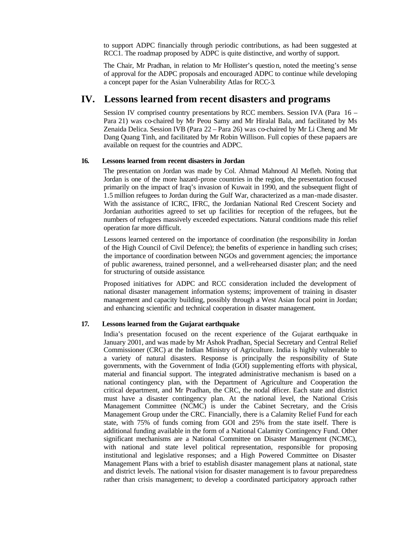to support ADPC financially through periodic contributions, as had been suggested at RCC1. The roadmap proposed by ADPC is quite distinctive, and worthy of support.

The Chair, Mr Pradhan, in relation to Mr Hollister's question, noted the meeting's sense of approval for the ADPC proposals and encouraged ADPC to continue while developing a concept paper for the Asian Vulnerability Atlas for RCC-3.

# **IV. Lessons learned from recent disasters and programs**

Session IV comprised country presentations by RCC members. Session IVA (Para 16 – Para 21) was co-chaired by Mr Peou Samy and Mr Hiralal Bala, and facilitated by Ms Zenaida Delica. Session IVB (Para 22 – Para 26) was co-chaired by Mr Li Cheng and Mr Dang Quang Tinh, and facilitated by Mr Robin Willison. Full copies of these papaers are available on request for the countries and ADPC.

### **16. Lessons learned from recent disasters in Jordan**

The presentation on Jordan was made by Col. Ahmad Mahnoud Al Mefleh. Noting that Jordan is one of the more hazard-prone countries in the region, the presentation focused primarily on the impact of Iraq's invasion of Kuwait in 1990, and the subsequent flight of 1.5 million refugees to Jordan during the Gulf War, characterized as a man-made disaster. With the assistance of ICRC, IFRC, the Jordanian National Red Crescent Society and Jordanian authorities agreed to set up facilities for reception of the refugees, but the numbers of refugees massively exceeded expectations. Natural conditions made this relief operation far more difficult.

Lessons learned centered on the importance of coordination (the responsibility in Jordan of the High Council of Civil Defence); the benefits of experience in handling such crises; the importance of coordination between NGOs and government agencies; the importance of public awareness, trained personnel, and a well-rehearsed disaster plan; and the need for structuring of outside assistance.

Proposed initiatives for ADPC and RCC consideration included the development of national disaster management information systems; improvement of training in disaster management and capacity building, possibly through a West Asian focal point in Jordan; and enhancing scientific and technical cooperation in disaster management.

#### **17. Lessons learned from the Gujarat earthquake**

India's presentation focused on the recent experience of the Gujarat earthquake in January 2001, and was made by Mr Ashok Pradhan, Special Secretary and Central Relief Commissioner (CRC) at the Indian Ministry of Agriculture. India is highly vulnerable to a variety of natural disasters. Response is principally the responsibility of State governments, with the Government of India (GOI) supplementing efforts with physical, material and financial support. The integrated administrative mechanism is based on a national contingency plan, with the Department of Agriculture and Cooperation the critical department, and Mr Pradhan, the CRC, the nodal officer. Each state and district must have a disaster contingency plan. At the national level, the National Crisis Management Committee (NCMC) is under the Cabinet Secretary, and the Crisis Management Group under the CRC. Financially, there is a Calamity Relief Fund for each state, with 75% of funds coming from GOI and 25% from the state itself. There is additional funding available in the form of a National Calamity Contingency Fund. Other significant mechanisms are a National Committee on Disaster Management (NCMC), with national and state level political representation, responsible for proposing institutional and legislative responses; and a High Powered Committee on Disaster Management Plans with a brief to establish disaster management plans at national, state and district levels. The national vision for disaster management is to favour preparedness rather than crisis management; to develop a coordinated participatory approach rather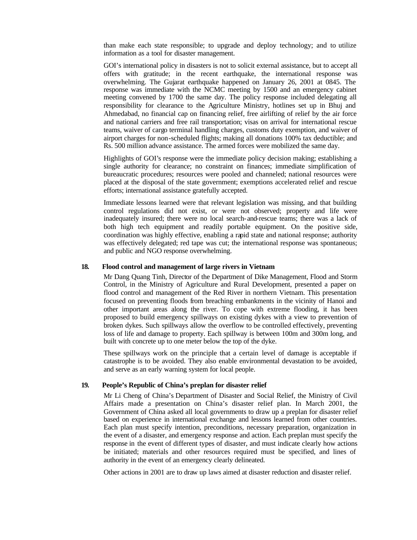than make each state responsible; to upgrade and deploy technology; and to utilize information as a tool for disaster management.

GOI's international policy in disasters is not to solicit external assistance, but to accept all offers with gratitude; in the recent earthquake, the international response was overwhelming. The Gujarat earthquake happened on January 26, 2001 at 0845. The response was immediate with the NCMC meeting by 1500 and an emergency cabinet meeting convened by 1700 the same day. The policy response included delegating all responsibility for clearance to the Agriculture Ministry, hotlines set up in Bhuj and Ahmedabad, no financial cap on financing relief, free airlifting of relief by the air force and national carriers and free rail transportation; visas on arrival for international rescue teams, waiver of cargo terminal handling charges, customs duty exemption, and waiver of airport charges for non-scheduled flights; making all donations 100% tax deductible; and Rs. 500 million advance assistance. The armed forces were mobilized the same day.

Highlights of GOI's response were the immediate policy decision making; establishing a single authority for clearance; no constraint on finances; immediate simplification of bureaucratic procedures; resources were pooled and channeled; national resources were placed at the disposal of the state government; exemptions accelerated relief and rescue efforts; international assistance gratefully accepted.

Immediate lessons learned were that relevant legislation was missing, and that building control regulations did not exist, or were not observed; property and life were inadequately insured; there were no local search-and-rescue teams; there was a lack of both high tech equipment and readily portable equipment. On the positive side, coordination was highly effective, enabling a rapid state and national response; authority was effectively delegated; red tape was cut; the international response was spontaneous; and public and NGO response overwhelming.

#### **18. Flood control and management of large rivers in Vietnam**

Mr Dang Quang Tinh, Director of the Department of Dike Management, Flood and Storm Control, in the Ministry of Agriculture and Rural Development, presented a paper on flood control and management of the Red River in northern Vietnam. This presentation focused on preventing floods from breaching embankments in the vicinity of Hanoi and other important areas along the river. To cope with extreme flooding, it has been proposed to build emergency spillways on existing dykes with a view to prevention of broken dykes. Such spillways allow the overflow to be controlled effectively, preventing loss of life and damage to property. Each spillway is between 100m and 300m long, and built with concrete up to one meter below the top of the dyke.

These spillways work on the principle that a certain level of damage is acceptable if catastrophe is to be avoided. They also enable environmental devastation to be avoided, and serve as an early warning system for local people.

### **19. People's Republic of China's preplan for disaster relief**

Mr Li Cheng of China's Department of Disaster and Social Relief, the Ministry of Civil Affairs made a presentation on China's disaster relief plan. In March 2001, the Government of China asked all local governments to draw up a preplan for disaster relief based on experience in international exchange and lessons learned from other countries. Each plan must specify intention, preconditions, necessary preparation, organization in the event of a disaster, and emergency response and action. Each preplan must specify the response in the event of different types of disaster, and must indicate clearly how actions be initiated; materials and other resources required must be specified, and lines of authority in the event of an emergency clearly delineated.

Other actions in 2001 are to draw up laws aimed at disaster reduction and disaster relief.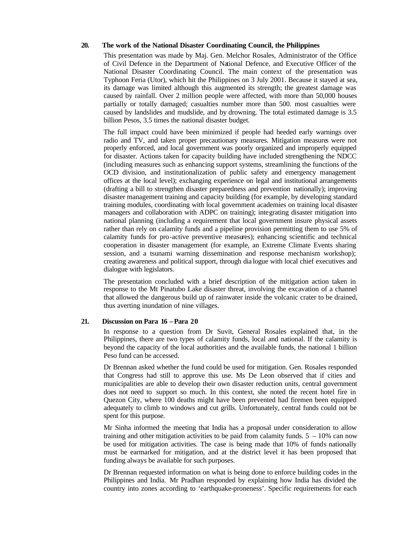#### **20. The work of the National Disaster Coordinating Council, the Philippines**

This presentation was made by Maj. Gen. Melchor Rosales, Administrator of the Office of Civil Defence in the Department of National Defence, and Executive Officer of the National Disaster Coordinating Council. The main context of the presentation was Typhoon Feria (Utor), which hit the Philippines on 3 July 2001. Because it stayed at sea, its damage was limited although this augmented its strength; the greatest damage was caused by rainfall. Over 2 million people were affected, with more than 50,000 houses partially or totally damaged; casualties number more than 500. most casualties were caused by landslides and mudslide, and by drowning. The total estimated damage is 3.5 billion Pesos, 3.5 times the national disaster budget.

The full impact could have been minimized if people had heeded early warnings over radio and TV, and taken proper precautionary measures. Mitigation measures were not properly enforced, and local government was poorly organized and improperly equipped for disaster. Actions taken for capacity building have included strengthening the NDCC (including measures such as enhancing support systems, streamlining the functions of the OCD division, and institutionalization of public safety and emergency management offices at the local level); exchanging experience on legal and institutional arrangements (drafting a bill to strengthen disaster preparedness and prevention nationally); improving disaster management training and capacity building (for example, by developing standard training modules, coordinating with local government academies on training local disaster managers and collaboration with ADPC on training); integrating disaster mitigation into national planning (including a requirement that local government insure physical assets rather than rely on calamity funds and a pipeline provision permitting them to use 5% of calamity funds for pro-active preventive measures); enhancing scientific and technical cooperation in disaster management (for example, an Extreme Climate Events sharing session, and a tsunami warning dissemination and response mechanism workshop); creating awareness and political support, through dia logue with local chief executives and dialogue with legislators.

The presentation concluded with a brief description of the mitigation action taken in response to the Mt Pinatubo Lake disaster threat, involving the excavation of a channel that allowed the dangerous build up of rainwater inside the volcanic crater to be drained, thus averting inundation of nine villages.

#### **21. Discussion on Para 16 – Para 20**

In response to a question from Dr Suvit, General Rosales explained that, in the Philippines, there are two types of calamity funds, local and national. If the calamity is beyond the capacity of the local authorities and the available funds, the national 1 billion Peso fund can be accessed.

Dr Brennan asked whether the fund could be used for mitigation. Gen. Rosales responded that Congress had still to approve this use. Ms De Leon observed that if cities and municipalities are able to develop their own disaster reduction units, central government does not need to support so much. In this context, she noted the recent hotel fire in Quezon City, where 100 deaths might have been prevented had firemen been equipped adequately to climb to windows and cut grills. Unfortunately, central funds could not be spent for this purpose.

Mr Sinha informed the meeting that India has a proposal under consideration to allow training and other mitigation activities to be paid from calamity funds.  $5 - 10\%$  can now be used for mitigation activities. The case is being made that 10% of funds nationally must be earmarked for mitigation, and at the district level it has been proposed that funding always be available for such purposes.

Dr Brennan requested information on what is being done to enforce building codes in the Philippines and India. Mr Pradhan responded by explaining how India has divided the country into zones according to 'earthquake-proneness'. Specific requirements for each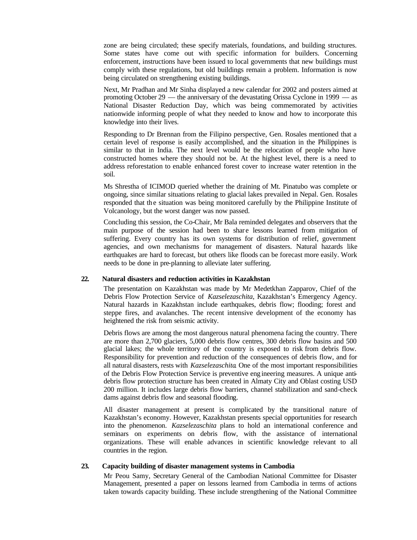zone are being circulated; these specify materials, foundations, and building structures. Some states have come out with specific information for builders. Concerning enforcement, instructions have been issued to local governments that new buildings must comply with these regulations, but old buildings remain a problem. Information is now being circulated on strengthening existing buildings.

Next, Mr Pradhan and Mr Sinha displayed a new calendar for 2002 and posters aimed at promoting October 29 — the anniversary of the devastating Orissa Cyclone in 1999 — as National Disaster Reduction Day, which was being commemorated by activities nationwide informing people of what they needed to know and how to incorporate this knowledge into their lives.

Responding to Dr Brennan from the Filipino perspective, Gen. Rosales mentioned that a certain level of response is easily accomplished, and the situation in the Philippines is similar to that in India. The next level would be the relocation of people who have constructed homes where they should not be. At the highest level, there is a need to address reforestation to enable enhanced forest cover to increase water retention in the soil.

Ms Shrestha of ICIMOD queried whether the draining of Mt. Pinatubo was complete or ongoing, since similar situations relating to glacial lakes prevailed in Nepal. Gen. Rosales responded that the situation was being monitored carefully by the Philippine Institute of Volcanology, but the worst danger was now passed.

Concluding this session, the Co-Chair, Mr Bala reminded delegates and observers that the main purpose of the session had been to share lessons learned from mitigation of suffering. Every country has its own systems for distribution of relief, government agencies, and own mechanisms for management of disasters. Natural hazards like earthquakes are hard to forecast, but others like floods can be forecast more easily. Work needs to be done in pre-planning to alleviate later suffering.

#### **22. Natural disasters and reduction activities in Kazakhstan**

The presentation on Kazakhstan was made by Mr Medetkhan Zapparov, Chief of the Debris Flow Protection Service of *Kazselezaschita*, Kazakhstan's Emergency Agency. Natural hazards in Kazakhstan include earthquakes, debris flow; flooding; forest and steppe fires, and avalanches. The recent intensive development of the economy has heightened the risk from seismic activity.

Debris flows are among the most dangerous natural phenomena facing the country. There are more than 2,700 glaciers, 5,000 debris flow centres, 300 debris flow basins and 500 glacial lakes; the whole territory of the country is exposed to risk from debris flow. Responsibility for prevention and reduction of the consequences of debris flow, and for all natural disasters, rests with *Kazselezaschita*. One of the most important responsibilities of the Debris Flow Protection Service is preventive eng ineering measures. A unique antidebris flow protection structure has been created in Almaty City and Oblast costing USD 200 million. It includes large debris flow barriers, channel stabilization and sand-check dams against debris flow and seasonal flooding.

All disaster management at present is complicated by the transitional nature of Kazakhstan's economy. However, Kazakhstan presents special opportunities for research into the phenomenon. *Kazselezaschita* plans to hold an international conference and seminars on experiments on debris flow, with the assistance of international organizations. These will enable advances in scientific knowledge relevant to all countries in the region.

#### **23. Capacity building of disaster management systems in Cambodia**

Mr Peou Samy, Secretary General of the Cambodian National Committee for Disaster Management, presented a paper on lessons learned from Cambodia in terms of actions taken towards capacity building. These include strengthening of the National Committee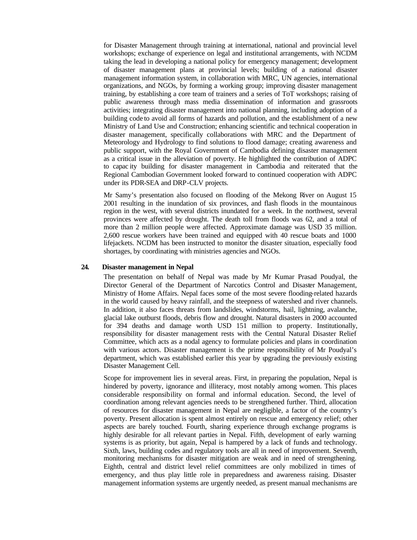for Disaster Management through training at international, national and provincial level workshops; exchange of experience on legal and institutional arrangements, with NCDM taking the lead in developing a national policy for emergency management; development of disaster management plans at provincial levels; building of a national disaster management information system, in collaboration with MRC, UN agencies, international organizations, and NGOs, by forming a working group; improving disaster management training, by establishing a core team of trainers and a series of ToT workshops; raising of public awareness through mass media dissemination of information and grassroots activities; integrating disaster management into national planning, including adoption of a building code to avoid all forms of hazards and pollution, and the establishment of a new Ministry of Land Use and Construction; enhancing scientific and technical cooperation in disaster management, specifically collaborations with MRC and the Department of Meteorology and Hydrology to find solutions to flood damage; creating awareness and public support, with the Royal Government of Cambodia defining disaster management as a critical issue in the alleviation of poverty. He highlighted the contribution of ADPC to capac ity building for disaster management in Cambodia and reiterated that the Regional Cambodian Government looked forward to continued cooperation with ADPC under its PDR-SEA and DRP-CLV projects.

Mr Samy's presentation also focused on flooding of the Mekong River on August 15 2001 resulting in the inundation of six provinces, and flash floods in the mountainous region in the west, with several districts inundated for a week. In the northwest, several provinces were affected by drought. The death toll from floods was 62, and a total of more than 2 million people were affected. Approximate damage was USD 35 million. 2,600 rescue workers have been trained and equipped with 40 rescue boats and 1000 lifejackets. NCDM has been instructed to monitor the disaster situation, especially food shortages, by coordinating with ministries agencies and NGOs.

#### **24. Disaster management in Nepal**

The presentation on behalf of Nepal was made by Mr Kumar Prasad Poudyal, the Director General of the Department of Narcotics Control and Disaster Management, Ministry of Home Affairs. Nepal faces some of the most severe flooding-related hazards in the world caused by heavy rainfall, and the steepness of watershed and river channels. In addition, it also faces threats from landslides, windstorms, hail, lightning, avalanche, glacial lake outburst floods, debris flow and drought. Natural disasters in 2000 accounted for 394 deaths and damage worth USD 151 million to property. Institutionally, responsibility for disaster management rests with the Central Natural Disaster Relief Committee, which acts as a nodal agency to formulate policies and plans in coordination with various actors. Disaster management is the prime responsibility of Mr Poudyal's department, which was established earlier this year by upgrading the previously existing Disaster Management Cell.

Scope for improvement lies in several areas. First, in preparing the population, Nepal is hindered by poverty, ignorance and illiteracy, most notably among women. This places considerable responsibility on formal and informal education. Second, the level of coordination among relevant agencies needs to be strengthened further. Third, allocation of resources for disaster management in Nepal are negligible, a factor of the country's poverty. Present allocation is spent almost entirely on rescue and emergency relief; other aspects are barely touched. Fourth, sharing experience through exchange programs is highly desirable for all relevant parties in Nepal. Fifth, development of early warning systems is as priority, but again, Nepal is hampered by a lack of funds and technology. Sixth, laws, building codes and regulatory tools are all in need of improvement. Seventh, monitoring mechanisms for disaster mitigation are weak and in need of strengthening. Eighth, central and district level relief committees are only mobilized in times of emergency, and thus play little role in preparedness and awareness raising. Disaster management information systems are urgently needed, as present manual mechanisms are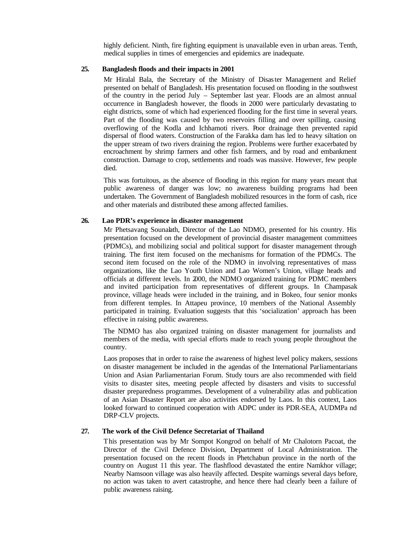highly deficient. Ninth, fire fighting equipment is unavailable even in urban areas. Tenth, medical supplies in times of emergencies and epidemics are inadequate.

#### **25. Bangladesh floods and their impacts in 2001**

Mr Hiralal Bala, the Secretary of the Ministry of Disaster Management and Relief presented on behalf of Bangladesh. His presentation focused on flooding in the southwest of the country in the period July – September last year. Floods are an almost annual occurrence in Bangladesh however, the floods in 2000 were particularly devastating to eight districts, some of which had experienced flooding for the first time in several years. Part of the flooding was caused by two reservoirs filling and over spilling, causing overflowing of the Kodla and Ichhamoti rivers. Poor drainage then prevented rapid dispersal of flood waters. Construction of the Farakka dam has led to heavy siltation on the upper stream of two rivers draining the region. Problems were further exacerbated by encroachment by shrimp farmers and other fish farmers, and by road and embankment construction. Damage to crop, settlements and roads was massive. However, few people died.

This was fortuitous, as the absence of flooding in this region for many years meant that public awareness of danger was low; no awareness building programs had been undertaken. The Government of Bangladesh mobilized resources in the form of cash, rice and other materials and distributed these among affected families.

#### **26. Lao PDR's experience in disaster management**

Mr Phetsavang Sounalath, Director of the Lao NDMO, presented for his country. His presentation focused on the development of provincial disaster management committees (PDMCs), and mobilizing social and political support for disaster management through training. The first item focused on the mechanisms for formation of the PDMCs. The second item focused on the role of the NDMO in involving representatives of mass organizations, like the Lao Youth Union and Lao Women's Union, village heads and officials at different levels. In 2000, the NDMO organized training for PDMC members and invited participation from representatives of different groups. In Champasak province, village heads were included in the training, and in Bokeo, four senior monks from different temples. In Attapeu province, 10 members of the National Assembly participated in training. Evaluation suggests that this 'socialization' approach has been effective in raising public awareness.

The NDMO has also organized training on disaster management for journalists and members of the media, with special efforts made to reach young people throughout the country.

Laos proposes that in order to raise the awareness of highest level policy makers, sessions on disaster management be included in the agendas of the International Parliamentarians Union and Asian Parliamentarian Forum. Study tours are also recommended with field visits to disaster sites, meeting people affected by disasters and visits to successful disaster preparedness programmes. Development of a vulnerability atlas and publication of an Asian Disaster Report are also activities endorsed by Laos. In this context, Laos looked forward to continued cooperation with ADPC under its PDR-SEA, AUDMPa nd DRP-CLV projects.

# **27. The work of the Civil Defence Secretariat of Thailand**

This presentation was by Mr Sompot Kongrod on behalf of Mr Chalotorn Pacoat, the Director of the Civil Defence Division, Department of Local Administration. The presentation focused on the recent floods in Phetchabun province in the north of the country on August 11 this year. The flashflood devastated the entire Namkhor village; Nearby Namsoon village was also heavily affected. Despite warnings several days before, no action was taken to avert catastrophe, and hence there had clearly been a failure of public awareness raising.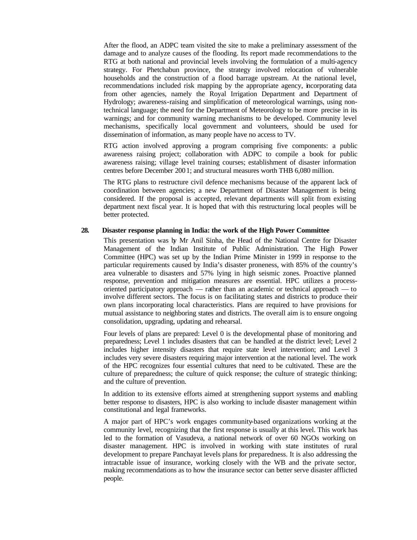After the flood, an ADPC team visited the site to make a preliminary assessment of the damage and to analyze causes of the flooding. Its report made recommendations to the RTG at both national and provincial levels involving the formulation of a multi-agency strategy. For Phetchabun province, the strategy involved relocation of vulnerable households and the construction of a flood barrage upstream. At the national level, recommendations included risk mapping by the appropriate agency, incorporating data from other agencies, namely the Royal Irrigation Department and Department of Hydrology; awareness-raising and simplification of meteorological warnings, using nontechnical language; the need for the Department of Meteorology to be more precise in its warnings; and for community warning mechanisms to be developed. Community level mechanisms, specifically local government and volunteers, should be used for dissemination of information, as many people have no access to TV.

RTG action involved approving a program comprising five components: a public awareness raising project; collaboration with ADPC to compile a book for public awareness raising; village level training courses; establishment of disaster information centres before December 2001; and structural measures worth THB 6,080 million.

The RTG plans to restructure civil defence mechanisms because of the apparent lack of coordination between agencies; a new Department of Disaster Management is being considered. If the proposal is accepted, relevant departments will split from existing department next fiscal year. It is hoped that with this restructuring local peoples will be better protected.

#### **28. Disaster response planning in India: the work of the High Power Committee**

This presentation was by Mr Anil Sinha, the Head of the National Centre for Disaster Management of the Indian Institute of Public Administration. The High Power Committee (HPC) was set up by the Indian Prime Minister in 1999 in response to the particular requirements caused by India's disaster proneness, with 85% of the country's area vulnerable to disasters and 57% lying in high seismic zones. Proactive planned response, prevention and mitigation measures are essential. HPC utilizes a processoriented participatory approach — rather than an academic or technical approach — to involve different sectors. The focus is on facilitating states and districts to produce their own plans incorporating local characteristics. Plans are required to have provisions for mutual assistance to neighboring states and districts. The overall aim is to ensure ongoing consolidation, upgrading, updating and rehearsal.

Four levels of plans are prepared: Level 0 is the developmental phase of monitoring and preparedness; Level 1 includes disasters that can be handled at the district level; Level 2 includes higher intensity disasters that require state level intervention; and Level 3 includes very severe disasters requiring major intervention at the national level. The work of the HPC recognizes four essential cultures that need to be cultivated. These are the culture of preparedness; the culture of quick response; the culture of strategic thinking; and the culture of prevention.

In addition to its extensive efforts aimed at strengthening support systems and enabling better response to disasters, HPC is also working to include disaster management within constitutional and legal frameworks.

A major part of HPC's work engages community-based organizations working at the community level, recognizing that the first response is usually at this level. This work has led to the formation of Vasudeva, a national network of over 60 NGOs working on disaster management. HPC is involved in working with state institutes of rural development to prepare Panchayat levels plans for preparedness. It is also addressing the intractable issue of insurance, working closely with the WB and the private sector, making recommendations as to how the insurance sector can better serve disaster afflicted people.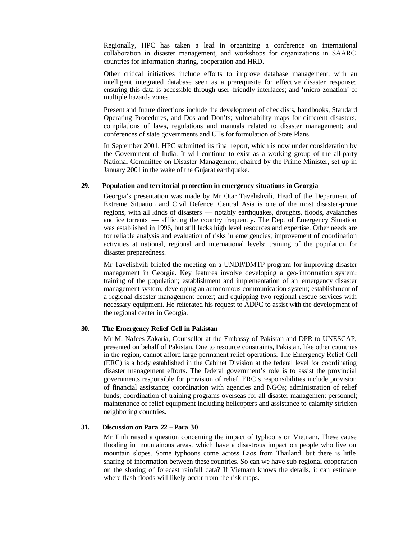Regionally, HPC has taken a lead in organizing a conference on international collaboration in disaster management, and workshops for organizations in SAARC countries for information sharing, cooperation and HRD.

Other critical initiatives include efforts to improve database management, with an intelligent integrated database seen as a prerequisite for effective disaster response; ensuring this data is accessible through user-friendly interfaces; and 'micro-zonation' of multiple hazards zones.

Present and future directions include the development of checklists, handbooks, Standard Operating Procedures, and Dos and Don'ts; vulnerability maps for different disasters; compilations of laws, regulations and manuals related to disaster management; and conferences of state governments and UTs for formulation of State Plans.

In September 2001, HPC submitted its final report, which is now under consideration by the Government of India. It will continue to exist as a working group of the all-party National Committee on Disaster Management, chaired by the Prime Minister, set up in January 2001 in the wake of the Gujarat earthquake.

#### **29. Population and territorial protection in emergency situations in Georgia**

Georgia's presentation was made by Mr Otar Tavelishvili, Head of the Department of Extreme Situation and Civil Defence. Central Asia is one of the most disaster-prone regions, with all kinds of disasters — notably earthquakes, droughts, floods, avalanches and ice torrents — afflicting the country frequently. The Dept of Emergency Situation was established in 1996, but still lacks high level resources and expertise. Other needs are for reliable analysis and evaluation of risks in emergencies; improvement of coordination activities at national, regional and international levels; training of the population for disaster preparedness.

Mr Tavelishvili briefed the meeting on a UNDP/DMTP program for improving disaster management in Georgia. Key features involve developing a geo-information system; training of the population; establishment and implementation of an emergency disaster management system; developing an autonomous communication system; establishment of a regional disaster management center; and equipping two regional rescue services with necessary equipment. He reiterated his request to ADPC to assist with the development of the regional center in Georgia.

#### **30. The Emergency Relief Cell in Pakistan**

Mr M. Nafees Zakaria, Counsellor at the Embassy of Pakistan and DPR to UNESCAP, presented on behalf of Pakistan. Due to resource constraints, Pakistan, like other countries in the region, cannot afford large permanent relief operations. The Emergency Relief Cell (ERC) is a body established in the Cabinet Division at the federal level for coordinating disaster management efforts. The federal government's role is to assist the provincial governments responsible for provision of relief. ERC's responsibilities include provision of financial assistance; coordination with agencies and NGOs; administration of relief funds; coordination of training programs overseas for all disaster management personnel; maintenance of relief equipment including helicopters and assistance to calamity stricken neighboring countries.

# **31. Discussion on Para 22 – Para 30**

Mr Tinh raised a question concerning the impact of typhoons on Vietnam. These cause flooding in mountainous areas, which have a disastrous impact on people who live on mountain slopes. Some typhoons come across Laos from Thailand, but there is little sharing of information between these countries. So can we have sub-regional cooperation on the sharing of forecast rainfall data? If Vietnam knows the details, it can estimate where flash floods will likely occur from the risk maps.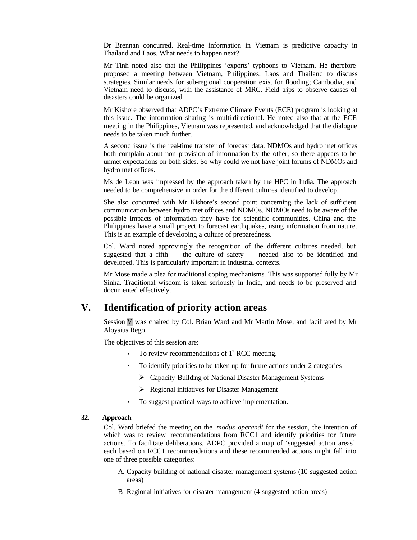Dr Brennan concurred. Real-time information in Vietnam is predictive capacity in Thailand and Laos. What needs to happen next?

Mr Tinh noted also that the Philippines 'exports' typhoons to Vietnam. He therefore proposed a meeting between Vietnam, Philippines, Laos and Thailand to discuss strategies. Similar needs for sub-regional cooperation exist for flooding; Cambodia, and Vietnam need to discuss, with the assistance of MRC. Field trips to observe causes of disasters could be organized

Mr Kishore observed that ADPC's Extreme Climate Events (ECE) program is lookin g at this issue. The information sharing is multi-directional. He noted also that at the ECE meeting in the Philippines, Vietnam was represented, and acknowledged that the dialogue needs to be taken much further.

A second issue is the real-time transfer of forecast data. NDMOs and hydro met offices both complain about non-provision of information by the other, so there appears to be unmet expectations on both sides. So why could we not have joint forums of NDMOs and hydro met offices.

Ms de Leon was impressed by the approach taken by the HPC in India. The approach needed to be comprehensive in order for the different cultures identified to develop.

She also concurred with Mr Kishore's second point concerning the lack of sufficient communication between hydro met offices and NDMOs. NDMOs need to be aware of the possible impacts of information they have for scientific communities. China and the Philippines have a small project to forecast earthquakes, using information from nature. This is an example of developing a culture of preparedness.

Col. Ward noted approvingly the recognition of the different cultures needed, but suggested that a fifth — the culture of safety — needed also to be identified and developed. This is particularly important in industrial contexts.

Mr Mose made a plea for traditional coping mechanisms. This was supported fully by Mr Sinha. Traditional wisdom is taken seriously in India, and needs to be preserved and documented effectively.

# **V. Identification of priority action areas**

Session V was chaired by Col. Brian Ward and Mr Martin Mose, and facilitated by Mr Aloysius Rego.

The objectives of this session are:

- To review recommendations of  $1<sup>st</sup> RCC$  meeting.
- To identify priorities to be taken up for future actions under 2 categories
	- ÿ Capacity Building of National Disaster Management Systems
	- ÿ Regional initiatives for Disaster Management
- To suggest practical ways to achieve implementation.

### **32. Approach**

Col. Ward briefed the meeting on the *modus operandi* for the session, the intention of which was to review recommendations from RCC1 and identify priorities for future actions. To facilitate deliberations, ADPC provided a map of 'suggested action areas', each based on RCC1 recommendations and these recommended actions might fall into one of three possible categories:

- A. Capacity building of national disaster management systems (10 suggested action areas)
- B. Regional initiatives for disaster management (4 suggested action areas)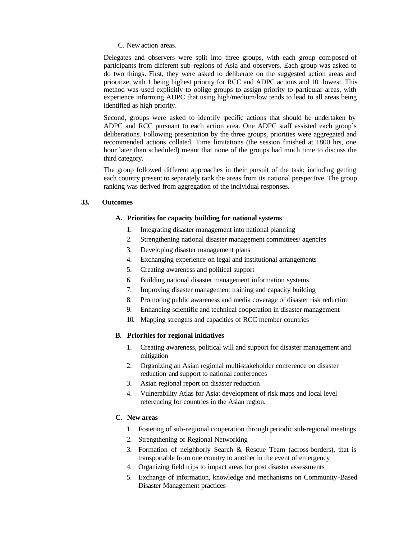#### C. New action areas.

Delegates and observers were split into three groups, with each group composed of participants from different sub-regions of Asia and observers. Each group was asked to do two things. First, they were asked to deliberate on the suggested action areas and prioritize, with 1 being highest priority for RCC and ADPC actions and 10 lowest. This method was used explicitly to oblige groups to assign priority to particular areas, with experience informing ADPC that using high/medium/low tends to lead to all areas being identified as high priority.

Second, groups were asked to identify specific actions that should be undertaken by ADPC and RCC pursuant to each action area. One ADPC staff assisted each group's deliberations. Following presentation by the three groups, priorities were aggregated and recommended actions collated. Time limitations (the session finished at 1800 hrs, one hour later than scheduled) meant that none of the groups had much time to discuss the third category.

The group followed different approaches in their pursuit of the task; including getting each country present to separately rank the areas from its national perspective. The group ranking was derived from aggregation of the individual responses.

## **33. Outcomes**

#### **A. Priorities for capacity building for national systems**

- 1. Integrating disaster management into national planning
- 2. Strengthening national disaster management committees/ agencies
- 3. Developing disaster management plans
- 4. Exchanging experience on legal and institutional arrangements
- 5. Creating awareness and political support
- 6. Building national disaster management information systems
- 7. Improving disaster management training and capacity building
- 8. Promoting public awareness and media coverage of disaster risk reduction
- 9. Enhancing scientific and technical cooperation in disaster management
- 10. Mapping strengths and capacities of RCC member countries

### **B. Priorities for regional initiatives**

- 1. Creating awareness, political will and support for disaster management and mitigation
- 2. Organizing an Asian regional multi-stakeholder conference on disaster reduction and support to national conferences
- 3. Asian regional report on disaster reduction
- 4. Vulnerability Atlas for Asia: development of risk maps and local level referencing for countries in the Asian region.

# **C. New areas**

- 1. Fostering of sub-regional cooperation through periodic sub-regional meetings
- 2. Strengthening of Regional Networking
- 3. Formation of neighborly Search & Rescue Team (across-borders), that is transportable from one country to another in the event of emergency
- 4. Organizing field trips to impact areas for post disaster assessments
- 5. Exchange of information, knowledge and mechanisms on Community-Based Disaster Management practices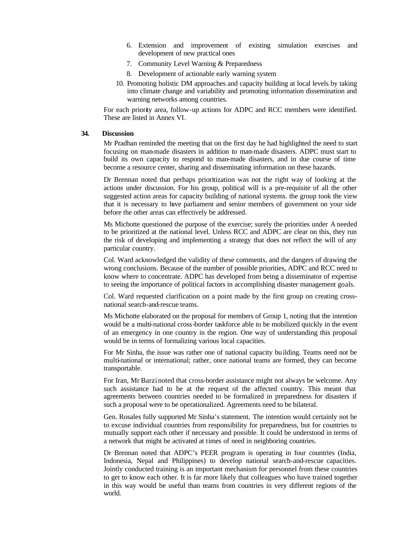- 6. Extension and improvement of existing simulation exercises and development of new practical ones
- 7. Community Level Warning & Preparedness
- 8. Development of actionable early warning system
- 10. Promoting holistic DM approaches and capacity building at local levels by taking into climate change and variability and promoting information dissemination and warning networks among countries.

For each priority area, follow-up actions for ADPC and RCC members were identified. These are listed in Annex VI.

### **34. Discussion**

Mr Pradhan reminded the meeting that on the first day he had highlighted the need to start focusing on man-made disasters in addition to man-made disasters. ADPC must start to build its own capacity to respond to man-made disasters, and in due course of time become a resource center, sharing and disseminating information on these hazards.

Dr Brennan noted that perhaps prioritization was not the right way of looking at the actions under discussion. For his group, political will is a pre-requisite of all the other suggested action areas for capacity building of national systems. the group took the view that it is necessary to have parliament and senior members of government on your side before the other areas can effectively be addressed.

Ms Michotte questioned the purpose of the exercise; surely the priorities under A needed to be prioritized at the national level. Unless RCC and ADPC are clear on this, they run the risk of developing and implementing a strategy that does not reflect the will of any particular country.

Col. Ward acknowledged the validity of these comments, and the dangers of drawing the wrong conclusions. Because of the number of possible priorities, ADPC and RCC need to know where to concentrate. ADPC has developed from being a disseminator of expertise to seeing the importance of political factors in accomplishing disaster management goals.

Col. Ward requested clarification on a point made by the first group on creating crossnational search-and-rescue teams.

Ms Michotte elaborated on the proposal for members of Group 1, noting that the intention would be a multi-national cross-border taskforce able to be mobilized quickly in the event of an emergency in one country in the region. One way of understanding this proposal would be in terms of formalizing various local capacities.

For Mr Sinha, the issue was rather one of national capacity bu ilding. Teams need not be multi-national or international; rather, once national teams are formed, they can become transportable.

For Iran, Mr Barzi noted that cross-border assistance might not always be welcome. Any such assistance had to be at the request of the affected country. This meant that agreements between countries needed to be formalized in preparedness for disasters if such a proposal were to be operationalized. Agreements need to be bilateral.

Gen. Rosales fully supported Mr Sinha's statement. The intention would certainly not be to excuse individual countries from responsibility for preparedness, but for countries to mutually support each other if necessary and possible. It could be understood in terms of a network that might be activated at times of need in neighboring countries.

Dr Brennan noted that ADPC's PEER program is operating in four countries (India, Indonesia, Nepal and Philippines) to develop national search-and-rescue capacities. Jointly conducted training is an important mechanism for personnel from these countries to get to know each other. It is far more likely that colleagues who have trained together in this way would be useful than teams from countries in very different regions of the world.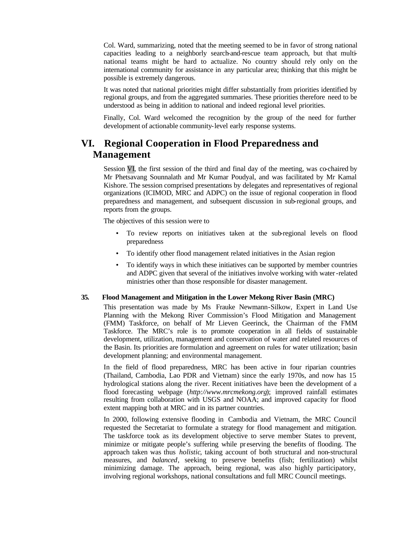Col. Ward, summarizing, noted that the meeting seemed to be in favor of strong national capacities leading to a neighborly search-and-rescue team approach, but that multinational teams might be hard to actualize. No country should rely only on the international community for assistance in any particular area; thinking that this might be possible is extremely dangerous.

It was noted that national priorities might differ substantially from priorities identified by regional groups, and from the aggregated summaries. These priorities therefore need to be understood as being in addition to national and indeed regional level priorities.

Finally, Col. Ward welcomed the recognition by the group of the need for further development of actionable community-level early response systems.

# **VI. Regional Cooperation in Flood Preparedness and Management**

Session VI, the first session of the third and final day of the meeting, was co-chaired by Mr Phetsavang Sounnalath and Mr Kumar Poudyal, and was facilitated by Mr Kamal Kishore. The session comprised presentations by delegates and representatives of regional organizations (ICIMOD, MRC and ADPC) on the issue of regional cooperation in flood preparedness and management, and subsequent discussion in sub-regional groups, and reports from the groups.

The objectives of this session were to

- To review reports on initiatives taken at the sub-regional levels on flood preparedness
- To identify other flood management related initiatives in the Asian region
- To identify ways in which these initiatives can be supported by member countries and ADPC given that several of the initiatives involve working with water-related ministries other than those responsible for disaster management.

#### **35. Flood Management and Mitigation in the Lower Mekong River Basin (MRC)**

This presentation was made by Ms Frauke Newmann-Silkow, Expert in Land Use Planning with the Mekong River Commission's Flood Mitigation and Management (FMM) Taskforce, on behalf of Mr Lieven Geerinck, the Chairman of the FMM Taskforce. The MRC's role is to promote cooperation in all fields of sustainable development, utilization, management and conservation of water and related resources of the Basin. Its priorities are formulation and agreement on rules for water utilization; basin development planning; and environmental management.

In the field of flood preparedness, MRC has been active in four riparian countries (Thailand, Cambodia, Lao PDR and Vietnam) since the early 1970s, and now has 15 hydrological stations along the river. Recent initiatives have been the development of a flood forecasting webpage (*http://www.mrcmekong.org*); improved rainfall estimates resulting from collaboration with USGS and NOAA; and improved capacity for flood extent mapping both at MRC and in its partner countries.

In 2000, following extensive flooding in Cambodia and Vietnam, the MRC Council requested the Secretariat to formulate a strategy for flood management and mitigation. The taskforce took as its development objective to serve member States to prevent, minimize or mitigate people's suffering while pr eserving the benefits of flooding. The approach taken was thus *holistic*, taking account of both structural and non-structural measures, and *balanced*, seeking to preserve benefits (fish; fertilization) whilst minimizing damage. The approach, being regional, was also highly participatory, involving regional workshops, national consultations and full MRC Council meetings.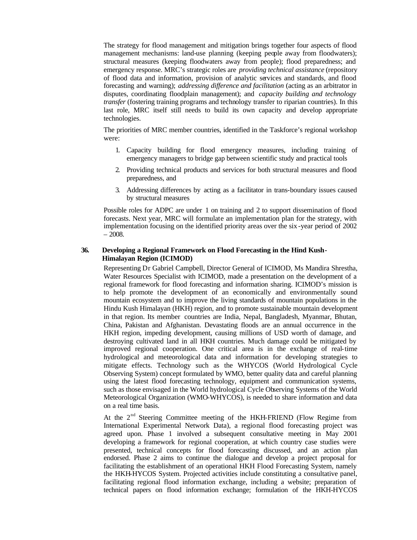The strategy for flood management and mitigation brings together four aspects of flood management mechanisms: land-use planning (keeping people away from floodwaters); structural measures (keeping floodwaters away from people); flood preparedness; and emergency response. MRC's strategic roles are *providing technical assistance* (repository of flood data and information, provision of analytic services and standards, and flood forecasting and warning); *addressing difference and facilitation* (acting as an arbitrator in disputes, coordinating floodplain management); and *capacity building and technology transfer* (fostering training programs and technology transfer to riparian countries). In this last role, MRC itself still needs to build its own capacity and develop appropriate technologies.

The priorities of MRC member countries, identified in the Taskforce's regional workshop were:

- 1. Capacity building for flood emergency measures, including training of emergency managers to bridge gap between scientific study and practical tools
- 2. Providing technical products and services for both structural measures and flood preparedness, and
- 3. Addressing differences by acting as a facilitator in trans-boundary issues caused by structural measures

Possible roles for ADPC are under 1 on training and 2 to support dissemination of flood forecasts. Next year, MRC will formulate an implementation plan for the strategy, with implementation focusing on the identified priority areas over the six -year period of 2002 – 2008.

#### **36. Developing a Regional Framework on Flood Forecasting in the Hind Kush-Himalayan Region (ICIMOD)**

Representing Dr Gabriel Campbell, Director General of ICIMOD, Ms Mandira Shrestha, Water Resources Specialist with ICIMOD, made a presentation on the development of a regional framework for flood forecasting and information sharing. ICIMOD's mission is to help promote the development of an economically and environmentally sound mountain ecosystem and to improve the living standards of mountain populations in the Hindu Kush Himalayan (HKH) region, and to promote sustainable mountain development in that region. Its member countries are India, Nepal, Bangladesh, Myanmar, Bhutan, China, Pakistan and Afghanistan. Devastating floods are an annual occurrence in the HKH region, impeding development, causing millions of USD worth of damage, and destroying cultivated land in all HKH countries. Much damage could be mitigated by improved regional cooperation. One critical area is in the exchange of real-time hydrological and meteorological data and information for developing strategies to mitigate effects. Technology such as the WHYCOS (World Hydrological Cycle Observing System) concept formulated by WMO, better quality data and careful planning using the latest flood forecasting technology, equipment and communication systems, such as those envisaged in the World hydrological Cycle Observing Systems of the World Meteorological Organization (WMO-WHYCOS), is needed to share information and data on a real time basis.

At the  $2<sup>nd</sup>$  Steering Committee meeting of the HKH-FRIEND (Flow Regime from International Experimental Network Data), a regional flood forecasting project was agreed upon. Phase 1 involved a subsequent consultative meeting in May 2001 developing a framework for regional cooperation, at which country case studies were presented, technical concepts for flood forecasting discussed, and an action plan endorsed. Phase 2 aims to continue the dialogue and develop a project proposal for facilitating the establishment of an operational HKH Flood Forecasting System, namely the HKH-HYCOS System. Projected activities include constituting a consultative panel, facilitating regional flood information exchange, including a website; preparation of technical papers on flood information exchange; formulation of the HKH-HYCOS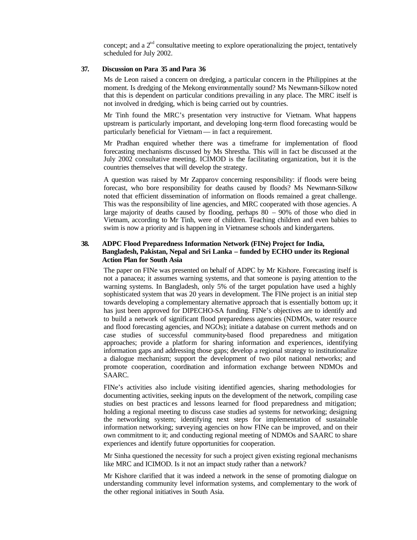concept; and a  $2<sup>nd</sup>$  consultative meeting to explore operationalizing the project, tentatively scheduled for July 2002.

#### **37. Discussion on Para 35 and Para 36**

Ms de Leon raised a concern on dredging, a particular concern in the Philippines at the moment. Is dredging of the Mekong environmentally sound? Ms Newmann-Silkow noted that this is dependent on particular conditions prevailing in any place. The MRC itself is not involved in dredging, which is being carried out by countries.

Mr Tinh found the MRC's presentation very instructive for Vietnam. What happens upstream is particularly important, and developing long-term flood forecasting would be particularly beneficial for Vietnam — in fact a requirement.

Mr Pradhan enquired whether there was a timeframe for implementation of flood forecasting mechanisms discussed by Ms Shrestha. This will in fact be discussed at the July 2002 consultative meeting. ICIMOD is the facilitating organization, but it is the countries themselves that will develop the strategy.

A question was raised by Mr Zapparov concerning responsibility: if floods were being forecast, who bore responsibility for deaths caused by floods? Ms Newmann-Silkow noted that efficient dissemination of information on floods remained a great challenge. This was the responsibility of line agencies, and MRC cooperated with those agencies. A large majority of deaths caused by flooding, perhaps  $80 - 90\%$  of those who died in Vietnam, according to Mr Tinh, were of children. Teaching children and even babies to swim is now a priority and is happen ing in Vietnamese schools and kindergartens.

# **38. ADPC Flood Preparedness Information Network (FINe) Project for India, Bangladesh, Pakistan, Nepal and Sri Lanka – funded by ECHO under its Regional Action Plan for South Asia**

The paper on FINe was presented on behalf of ADPC by Mr Kishore. Forecasting itself is not a panacea; it assumes warning systems, and that someone is paying attention to the warning systems. In Bangladesh, only 5% of the target population have used a highly sophisticated system that was 20 years in development. The FINe project is an initial step towards developing a complementary alternative approach that is essentially bottom up; it has just been approved for DIPECHO-SA funding. FINe's objectives are to identify and to build a network of significant flood preparedness agencies (NDMOs, water resource and flood forecasting agencies, and NGOs); initiate a database on current methods and on case studies of successful community-based flood preparedness and mitigation approaches; provide a platform for sharing information and experiences, identifying information gaps and addressing those gaps; develop a regional strategy to institutionalize a dialogue mechanism; support the development of two pilot national networks; and promote cooperation, coordination and information exchange between NDMOs and SAARC.

FINe's activities also include visiting identified agencies, sharing methodologies for documenting activities, seeking inputs on the development of the network, compiling case studies on best practic es and lessons learned for flood preparedness and mitigation; holding a regional meeting to discuss case studies ad systems for networking; designing the networking system; identifying next steps for implementation of sustainable information networking; surveying agencies on how FINe can be improved, and on their own commitment to it; and conducting regional meeting of NDMOs and SAARC to share experiences and identify future opportunities for cooperation.

Mr Sinha questioned the necessity for such a project given existing regional mechanisms like MRC and ICIMOD. Is it not an impact study rather than a network?

Mr Kishore clarified that it was indeed a network in the sense of promoting dialogue on understanding community level information systems, and complementary to the work of the other regional initiatives in South Asia.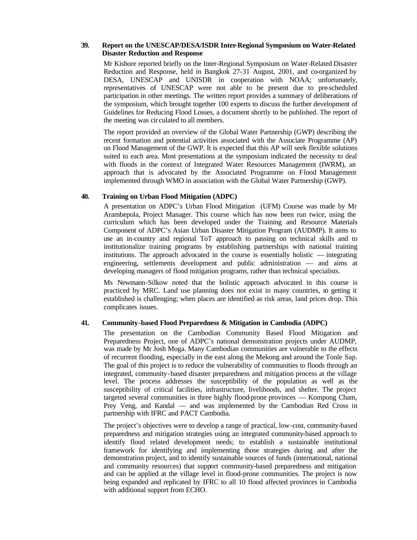# **39. Report on the UNESCAP/DESA/ISDR Inter-Regional Symposium on Water-Related Disaster Reduction and Response**

Mr Kishore reported briefly on the Inter-Regional Symposium on Water-Related Disaster Reduction and Response, held in Bangkok 27-31 August, 2001, and co-organized by DESA, UNESCAP and UNISDR in cooperation with NOAA; unfortunately, representatives of UNESCAP were not able to be present due to pre-scheduled participation in other meetings. The written report provides a summary of deliberations of the symposium, which brought together 100 experts to discuss the further development of Guidelines for Reducing Flood Losses, a document shortly to be published. The report of the meeting was cir culated to all members.

The report provided an overview of the Global Water Partnership (GWP) describing the recent formation and potential activities associated with the Associate Programme (AP) on Flood Management of the GWP. It is expected that this AP will seek flexible solutions suited to each area. Most presentations at the symposium indicated the necessity to deal with floods in the context of Integrated Water Resources Management (IWRM), an approach that is advocated by the Associated Programme on Flood Management implemented through WMO in association with the Global Water Partnership (GWP).

#### **40. Training on Urban Flood Mitigation (ADPC)**

A presentation on ADPC's Urban Flood Mitigation (UFM) Course was made by Mr Arambepola, Project Manager. This course which has now been run twice, using the curriculum which has been developed under the Training and Resource Materials Component of ADPC's Asian Urban Disaster Mitigation Program (AUDMP). It aims to use an in-country and regional ToT approach to passing on technical skills and to institutionalize training programs by establishing partnerships with national training institutions. The approach advocated in the course is essentially holistic — integrating engineering, settlements development and public administration — and aims at developing managers of flood mitigation programs, rather than technical specialists.

Ms Newmann-Silkow noted that the holistic approach advocated in this course is practiced by MRC. Land use planning does not exist in many countries, so getting it established is challenging; when places are identified as risk areas, land prices drop. This complicates issues.

# **41. Community-based Flood Preparedness & Mitigation in Cambodia (ADPC)**

The presentation on the Cambodian Community Based Flood Mitigation and Preparedness Project, one of ADPC's national demonstration projects under AUDMP, was made by Mr Josh Moga. Many Cambodian communities are vulnerable to the effects of recurrent flooding, especially in the east along the Mekong and around the Tonle Sap. The goal of this project is to reduce the vulnerability of communities to floods through an integrated, community-based disaster preparedness and mitigation process at the village level. The process addresses the susceptibility of the population as well as the susceptibility of critical facilities, infrastructure, livelihoods, and shelter. The project targeted several communities in three highly flood-prone provinces — Kompong Cham, Prey Veng, and Kandal — and was implemented by the Cambodian Red Cross in partnership with IFRC and PACT Cambodia.

The project's objectives were to develop a range of practical, low-cost, community-based preparedness and mitigation strategies using an integrated community-based approach to identify flood related development needs; to establish a sustainable institutional framework for identifying and implementing those strategies during and after the demonstration project, and to identify sustainable sources of funds (international, national and community resources) that support community-based preparedness and mitigation and can be applied at the village level in flood-prone communities. The project is now being expanded and replicated by IFRC to all 10 flood affected provinces in Cambodia with additional support from ECHO.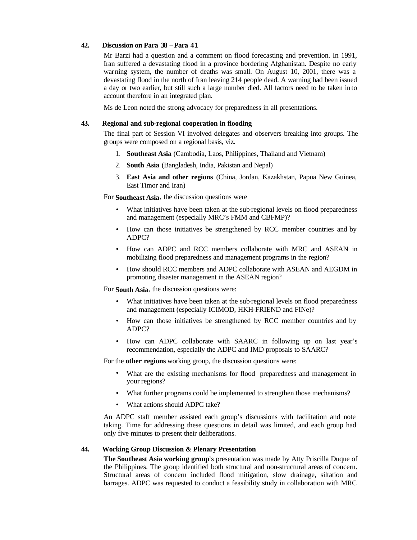# **42. Discussion on Para 38 – Para 41**

Mr Barzi had a question and a comment on flood forecasting and prevention. In 1991, Iran suffered a devastating flood in a province bordering Afghanistan. Despite no early warning system, the number of deaths was small. On August 10, 2001, there was a devastating flood in the north of Iran leaving 214 people dead. A warning had been issued a day or two earlier, but still such a large number died. All factors need to be taken into account therefore in an integrated plan.

Ms de Leon noted the strong advocacy for preparedness in all presentations.

# **43. Regional and sub-regional cooperation in flooding**

The final part of Session VI involved delegates and observers breaking into groups. The groups were composed on a regional basis, viz.

- 1. **Southeast Asia** (Cambodia, Laos, Philippines, Thailand and Vietnam)
- 2. **South Asia** (Bangladesh, India, Pakistan and Nepal)
- 3. **East Asia and other regions** (China, Jordan, Kazakhstan, Papua New Guinea, East Timor and Iran)

For **Southeast Asia**, the discussion questions were

- What initiatives have been taken at the sub-regional levels on flood preparedness and management (especially MRC's FMM and CBFMP)?
- How can those initiatives be strengthened by RCC member countries and by ADPC?
- How can ADPC and RCC members collaborate with MRC and ASEAN in mobilizing flood preparedness and management programs in the region?
- How should RCC members and ADPC collaborate with ASEAN and AEGDM in promoting disaster management in the ASEAN region?

For **South Asia**, the discussion questions were:

- What initiatives have been taken at the sub-regional levels on flood preparedness and management (especially ICIMOD, HKH-FRIEND and FINe)?
- How can those initiatives be strengthened by RCC member countries and by ADPC?
- How can ADPC collaborate with SAARC in following up on last year's recommendation, especially the ADPC and IMD proposals to SAARC?

For the **other regions** working group, the discussion questions were:

- What are the existing mechanisms for flood preparedness and management in your regions?
- What further programs could be implemented to strengthen those mechanisms?
- What actions should ADPC take?

An ADPC staff member assisted each group's discussions with facilitation and note taking. Time for addressing these questions in detail was limited, and each group had only five minutes to present their deliberations.

#### **44. Working Group Discussion & Plenary Presentation**

**The Southeast Asia working group**'s presentation was made by Atty Priscilla Duque of the Philippines. The group identified both structural and non-structural areas of concern. Structural areas of concern included flood mitigation, slow drainage, siltation and barrages. ADPC was requested to conduct a feasibility study in collaboration with MRC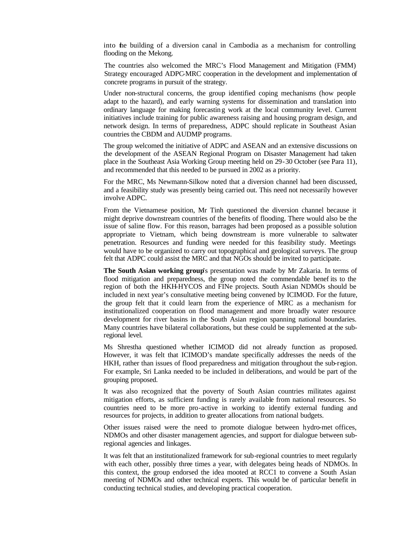into the building of a diversion canal in Cambodia as a mechanism for controlling flooding on the Mekong.

The countries also welcomed the MRC's Flood Management and Mitigation (FMM) Strategy encouraged ADPC-MRC cooperation in the development and implementation of concrete programs in pursuit of the strategy.

Under non-structural concerns, the group identified coping mechanisms (how people adapt to the hazard), and early warning systems for dissemination and translation into ordinary language for making forecastin g work at the local community level. Current initiatives include training for public awareness raising and housing program design, and network design. In terms of preparedness, ADPC should replicate in Southeast Asian countries the CBDM and AUDMP programs.

The group welcomed the initiative of ADPC and ASEAN and an extensive discussions on the development of the ASEAN Regional Program on Disaster Management had taken place in the Southeast Asia Working Group meeting held on 29-30 October (see Para 11), and recommended that this needed to be pursued in 2002 as a priority.

For the MRC, Ms Newmann-Silkow noted that a diversion channel had been discussed, and a feasibility study was presently being carried out. This need not necessarily however involve ADPC.

From the Vietnamese position, Mr Tinh questioned the diversion channel because it might deprive downstream countries of the benefits of flooding. There would also be the issue of saline flow. For this reason, barrages had been proposed as a possible solution appropriate to Vietnam, which being downstream is more vulnerable to saltwater penetration. Resources and funding were needed for this feasibility study. Meetings would have to be organized to carry out topographical and geological surveys. The group felt that ADPC could assist the MRC and that NGOs should be invited to participate.

**The South Asian working group**'s presentation was made by Mr Zakaria. In terms of flood mitigation and preparedness, the group noted the commendable benef its to the region of both the HKH-HYCOS and FINe projects. South Asian NDMOs should be included in next year's consultative meeting being convened by ICIMOD. For the future, the group felt that it could learn from the experience of MRC as a mechanism for institutionalized cooperation on flood management and more broadly water resource development for river basins in the South Asian region spanning national boundaries. Many countries have bilateral collaborations, but these could be supplemented at the subregional level.

Ms Shrestha questioned whether ICIMOD did not already function as proposed. However, it was felt that ICIMOD's mandate specifically addresses the needs of the HKH, rather than issues of flood preparedness and mitigation throughout the sub-region. For example, Sri Lanka needed to be included in deliberations, and would be part of the grouping proposed.

It was also recognized that the poverty of South Asian countries militates against mitigation efforts, as sufficient funding is rarely available from national resources. So countries need to be more pro-active in working to identify external funding and resources for projects, in addition to greater allocations from national budgets.

Other issues raised were the need to promote dialogue between hydro-met offices, NDMOs and other disaster management agencies, and support for dialogue between subregional agencies and linkages.

It was felt that an institutionalized framework for sub-regional countries to meet regularly with each other, possibly three times a year, with delegates being heads of NDMOs. In this context, the group endorsed the idea mooted at RCC1 to convene a South Asian meeting of NDMOs and other technical experts. This would be of particular benefit in conducting technical studies, and developing practical cooperation.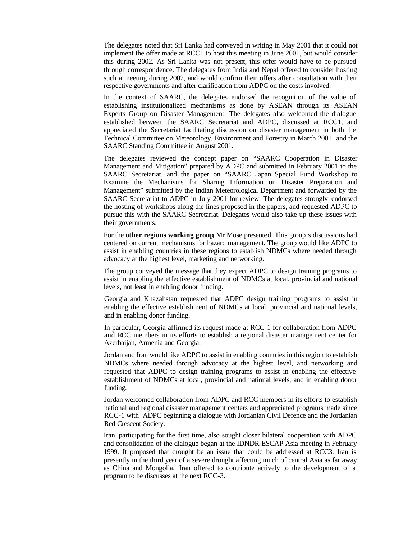The delegates noted that Sri Lanka had conveyed in writing in May 2001 that it could not implement the offer made at RCC1 to host this meeting in June 2001, but would consider this during 2002. As Sri Lanka was not present, this offer would have to be pursued through correspondence. The delegates from India and Nepal offered to consider hosting such a meeting during 2002, and would confirm their offers after consultation with their respective governments and after clarification from ADPC on the costs involved.

In the context of SAARC, the delegates endorsed the recognition of the value of establishing institutionalized mechanisms as done by ASEAN through its ASEAN Experts Group on Disaster Management. The delegates also welcomed the dialogue established between the SAARC Secretariat and ADPC, discussed at RCC1, and appreciated the Secretariat facilitating discussion on disaster management in both the Technical Committee on Meteorology, Environment and Forestry in March 2001, and the SAARC Standing Committee in August 2001.

The delegates reviewed the concept paper on "SAARC Cooperation in Disaster Management and Mitigation" prepared by ADPC and submitted in February 2001 to the SAARC Secretariat, and the paper on "SAARC Japan Special Fund Workshop to Examine the Mechanisms for Sharing Information on Disaster Preparation and Management" submitted by the Indian Meteorological Department and forwarded by the SAARC Secretariat to ADPC in July 2001 for review. The delegates strongly endorsed the hosting of workshops along the lines proposed in the papers, and requested ADPC to pursue this with the SAARC Secretariat. Delegates would also take up these issues with their governments.

For the **other regions working group**, Mr Mose presented. This group's discussions had centered on current mechanisms for hazard management. The group would like ADPC to assist in enabling countries in these regions to establish NDMCs where needed through advocacy at the highest level, marketing and networking.

The group conveyed the message that they expect ADPC to design training programs to assist in enabling the effective establishment of NDMCs at local, provincial and national levels, not least in enabling donor funding.

Georgia and Khazahstan requested that ADPC design training programs to assist in enabling the effective establishment of NDMCs at local, provincial and national levels, and in enabling donor funding.

In particular, Georgia affirmed its request made at RCC-1 for collaboration from ADPC and RCC members in its efforts to establish a regional disaster management center for Azerbaijan, Armenia and Georgia.

Jordan and Iran would like ADPC to assist in enabling countries in this region to establish NDMCs where needed through advocacy at the highest level, and networking and requested that ADPC to design training programs to assist in enabling the effective establishment of NDMCs at local, provincial and national levels, and in enabling donor funding.

Jordan welcomed collaboration from ADPC and RCC members in its efforts to establish national and regional disaster management centers and appreciated programs made since RCC-1 with ADPC beginning a dialogue with Jordanian Civil Defence and the Jordanian Red Crescent Society.

Iran, participating for the first time, also sought closer bilateral cooperation with ADPC and consolidation of the dialogue began at the IDNDR-ESCAP Asia meeting in February 1999. It proposed that drought be an issue that could be addressed at RCC3. Iran is presently in the third year of a severe drought affecting much of central Asia as far away as China and Mongolia. Iran offered to contribute actively to the development of a program to be discusses at the next RCC-3.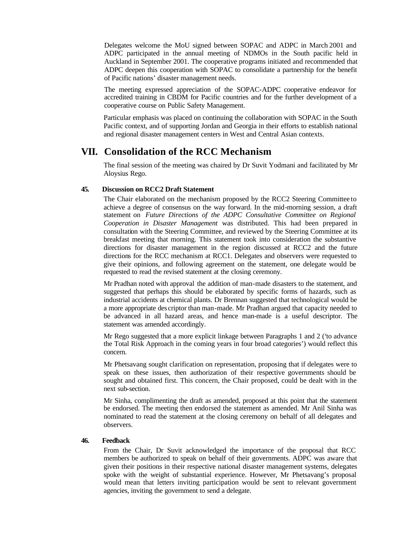Delegates welcome the MoU signed between SOPAC and ADPC in March 2001 and ADPC participated in the annual meeting of NDMOs in the South pacific held in Auckland in September 2001. The cooperative programs initiated and recommended that ADPC deepen this cooperation with SOPAC to consolidate a partnership for the benefit of Pacific nations' disaster management needs.

The meeting expressed appreciation of the SOPAC-ADPC cooperative endeavor for accredited training in CBDM for Pacific countries and for the further development of a cooperative course on Public Safety Management.

Particular emphasis was placed on continuing the collaboration with SOPAC in the South Pacific context, and of supporting Jordan and Georgia in their efforts to establish national and regional disaster management centers in West and Central Asian contexts.

## **VII. Consolidation of the RCC Mechanism**

The final session of the meeting was chaired by Dr Suvit Yodmani and facilitated by Mr Aloysius Rego.

#### **45. Discussion on RCC2 Draft Statement**

The Chair elaborated on the mechanism proposed by the RCC2 Steering Committee to achieve a degree of consensus on the way forward. In the mid-morning session, a draft statement on *Future Directions of the ADPC Consultative Committee on Regional Cooperation in Disaster Management* was distributed. This had been prepared in consultation with the Steering Committee, and reviewed by the Steering Committee at its breakfast meeting that morning. This statement took into consideration the substantive directions for disaster management in the region discussed at RCC2 and the future directions for the RCC mechanism at RCC1. Delegates and observers were requested to give their opinions, and following agreement on the statement, one delegate would be requested to read the revised statement at the closing ceremony.

Mr Pradhan noted with approval the addition of man-made disasters to the statement, and suggested that perhaps this should be elaborated by specific forms of hazards, such as industrial accidents at chemical plants. Dr Brennan suggested that technological would be a more appropriate des criptor than man-made. Mr Pradhan argued that capacity needed to be advanced in all hazard areas, and hence man-made is a useful descriptor. The statement was amended accordingly.

Mr Rego suggested that a more explicit linkage between Paragraphs 1 and 2 ('to advance the Total Risk Approach in the coming years in four broad categories') would reflect this concern.

Mr Phetsavang sought clarification on representation, proposing that if delegates were to speak on these issues, then authorization of their respective governments should be sought and obtained first. This concern, the Chair proposed, could be dealt with in the next sub-section.

Mr Sinha, complimenting the draft as amended, proposed at this point that the statement be endorsed. The meeting then endorsed the statement as amended. Mr Anil Sinha was nominated to read the statement at the closing ceremony on behalf of all delegates and observers.

#### **46. Feedback**

From the Chair, Dr Suvit acknowledged the importance of the proposal that RCC members be authorized to speak on behalf of their governments. ADPC was aware that given their positions in their respective national disaster management systems, delegates spoke with the weight of substantial experience. However, Mr Phetsavang's proposal would mean that letters inviting participation would be sent to relevant government agencies, inviting the government to send a delegate.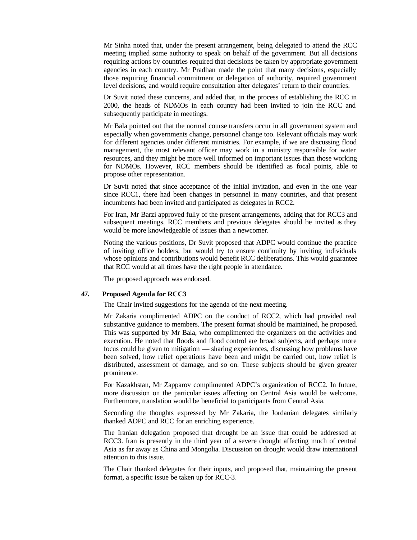Mr Sinha noted that, under the present arrangement, being delegated to attend the RCC meeting implied some authority to speak on behalf of the government. But all decisions requiring actions by countries required that decisions be taken by appropriate government agencies in each country. Mr Pradhan made the point that many decisions, especially those requiring financial commitment or delegation of authority, required government level decisions, and would require consultation after delegates' return to their countries.

Dr Suvit noted these concerns, and added that, in the process of establishing the RCC in 2000, the heads of NDMOs in each country had been invited to join the RCC and subsequently participate in meetings.

Mr Bala pointed out that the normal course transfers occur in all government system and especially when governments change, personnel change too. Relevant officials may work for different agencies under different ministries. For example, if we are discussing flood management, the most relevant officer may work in a ministry responsible for water resources, and they might be more well informed on important issues than those working for NDMOs. However, RCC members should be identified as focal points, able to propose other representation.

Dr Suvit noted that since acceptance of the initial invitation, and even in the one year since RCC1, there had been changes in personnel in many countries, and that present incumbents had been invited and participated as delegates in RCC2.

For Iran, Mr Barzi approved fully of the present arrangements, adding that for RCC3 and subsequent meetings, RCC members and previous delegates should be invited as they would be more knowledgeable of issues than a newcomer.

Noting the various positions, Dr Suvit proposed that ADPC would continue the practice of inviting office holders, but would try to ensure continuity by inviting individuals whose opinions and contributions would benefit RCC deliberations. This would guarantee that RCC would at all times have the right people in attendance.

The proposed approach was endorsed.

#### **47. Proposed Agenda for RCC3**

The Chair invited suggestions for the agenda of the next meeting.

Mr Zakaria complimented ADPC on the conduct of RCC2, which had provided real substantive guidance to members. The present format should be maintained, he proposed. This was supported by Mr Bala, who complimented the organizers on the activities and execution. He noted that floods and flood control are broad subjects, and perhaps more focus could be given to mitigation — sharing experiences, discussing how problems have been solved, how relief operations have been and might be carried out, how relief is distributed, assessment of damage, and so on. These subjects should be given greater prominence.

For Kazakhstan, Mr Zapparov complimented ADPC's organization of RCC2. In future, more discussion on the particular issues affecting on Central Asia would be welcome. Furthermore, translation would be beneficial to participants from Central Asia.

Seconding the thoughts expressed by Mr Zakaria, the Jordanian delegates similarly thanked ADPC and RCC for an enriching experience.

The Iranian delegation proposed that drought be an issue that could be addressed at RCC3. Iran is presently in the third year of a severe drought affecting much of central Asia as far away as China and Mongolia. Discussion on drought would draw international attention to this issue.

The Chair thanked delegates for their inputs, and proposed that, maintaining the present format, a specific issue be taken up for RCC-3.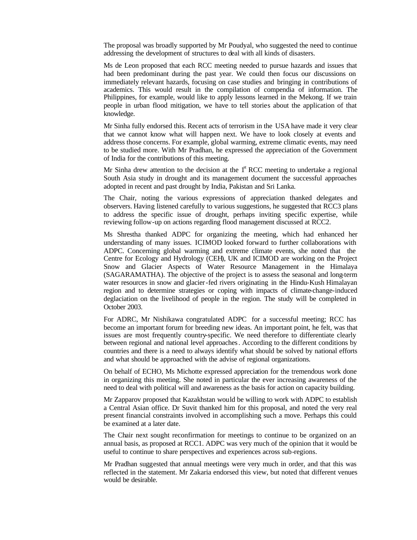The proposal was broadly supported by Mr Poudyal, who suggested the need to continue addressing the development of structures to deal with all kinds of disasters.

Ms de Leon proposed that each RCC meeting needed to pursue hazards and issues that had been predominant during the past year. We could then focus our discussions on immediately relevant hazards, focusing on case studies and bringing in contributions of academics. This would result in the compilation of compendia of information. The Philippines, for example, would like to apply lessons learned in the Mekong. If we train people in urban flood mitigation, we have to tell stories about the application of that knowledge.

Mr Sinha fully endorsed this. Recent acts of terrorism in the USA have made it very clear that we cannot know what will happen next. We have to look closely at events and address those concerns. For example, global warming, extreme climatic events, may need to be studied more. With Mr Pradhan, he expressed the appreciation of the Government of India for the contributions of this meeting.

Mr Sinha drew attention to the decision at the  $1<sup>st</sup> RCC$  meeting to undertake a regional South Asia study in drought and its management document the successful approaches adopted in recent and past drought by India, Pakistan and Sri Lanka.

The Chair, noting the various expressions of appreciation thanked delegates and observers. Having listened carefully to various suggestions, he suggested that RCC3 plans to address the specific issue of drought, perhaps inviting specific expertise, while reviewing follow-up on actions regarding flood management discussed at RCC2.

Ms Shrestha thanked ADPC for organizing the meeting, which had enhanced her understanding of many issues. ICIMOD looked forward to further collaborations with ADPC. Concerning global warming and extreme climate events, she noted that the Centre for Ecology and Hydrology (CEH), UK and ICIMOD are working on the Project Snow and Glacier Aspects of Water Resource Management in the Himalaya (SAGARAMATHA). The objective of the project is to assess the seasonal and long-term water resources in snow and glacier-fed rivers originating in the Hindu-Kush Himalayan region and to determine strategies or coping with impacts of climate-change-induced deglaciation on the livelihood of people in the region. The study will be completed in October 2003.

For ADRC, Mr Nishikawa congratulated ADPC for a successful meeting; RCC has become an important forum for breeding new ideas. An important point, he felt, was that issues are most frequently country-specific. We need therefore to differentiate clearly between regional and national level approaches. According to the different conditions by countries and there is a need to always identify what should be solved by national efforts and what should be approached with the advise of regional organizations.

On behalf of ECHO, Ms Michotte expressed appreciation for the tremendous work done in organizing this meeting. She noted in particular the ever increasing awareness of the need to deal with political will and awareness as the basis for action on capacity building.

Mr Zapparov proposed that Kazakhstan would be willing to work with ADPC to establish a Central Asian office. Dr Suvit thanked him for this proposal, and noted the very real present financial constraints involved in accomplishing such a move. Perhaps this could be examined at a later date.

The Chair next sought reconfirmation for meetings to continue to be organized on an annual basis, as proposed at RCC1. ADPC was very much of the opinion that it would be useful to continue to share perspectives and experiences across sub-regions.

Mr Pradhan suggested that annual meetings were very much in order, and that this was reflected in the statement. Mr Zakaria endorsed this view, but noted that different venues would be desirable.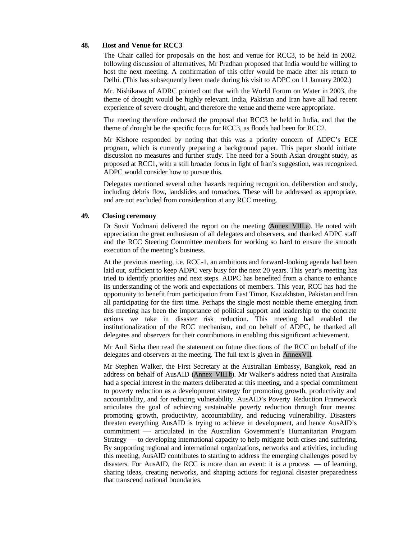#### **48. Host and Venue for RCC3**

The Chair called for proposals on the host and venue for RCC3, to be held in 2002. following discussion of alternatives, Mr Pradhan proposed that India would be willing to host the next meeting. A confirmation of this offer would be made after his return to Delhi. (This has subsequently been made during his visit to ADPC on 11 January 2002.)

Mr. Nishikawa of ADRC pointed out that with the World Forum on Water in 2003, the theme of drought would be highly relevant. India, Pakistan and Iran have all had recent experience of severe drought, and therefore the venue and theme were appropriate.

The meeting therefore endorsed the proposal that RCC3 be held in India, and that the theme of drought be the specific focus for RCC3, as floods had been for RCC2.

Mr Kishore responded by noting that this was a priority concern of ADPC's ECE program, which is currently preparing a background paper. This paper should initiate discussion no measures and further study. The need for a South Asian drought study, as proposed at RCC1, with a still broader focus in light of Iran's suggestion, was recognized. ADPC would consider how to pursue this.

Delegates mentioned several other hazards requiring recognition, deliberation and study, including debris flow, landslides and tornadoes. These will be addressed as appropriate, and are not excluded from consideration at any RCC meeting.

#### **49. Closing ceremony**

Dr Suvit Yodmani delivered the report on the meeting (Annex VIII.a). He noted with appreciation the great enthusiasm of all delegates and observers, and thanked ADPC staff and the RCC Steering Committee members for working so hard to ensure the smooth execution of the meeting's business.

At the previous meeting, i.e. RCC-1, an ambitious and forward-looking agenda had been laid out, sufficient to keep ADPC very busy for the next 20 years. This year's meeting has tried to identify priorities and next steps. ADPC has benefited from a chance to enhance its understanding of the work and expectations of members. This year, RCC has had the opportunity to benefit from participation from East Timor, Kaz akhstan, Pakistan and Iran all participating for the first time. Perhaps the single most notable theme emerging from this meeting has been the importance of political support and leadership to the concrete actions we take in disaster risk reduction. This meeting had enabled the institutionalization of the RCC mechanism, and on behalf of ADPC, he thanked all delegates and observers for their contributions in enabling this significant achievement.

Mr Anil Sinha then read the statement on future directions of the RCC on behalf of the delegates and observers at the meeting. The full text is given in AnnexVII.

Mr Stephen Walker, the First Secretary at the Australian Embassy, Bangkok, read an address on behalf of AusAID (Annex VIII.b). Mr Walker's address noted that Australia had a special interest in the matters deliberated at this meeting, and a special commitment to poverty reduction as a development strategy for promoting growth, productivity and accountability, and for reducing vulnerability. AusAID's Poverty Reduction Framework articulates the goal of achieving sustainable poverty reduction through four means: promoting growth, productivity, accountability, and reducing vulnerability. Disasters threaten everything AusAID is trying to achieve in development, and hence AusAID's commitment — articulated in the Australian Government's Humanitarian Program Strategy — to developing international capacity to help mitigate both crises and suffering. By supporting regional and international organizations, networks and activities, including this meeting, AusAID contributes to starting to address the emerging challenges posed by disasters. For AusAID, the RCC is more than an event: it is a process — of learning, sharing ideas, creating networks, and shaping actions for regional disaster preparedness that transcend national boundaries.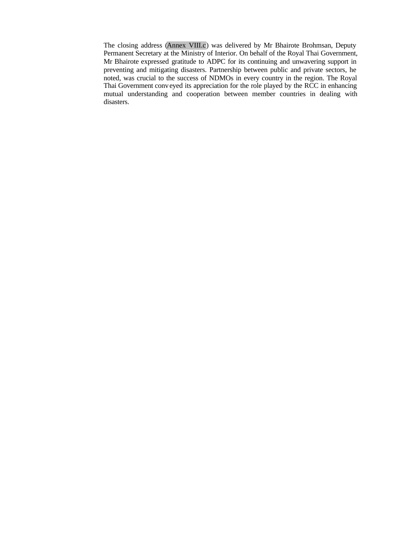The closing address (Annex VIII.c) was delivered by Mr Bhairote Brohmsan, Deputy Permanent Secretary at the Ministry of Interior. On behalf of the Royal Thai Government, Mr Bhairote expressed gratitude to ADPC for its continuing and unwavering support in preventing and mitigating disasters. Partnership between public and private sectors, he noted, was crucial to the success of NDMOs in every country in the region. The Royal Thai Government conv eyed its appreciation for the role played by the RCC in enhancing mutual understanding and cooperation between member countries in dealing with disasters.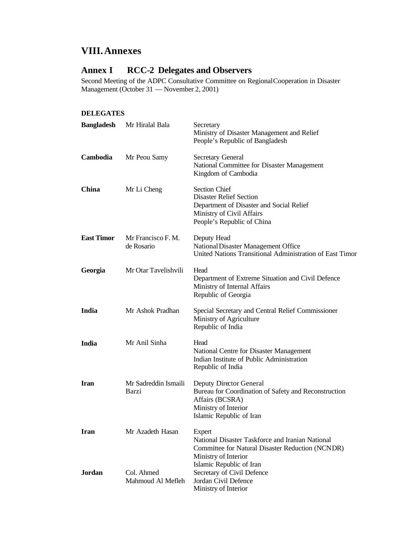# **VIII.Annexes**

## **Annex I RCC-2 Delegates and Observers**

Second Meeting of the ADPC Consultative Committee on Regional Cooperation in Disaster Management (October 31 — November 2, 2001)

## **DELEGATES**

| <b>Bangladesh</b> | Mr Hiralal Bala                  | Secretary<br>Ministry of Disaster Management and Relief<br>People's Republic of Bangladesh                                                                         |  |
|-------------------|----------------------------------|--------------------------------------------------------------------------------------------------------------------------------------------------------------------|--|
| Cambodia          | Mr Peou Samy                     | <b>Secretary General</b><br>National Committee for Disaster Management<br>Kingdom of Cambodia                                                                      |  |
| China             | Mr Li Cheng                      | <b>Section Chief</b><br><b>Disaster Relief Section</b><br>Department of Disaster and Social Relief<br>Ministry of Civil Affairs<br>People's Republic of China      |  |
| <b>East Timor</b> | Mr Francisco F. M.<br>de Rosario | Deputy Head<br>National Disaster Management Office<br>United Nations Transitional Administration of East Timor                                                     |  |
| Georgia           | Mr Otar Tavelishvili             | Head<br>Department of Extreme Situation and Civil Defence<br>Ministry of Internal Affairs<br>Republic of Georgia                                                   |  |
| India             | Mr Ashok Pradhan                 | Special Secretary and Central Relief Commissioner<br>Ministry of Agriculture<br>Republic of India                                                                  |  |
| India             | Mr Anil Sinha                    | Head<br>National Centre for Disaster Management<br>Indian Institute of Public Administration<br>Republic of India                                                  |  |
| <b>Iran</b>       | Mr Sadreddin Ismaili<br>Barzi    | Deputy Director General<br>Bureau for Coordination of Safety and Reconstruction<br>Affairs (BCSRA)<br>Ministry of Interior<br>Islamic Republic of Iran             |  |
| <b>Iran</b>       | Mr Azadeth Hasan                 | Expert<br>National Disaster Taskforce and Iranian National<br>Committee for Natural Disaster Reduction (NCNDR)<br>Ministry of Interior<br>Islamic Republic of Iran |  |
| Jordan            | Col. Ahmed<br>Mahmoud Al Mefleh  | Secretary of Civil Defence<br>Jordan Civil Defence<br>Ministry of Interior                                                                                         |  |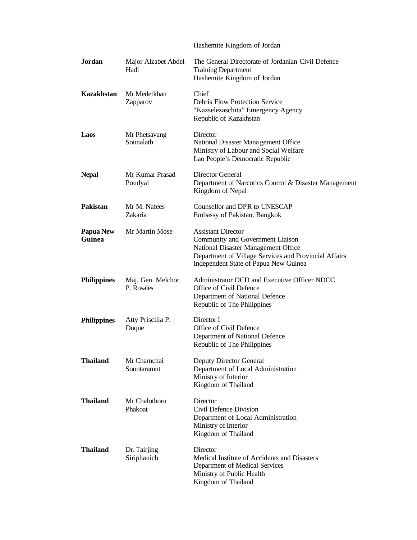|                            |                                 | Hashemite Kingdom of Jordan                                                                                                                                                                            |
|----------------------------|---------------------------------|--------------------------------------------------------------------------------------------------------------------------------------------------------------------------------------------------------|
| <b>Jordan</b>              | Major Alzabet Abdel<br>Hadi     | The General Directorate of Jordanian Civil Defence<br><b>Training Department</b><br>Hashemite Kingdom of Jordan                                                                                        |
| Kazakhstan                 | Mr Medetkhan<br>Zapparov        | Chief<br><b>Debris Flow Protection Service</b><br>"Kazselezaschita" Emergency Agency<br>Republic of Kazakhstan                                                                                         |
| Laos                       | Mr Phetsavang<br>Sounalath      | Director<br>National Disaster Mana gement Office<br>Ministry of Labour and Social Welfare<br>Lao People's Democratic Republic                                                                          |
| <b>Nepal</b>               | Mr Kumar Prasad<br>Poudyal      | Director General<br>Department of Narcotics Control & Disaster Management<br>Kingdom of Nepal                                                                                                          |
| Pakistan                   | Mr M. Nafees<br>Zakaria         | Counsellor and DPR to UNESCAP<br>Embassy of Pakistan, Bangkok                                                                                                                                          |
| <b>Papua New</b><br>Guinea | Mr Martin Mose                  | <b>Assistant Director</b><br>Community and Government Liaison<br>National Disaster Management Office<br>Department of Village Services and Provincial Affairs<br>Independent State of Papua New Guinea |
| <b>Philippines</b>         | Maj. Gen. Melchor<br>P. Rosales | Administrator OCD and Executive Officer NDCC<br>Office of Civil Defence<br>Department of National Defence<br>Republic of The Philippines                                                               |
| <b>Philippines</b>         | Atty Priscilla P.<br>Duque      | Director I<br>Office of Civil Defence<br>Department of National Defence<br>Republic of The Philippines                                                                                                 |
| <b>Thailand</b>            | Mr Charnchai<br>Soontaramut     | Deputy Director General<br>Department of Local Administration<br>Ministry of Interior<br>Kingdom of Thailand                                                                                           |
| <b>Thailand</b>            | Mr Chalothorn<br>Phakoat        | Director<br>Civil Defence Division<br>Department of Local Administration<br>Ministry of Interior<br>Kingdom of Thailand                                                                                |
| <b>Thailand</b>            | Dr. Tairjing<br>Siriphanich     | Director<br>Medical Institute of Accidents and Disasters<br>Department of Medical Services<br>Ministry of Public Health<br>Kingdom of Thailand                                                         |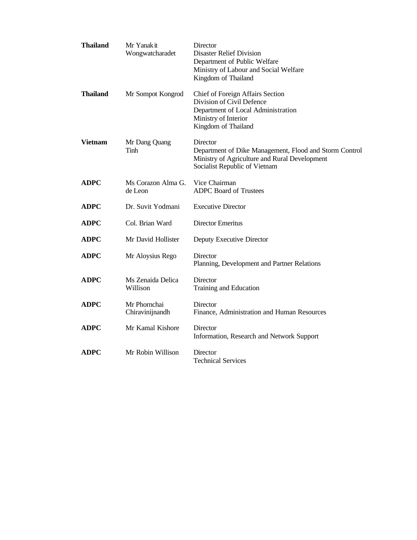| <b>Thailand</b> | Mr Yanak it<br>Wongwatcharadet  | Director<br><b>Disaster Relief Division</b><br>Department of Public Welfare<br>Ministry of Labour and Social Welfare<br>Kingdom of Thailand          |
|-----------------|---------------------------------|------------------------------------------------------------------------------------------------------------------------------------------------------|
| <b>Thailand</b> | Mr Sompot Kongrod               | Chief of Foreign Affairs Section<br>Division of Civil Defence<br>Department of Local Administration<br>Ministry of Interior<br>Kingdom of Thailand   |
| Vietnam         | Mr Dang Quang<br>Tinh           | Director<br>Department of Dike Management, Flood and Storm Control<br>Ministry of Agriculture and Rural Development<br>Socialist Republic of Vietnam |
| <b>ADPC</b>     | Ms Corazon Alma G.<br>de Leon   | Vice Chairman<br><b>ADPC Board of Trustees</b>                                                                                                       |
| <b>ADPC</b>     | Dr. Suvit Yodmani               | <b>Executive Director</b>                                                                                                                            |
| <b>ADPC</b>     | Col. Brian Ward                 | Director Emeritus                                                                                                                                    |
| <b>ADPC</b>     | Mr David Hollister              | Deputy Executive Director                                                                                                                            |
| <b>ADPC</b>     | Mr Aloysius Rego                | Director<br>Planning, Development and Partner Relations                                                                                              |
| <b>ADPC</b>     | Ms Zenaida Delica<br>Willison   | Director<br>Training and Education                                                                                                                   |
| <b>ADPC</b>     | Mr Phornchai<br>Chiravinijnandh | Director<br>Finance, Administration and Human Resources                                                                                              |
| <b>ADPC</b>     | Mr Kamal Kishore                | Director<br>Information, Research and Network Support                                                                                                |
| <b>ADPC</b>     | Mr Robin Willison               | Director<br>Technical Services                                                                                                                       |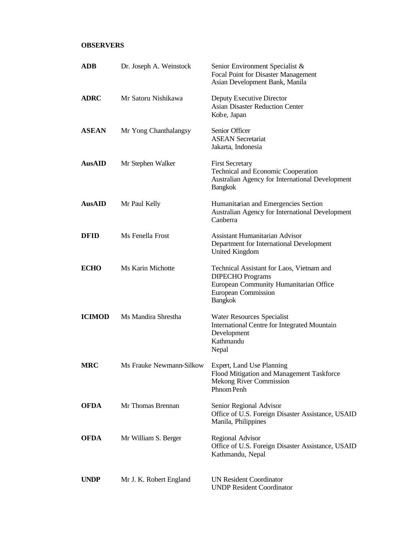## **OBSERVERS**

| ADB           | Dr. Joseph A. Weinstock  | Senior Environment Specialist &<br>Focal Point for Disaster Management<br>Asian Development Bank, Manila<br>Deputy Executive Director<br><b>Asian Disaster Reduction Center</b><br>Kobe, Japan |  |  |
|---------------|--------------------------|------------------------------------------------------------------------------------------------------------------------------------------------------------------------------------------------|--|--|
| <b>ADRC</b>   | Mr Satoru Nishikawa      |                                                                                                                                                                                                |  |  |
| <b>ASEAN</b>  | Mr Yong Chanthalangsy    | Senior Officer<br><b>ASEAN</b> Secretariat<br>Jakarta, Indonesia                                                                                                                               |  |  |
| <b>AusAID</b> | Mr Stephen Walker        | <b>First Secretary</b><br>Technical and Economic Cooperation<br>Australian Agency for International Development<br><b>Bangkok</b>                                                              |  |  |
| <b>AusAID</b> | Mr Paul Kelly            | Humanitarian and Emergencies Section<br>Australian Agency for International Development<br>Canberra                                                                                            |  |  |
| <b>DFID</b>   | Ms Fenella Frost         | <b>Assistant Humanitarian Advisor</b><br>Department for International Development<br>United Kingdom                                                                                            |  |  |
| <b>ECHO</b>   | Ms Karin Michotte        | Technical Assistant for Laos, Vietnam and<br><b>DIPECHO</b> Programs<br>European Community Humanitarian Office<br><b>European Commission</b><br><b>Bangkok</b>                                 |  |  |
| <b>ICIMOD</b> | Ms Mandira Shrestha      | Water Resources Specialist<br><b>International Centre for Integrated Mountain</b><br>Development<br>Kathmandu<br>Nepal                                                                         |  |  |
| <b>MRC</b>    | Ms Frauke Newmann-Silkow | Expert, Land Use Planning<br>Flood Mitigation and Management Taskforce<br><b>Mekong River Commission</b><br>Phnom Penh                                                                         |  |  |
| <b>OFDA</b>   | Mr Thomas Brennan        | Senior Regional Advisor<br>Office of U.S. Foreign Disaster Assistance, USAID<br>Manila, Philippines                                                                                            |  |  |
| <b>OFDA</b>   | Mr William S. Berger     | <b>Regional Advisor</b><br>Office of U.S. Foreign Disaster Assistance, USAID<br>Kathmandu, Nepal                                                                                               |  |  |
| <b>UNDP</b>   | Mr J. K. Robert England  | <b>UN Resident Coordinator</b><br><b>UNDP Resident Coordinator</b>                                                                                                                             |  |  |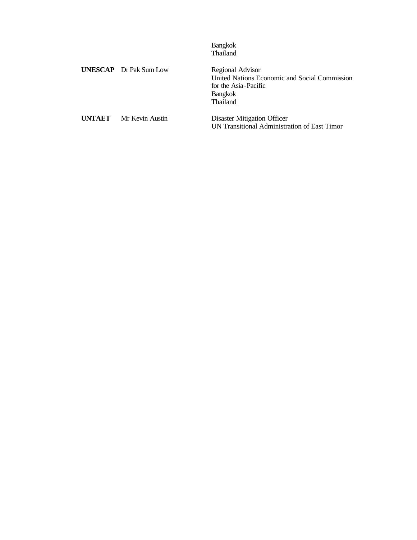|               |                               | <b>Bangkok</b><br>Thailand                                                                                              |
|---------------|-------------------------------|-------------------------------------------------------------------------------------------------------------------------|
|               | <b>UNESCAP</b> Dr Pak Sum Low | Regional Advisor<br>United Nations Economic and Social Commission<br>for the Asia-Pacific<br><b>Bangkok</b><br>Thailand |
| <b>UNTAET</b> | Mr Kevin Austin               | Disaster Mitigation Officer<br>UN Transitional Administration of East Timor                                             |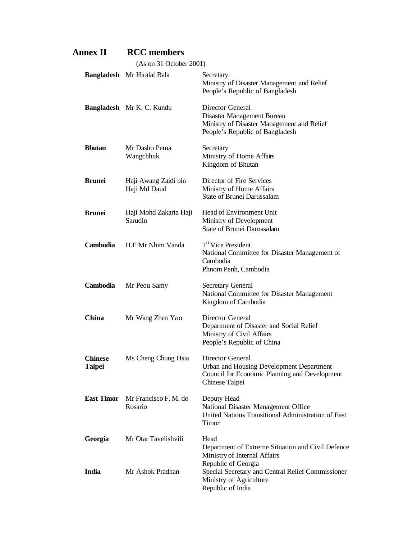| <b>Annex II</b>                 | <b>RCC</b> members                   |                                                                                                                                 |  |
|---------------------------------|--------------------------------------|---------------------------------------------------------------------------------------------------------------------------------|--|
|                                 | (As on 31 October 2001)              |                                                                                                                                 |  |
|                                 | Bangladesh Mr Hiralal Bala           | Secretary<br>Ministry of Disaster Management and Relief<br>People's Republic of Bangladesh                                      |  |
|                                 | <b>Bangladesh</b> Mr K. C. Kundu     | Director General<br>Disaster Management Bureau<br>Ministry of Disaster Management and Relief<br>People's Republic of Bangladesh |  |
| <b>Bhutan</b>                   | Mr Dasho Pema<br>Wangchhuk           | Secretary<br>Ministry of Home Affairs<br>Kingdom of Bhutan                                                                      |  |
| <b>Brunei</b>                   | Haji Awang Zaidi bin<br>Haji Md Daud | Director of Fire Services<br>Ministry of Home Affairs<br><b>State of Brunei Darussalam</b>                                      |  |
| <b>Brunei</b>                   | Haji Mohd Zakaria Haji<br>Sarudin    | Head of Environment Unit<br>Ministry of Development<br>State of Brunei Darussalam                                               |  |
| <b>Cambodia</b>                 | H.E. Mr Nhim Vanda                   | 1 <sup>st</sup> Vice President<br>National Committee for Disaster Management of<br>Cambodia<br>Phnom Penh, Cambodia             |  |
| Cambodia                        | Mr Peou Samy                         | <b>Secretary General</b><br>National Committee for Disaster Management<br>Kingdom of Cambodia                                   |  |
| China                           | Mr Wang Zhen Yao                     | Director General<br>Department of Disaster and Social Relief<br>Ministry of Civil Affairs<br>People's Republic of China         |  |
| <b>Chinese</b><br><b>Taipei</b> | Ms Cheng Chung Hsia                  | Director General<br>Urban and Housing Development Department<br>Council for Economic Planning and Development<br>Chinese Taipei |  |
| <b>East Timor</b>               | Mr Francisco F. M. do<br>Rosario     | Deputy Head<br>National Disaster Management Office<br>United Nations Transitional Administration of East<br>Timor               |  |
| Georgia                         | Mr Otar Tavelishvili                 | Head<br>Department of Extreme Situation and Civil Defence<br>Ministry of Internal Affairs<br>Republic of Georgia                |  |
| India                           | Mr Ashok Pradhan                     | Special Secretary and Central Relief Commissioner<br>Ministry of Agriculture<br>Republic of India                               |  |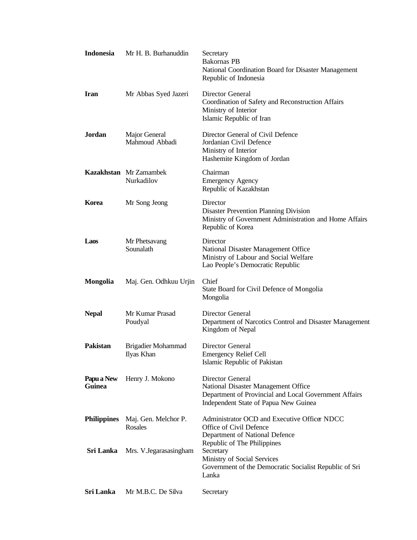| <b>Indonesia</b>     | Mr H. B. Burhanuddin                        | Secretary<br><b>Bakornas PB</b><br>National Coordination Board for Disaster Management<br>Republic of Indonesia                                           |
|----------------------|---------------------------------------------|-----------------------------------------------------------------------------------------------------------------------------------------------------------|
| <b>Iran</b>          | Mr Abbas Syed Jazeri                        | Director General<br>Coordination of Safety and Reconstruction Affairs<br>Ministry of Interior<br>Islamic Republic of Iran                                 |
| Jordan               | Major General<br>Mahmoud Abbadi             | Director General of Civil Defence<br>Jordanian Civil Defence<br>Ministry of Interior<br>Hashemite Kingdom of Jordan                                       |
|                      | <b>Kazakhstan</b> Mr Zamambek<br>Nurkadilov | Chairman<br><b>Emergency Agency</b><br>Republic of Kazakhstan                                                                                             |
| Korea                | Mr Song Jeong                               | Director<br><b>Disaster Prevention Planning Division</b><br>Ministry of Government Administration and Home Affairs<br>Republic of Korea                   |
| <b>Laos</b>          | Mr Phetsavang<br>Sounalath                  | Director<br>National Disaster Management Office<br>Ministry of Labour and Social Welfare<br>Lao People's Democratic Republic                              |
| <b>Mongolia</b>      | Maj. Gen. Odhkuu Urjin                      | Chief<br>State Board for Civil Defence of Mongolia<br>Mongolia                                                                                            |
|                      |                                             |                                                                                                                                                           |
| <b>Nepal</b>         | Mr Kumar Prasad<br>Poudyal                  | Director General<br>Department of Narcotics Control and Disaster Management<br>Kingdom of Nepal                                                           |
| <b>Pakistan</b>      | Brigadier Mohammad<br>Ilyas Khan            | Director General<br><b>Emergency Relief Cell</b><br>Islamic Republic of Pakistan                                                                          |
| Papu a New<br>Guinea | Henry J. Mokono                             | Director General<br>National Disaster Management Office<br>Department of Provincial and Local Government Affairs<br>Independent State of Papua New Guinea |
| <b>Philippines</b>   | Maj. Gen. Melchor P.<br>Rosales             | Administrator OCD and Executive Officer NDCC<br>Office of Civil Defence<br>Department of National Defence                                                 |
| Sri Lanka            | Mrs. V.Jegarasasingham                      | Republic of The Philippines<br>Secretary<br>Ministry of Social Services<br>Government of the Democratic Socialist Republic of Sri<br>Lanka                |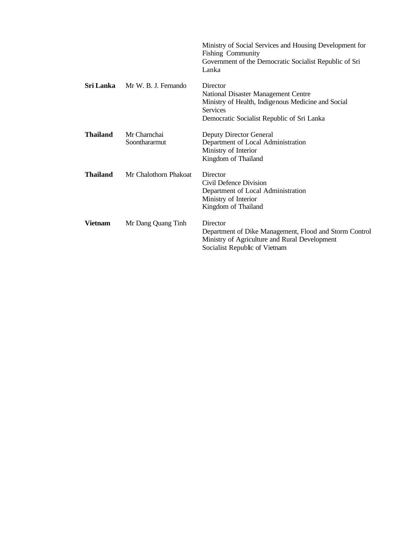|                 |                               | Ministry of Social Services and Housing Development for<br><b>Fishing Community</b><br>Government of the Democratic Socialist Republic of Sri<br>Lanka                 |
|-----------------|-------------------------------|------------------------------------------------------------------------------------------------------------------------------------------------------------------------|
| Sri Lanka       | Mr W. B. J. Fernando          | Director<br>National Disaster Management Centre<br>Ministry of Health, Indigenous Medicine and Social<br><b>Services</b><br>Democratic Socialist Republic of Sri Lanka |
| <b>Thailand</b> | Mr Charnchai<br>Soonthararmut | <b>Deputy Director General</b><br>Department of Local Administration<br>Ministry of Interior<br>Kingdom of Thailand                                                    |
| <b>Thailand</b> | Mr Chalothorn Phakoat         | Director<br>Civil Defence Division<br>Department of Local Administration<br>Ministry of Interior<br>Kingdom of Thailand                                                |
| <b>Vietnam</b>  | Mr Dang Quang Tinh            | Director<br>Department of Dike Management, Flood and Storm Control<br>Ministry of Agriculture and Rural Development<br>Socialist Republic of Vietnam                   |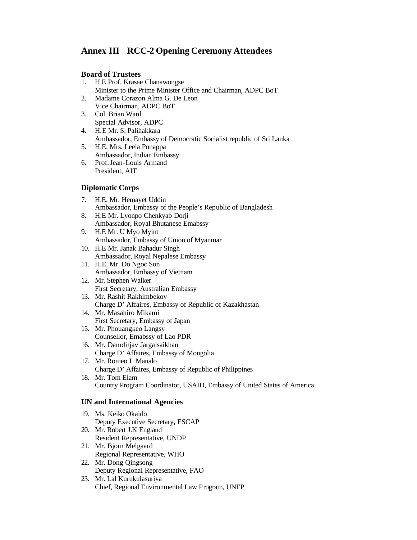## **Annex III RCC-2 Opening Ceremony Attendees**

#### **Board of Trustees**

- 1. H.E Prof. Krasae Chanawongse Minister to the Prime Minister Office and Chairman, ADPC BoT
- 2. Madame Corazon Alma G. De Leon Vice Chairman, ADPC BoT
- 3. Col. Brian Ward Special Advisor, ADPC
- 4. H.E Mr. S. Palihakkara Ambassador, Embassy of Democratic Socialist republic of Sri Lanka
- 5. H.E. Mrs. Leela Ponappa Ambassador, Indian Embassy
- 6. Prof. Jean-Louis Armand President, AIT

## **Diplomatic Corps**

- 7. H.E. Mr. Hemayet Uddin Ambassador, Embassy of the People's Republic of Bangladesh
- 8. H.E Mr. Lyonpo Chenkyab Dorji Ambassador, Royal Bhutanese Emabssy
- 9. H.E Mr. U Myo Myint Ambassador, Embassy of Union of Myanmar
- 10. H.E Mr. Janak Bahadur Singh Ambassador, Royal Nepalese Embassy
- 11. H.E. Mr. Do Ngoc Son Ambassador, Embassy of Vietnam
- 12. Mr. Stephen Walker First Secretary, Australian Embassy
- 13. Mr. Rashit Rakhimbekov Charge D' Affaires, Embassy of Republic of Kazakhastan
- 14. Mr. Masahiro Mikami First Secretary, Embassy of Japan
- 15. Mr. Phouangkeo Langsy Counsellor, Emabssy of Lao PDR
- 16. Mr. Damdinjav Jargalsaikhan Charge D' Affaires, Embassy of Mongolia
- 17. Mr. Romeo L Manalo Charge D' Affaires, Embassy of Republic of Philippines 18. Mr. Tom Elam

Country Program Coordinator, USAID, Embassy of United States of America

### **UN and International Agencies**

- 19. Ms. Keiko Okaido Deputy Executive Secretary, ESCAP 20. Mr. Robert J.K England
- Resident Representative, UNDP
- 21. Mr. Bjorn Melgaard Regional Representative, WHO
- 22. Mr. Dong Qingsong Deputy Regional Representative, FAO
- 23. Mr. Lal Kurukulasuriya Chief, Regional Environmental Law Program, UNEP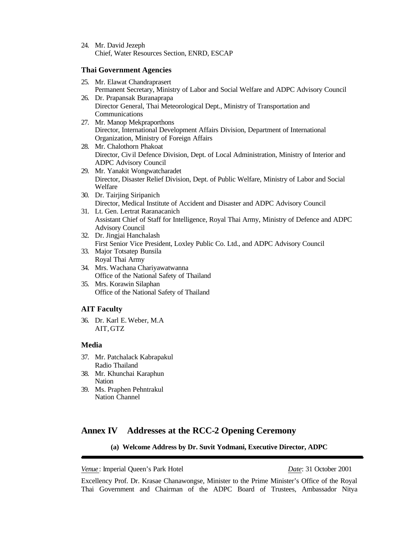24. Mr. David Jezeph Chief, Water Resources Section, ENRD, ESCAP

#### **Thai Government Agencies**

- 25. Mr. Elawat Chandraprasert Permanent Secretary, Ministry of Labor and Social Welfare and ADPC Advisory Council 26. Dr. Prapansak Buranaprapa
- Director General, Thai Meteorological Dept., Ministry of Transportation and Communications
- 27. Mr. Manop Mekpraporthons Director, International Development Affairs Division, Department of International Organization, Ministry of Foreign Affairs
- 28. Mr. Chalothorn Phakoat Director, Civil Defence Division, Dept. of Local Administration, Ministry of Interior and ADPC Advisory Council
- 29. Mr. Yanakit Wongwatcharadet Director, Disaster Relief Division, Dept. of Public Welfare, Ministry of Labor and Social Welfare
- 30. Dr. Tairjing Siripanich Director, Medical Institute of Accident and Disaster and ADPC Advisory Council
- 31. Lt. Gen. Lertrat Raranacanich Assistant Chief of Staff for Intelligence, Royal Thai Army, Ministry of Defence and ADPC Advisory Council
- 32. Dr. Jingjai Hanchalash First Senior Vice President, Loxley Public Co. Ltd., and ADPC Advisory Council
- 33. Major Totsatep Bunsila Royal Thai Army
- 34. Mrs. Wachana Chariyawatwanna Office of the National Safety of Thailand
- 35. Mrs. Korawin Silaphan Office of the National Safety of Thailand

### **AIT Faculty**

36. Dr. Karl E. Weber, M.A AIT, GTZ

#### **Media**

- 37. Mr. Patchalack Kabrapakul Radio Thailand
- 38. Mr. Khunchai Karaphun Nation
- 39. Ms. Praphen Pehntrakul Nation Channel

## **Annex IV Addresses at the RCC-2 Opening Ceremony**

#### **(a) Welcome Address by Dr. Suvit Yodmani, Executive Director, ADPC**

*Venue* : Imperial Queen's Park Hotel *Date*: 31 October 2001

Excellency Prof. Dr. Krasae Chanawongse, Minister to the Prime Minister's Office of the Royal Thai Government and Chairman of the ADPC Board of Trustees, Ambassador Nitya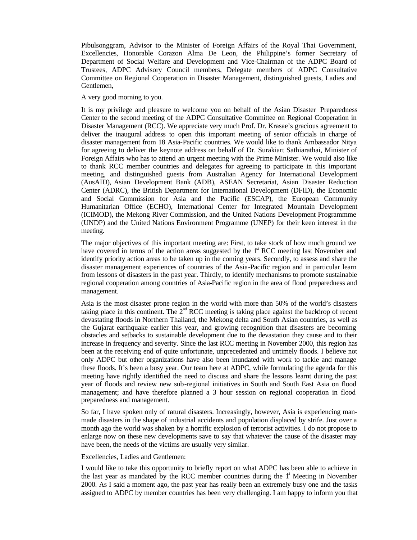Pibulsonggram, Advisor to the Minister of Foreign Affairs of the Royal Thai Government, Excellencies, Honorable Corazon Alma De Leon, the Philippine's former Secretary of Department of Social Welfare and Development and Vice-Chairman of the ADPC Board of Trustees, ADPC Advisory Council members, Delegate members of ADPC Consultative Committee on Regional Cooperation in Disaster Management, distinguished guests, Ladies and Gentlemen,

#### A very good morning to you.

It is my privilege and pleasure to welcome you on behalf of the Asian Disaster Preparedness Center to the second meeting of the ADPC Consultative Committee on Regional Cooperation in Disaster Management (RCC). We appreciate very much Prof. Dr. Krasae's gracious agreement to deliver the inaugural address to open this important meeting of senior officials in charge of disaster management from 18 Asia-Pacific countries. We would like to thank Ambassador Nitya for agreeing to deliver the keynote address on behalf of Dr. Surakiart Sathiarathai, Minister of Foreign Affairs who has to attend an urgent meeting with the Prime Minister. We would also like to thank RCC member countries and delegates for agreeing to participate in this important meeting, and distinguished guests from Australian Agency for International Development (AusAID), Asian Development Bank (ADB), ASEAN Secretariat, Asian Disaster Reduction Center (ADRC), the British Department for International Development (DFID), the Economic and Social Commission for Asia and the Pacific (ESCAP), the European Community Humanitarian Office (ECHO), International Center for Integrated Mountain Development (ICIMOD), the Mekong River Commission, and the United Nations Development Programmme (UNDP) and the United Nations Environment Programme (UNEP) for their keen interest in the meeting.

The major objectives of this important meeting are: First, to take stock of how much ground we have covered in terms of the action areas suggested by the  $1<sup>st</sup> RCC$  meeting last November and identify priority action areas to be taken up in the coming years. Secondly, to assess and share the disaster management experiences of countries of the Asia-Pacific region and in particular learn from lessons of disasters in the past year. Thirdly, to identify mechanisms to promote sustainable regional cooperation among countries of Asia-Pacific region in the area of flood preparedness and management.

Asia is the most disaster prone region in the world with more than 50% of the world's disasters taking place in this continent. The  $2<sup>nd</sup>$  RCC meeting is taking place against the backdrop of recent devastating floods in Northern Thailand, the Mekong delta and South Asian countries, as well as the Gujarat earthquake earlier this year, and growing recognition that disasters are becoming obstacles and setbacks to sustainable development due to the devastation they cause and to their increase in frequency and severity. Since the last RCC meeting in November 2000, this region has been at the receiving end of quite unfortunate, unprecedented and untimely floods. I believe not only ADPC but other organizations have also been inundated with work to tackle and manage these floods. It's been a busy year. Our team here at ADPC, while formulating the agenda for this meeting have rightly identified the need to discuss and share the lessons learnt during the past year of floods and review new sub-regional initiatives in South and South East Asia on flood management; and have therefore planned a 3 hour session on regional cooperation in flood preparedness and management.

So far, I have spoken only of natural disasters. Increasingly, however, Asia is experiencing manmade disasters in the shape of industrial accidents and population displaced by strife. Just over a month ago the world was shaken by a horrific explosion of terrorist activities. I do not propose to enlarge now on these new developments save to say that whatever the cause of the disaster may have been, the needs of the victims are usually very similar.

#### Excellencies, Ladies and Gentlemen:

I would like to take this opportunity to briefly report on what ADPC has been able to achieve in the last year as mandated by the RCC member countries during the  $f<sup>t</sup>$  Meeting in November 2000. As I said a moment ago, the past year has really been an extremely busy one and the tasks assigned to ADPC by member countries has been very challenging. I am happy to inform you that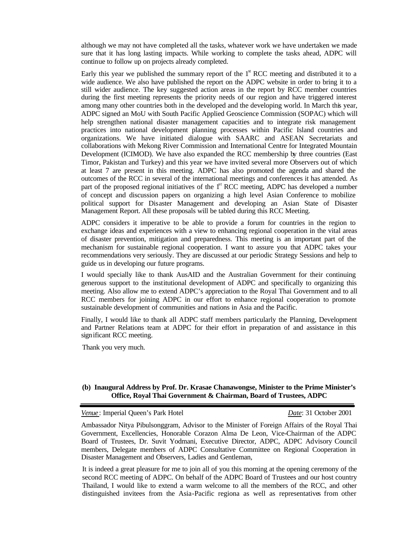although we may not have completed all the tasks, whatever work we have undertaken we made sure that it has long lasting impacts. While working to complete the tasks ahead, ADPC will continue to follow up on projects already completed.

Early this year we published the summary report of the  $1<sup>st</sup> RCC$  meeting and distributed it to a wide audience. We also have published the report on the ADPC website in order to bring it to a still wider audience. The key suggested action areas in the report by RCC member countries during the first meeting represents the priority needs of our region and have triggered interest among many other countries both in the developed and the developing world. In March this year, ADPC signed an MoU with South Pacific Applied Geoscience Commission (SOPAC) which will help strengthen national disaster management capacities and to integrate risk management practices into national development planning processes within Pacific Island countries and organizations. We have initiated dialogue with SAARC and ASEAN Secretariats and collaborations with Mekong River Commission and International Centre for Integrated Mountain Development (ICIMOD). We have also expanded the RCC membership by three countries (East Timor, Pakistan and Turkey) and this year we have invited several more Observers out of which at least 7 are present in this meeting. ADPC has also promoted the agenda and shared the outcomes of the RCC in several of the international meetings and conferences it has attended. As part of the proposed regional initiatives of the 1<sup>st</sup> RCC meeting, ADPC has developed a number of concept and discussion papers on organizing a high level Asian Conference to mobilize political support for Disaster Management and developing an Asian State of Disaster Management Report. All these proposals will be tabled during this RCC Meeting.

ADPC considers it imperative to be able to provide a forum for countries in the region to exchange ideas and experiences with a view to enhancing regional cooperation in the vital areas of disaster prevention, mitigation and preparedness. This meeting is an important part of the mechanism for sustainable regional cooperation. I want to assure you that ADPC takes your recommendations very seriously. They are discussed at our periodic Strategy Sessions and help to guide us in developing our future programs.

I would specially like to thank AusAID and the Australian Government for their continuing generous support to the institutional development of ADPC and specifically to organizing this meeting. Also allow me to extend ADPC's appreciation to the Royal Thai Government and to all RCC members for joining ADPC in our effort to enhance regional cooperation to promote sustainable development of communities and nations in Asia and the Pacific.

Finally, I would like to thank all ADPC staff members particularly the Planning, Development and Partner Relations team at ADPC for their effort in preparation of and assistance in this significant RCC meeting.

Thank you very much.

#### **(b) Inaugural Address by Prof. Dr. Krasae Chanawongse, Minister to the Prime Minister's Office, Royal Thai Government & Chairman, Board of Trustees, ADPC**

*Venue* : Imperial Queen's Park Hotel *Date*: 31 October 2001

Ambassador Nitya Pibulsonggram, Advisor to the Minister of Foreign Affairs of the Royal Thai Government, Excellencies, Honorable Corazon Alma De Leon, Vice-Chairman of the ADPC Board of Trustees, Dr. Suvit Yodmani, Executive Director, ADPC, ADPC Advisory Council members, Delegate members of ADPC Consultative Committee on Regional Cooperation in Disaster Management and Observers, Ladies and Gentleman,

It is indeed a great pleasure for me to join all of you this morning at the opening ceremony of the second RCC meeting of ADPC. On behalf of the ADPC Board of Trustees and our host country Thailand, I would like to extend a warm welcome to all the members of the RCC, and other distinguished invitees from the Asia-Pacific regiona as well as representatives from other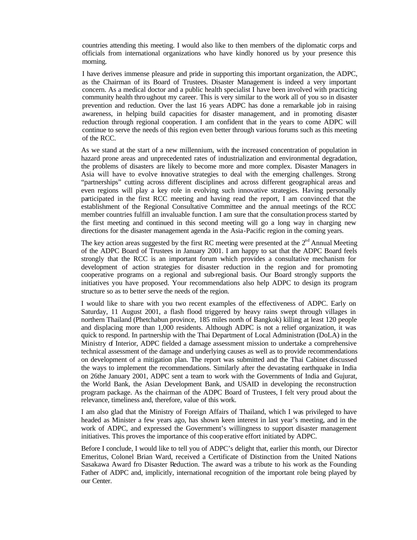countries attending this meeting. I would also like to then members of the diplomatic corps and officials from international organizations who have kindly honored us by your presence this morning.

I have derives immense pleasure and pride in supporting this important organization, the ADPC, as the Chairman of its Board of Trustees. Disaster Management is indeed a very important concern. As a medical doctor and a public health specialist  $\tilde{I}$  have been involved with practicing community health thro ughout my career. This is very similar to the work all of you so in disaster prevention and reduction. Over the last 16 years ADPC has done a remarkable job in raising awareness, in helping build capacities for disaster management, and in promoting disaster reduction through regional cooperation. I am confident that in the years to come ADPC will continue to serve the needs of this region even better through various forums such as this meeting of the RCC.

As we stand at the start of a new millennium, with the increased concentration of population in hazard prone areas and unprecedented rates of industrialization and environmental degradation, the problems of disasters are likely to become more and more complex. Disaster Managers in Asia will have to evolve innovative strategies to deal with the emerging challenges. Strong "partnerships" cutting across different disciplines and across different geographical areas and even regions will play a key role in evolving such innovative strategies. Having personally participated in the first RCC meeting and having read the report, I am convinced that the establishment of the Regional Consultative Committee and the annual meetings of the RCC member countries fulfill an invaluable function. I am sure that the consultation process started by the first meeting and continued in this second meeting will go a long way in charging new directions for the disaster management agenda in the Asia-Pacific region in the coming years.

The key action areas suggested by the first RC meeting were presented at the  $2<sup>nd</sup>$  Annual Meeting of the ADPC Board of Trustees in January 2001. I am happy to sat that the ADPC Board feels strongly that the RCC is an important forum which provides a consultative mechanism for development of action strategies for disaster reduction in the region and for promoting cooperative programs on a regional and sub-regional basis. Our Board strongly supports the initiatives you have proposed. Your recommendations also help ADPC to design its program structure so as to better serve the needs of the region.

I would like to share with you two recent examples of the effectiveness of ADPC. Early on Saturday, 11 August 2001, a flash flood triggered by heavy rains swept through villages in northern Thailand (Phetchabun province, 185 miles north of Bangkok) killing at least 120 people and displacing more than 1,000 residents. Although ADPC is not a relief organization, it was quick to respond. In partnership with the Thai Department of Local Administration (DoLA) in the Ministry of Interior, ADPC fielded a damage assessment mission to undertake a comprehensive technical assessment of the damage and underlying causes as well as to provide recommendations on development of a mitigation plan. The report was submitted and the Thai Cabinet discussed the ways to implement the recommendations. Similarly after the devastating earthquake in India on 26the January 2001, ADPC sent a team to work with the Governments of India and Gujurat, the World Bank, the Asian Development Bank, and USAID in developing the reconstruction program package. As the chairman of the ADPC Board of Trustees, I felt very proud about the relevance, timeliness and, therefore, value of this work.

I am also glad that the Ministry of Foreign Affairs of Thailand, which I was privileged to have headed as Minister a few years ago, has shown keen interest in last year's meeting, and in the work of ADPC, and expressed the Government's willingness to support disaster management initiatives. This proves the importance of this coop erative effort initiated by ADPC.

Before I conclude, I would like to tell you of ADPC's delight that, earlier this month, our Director Emeritus, Colonel Brian Ward, received a Certificate of Distinction from the United Nations Sasakawa Award fro Disaster Reduction. The award was a tribute to his work as the Founding Father of ADPC and, implicitly, international recognition of the important role being played by our Center.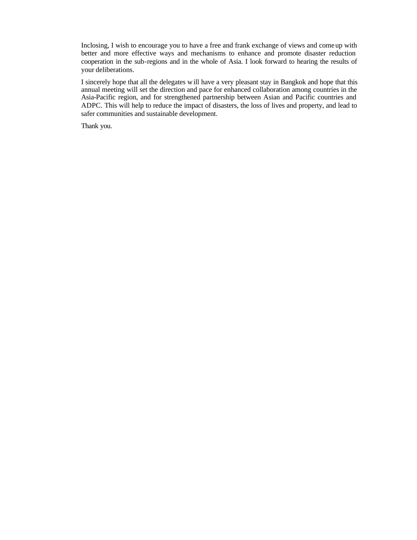Inclosing, I wish to encourage you to have a free and frank exchange of views and come up with better and more effective ways and mechanisms to enhance and promote disaster reduction cooperation in the sub-regions and in the whole of Asia. I look forward to hearing the results of your deliberations.

I sincerely hope that all the delegates will have a very pleasant stay in Bangkok and hope that this annual meeting will set the direction and pace for enhanced collaboration among countries in the Asia-Pacific region, and for strengthened partnership between Asian and Pacific countries and ADPC. This will help to reduce the impact of disasters, the loss of lives and property, and lead to safer communities and sustainable development.

Thank you.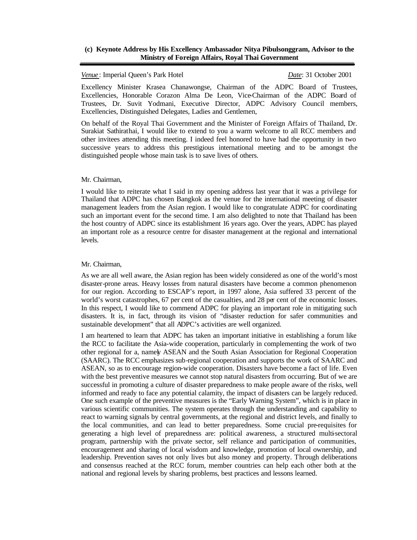#### **(c) Keynote Address by His Excellency Ambassador Nitya Pibulsonggram, Advisor to the Ministry of Foreign Affairs, Royal Thai Government**

#### *Venue* : Imperial Queen's Park Hotel *Date*: 31 October 2001

Excellency Minister Krasea Chanawongse, Chairman of the ADPC Board of Trustees, Excellencies, Honorable Corazon Alma De Leon, Vice-Chairman of the ADPC Board of Trustees, Dr. Suvit Yodmani, Executive Director, ADPC Advisory Council members, Excellencies, Distinguished Delegates, Ladies and Gentlemen,

On behalf of the Royal Thai Government and the Minister of Foreign Affairs of Thailand, Dr. Surakiat Sathirathai, I would like to extend to you a warm welcome to all RCC members and other invitees attending this meeting. I indeed feel honored to have had the opportunity in two successive years to address this prestigious international meeting and to be amongst the distinguished people whose main task is to save lives of others.

#### Mr. Chairman,

I would like to reiterate what I said in my opening address last year that it was a privilege for Thailand that ADPC has chosen Bangkok as the venue for the international meeting of disaster management leaders from the Asian region. I would like to congratulate ADPC for coordinating such an important event for the second time. I am also delighted to note that Thailand has been the host country of ADPC since its establishment 16 years ago. Over the years, ADPC has played an important role as a resource centre for disaster management at the regional and international levels.

#### Mr. Chairman,

As we are all well aware, the Asian region has been widely considered as one of the world's most disaster-prone areas. Heavy losses from natural disasters have become a common phenomenon for our region. According to ESCAP's report, in 1997 alone, Asia suffered 33 percent of the world's worst catastrophes, 67 per cent of the casualties, and 28 per cent of the economic losses. In this respect, I would like to commend ADPC for playing an important role in mitigating such disasters. It is, in fact, through its vision of "disaster reduction for safer communities and sustainable development" that all ADPC's activities are well organized.

I am heartened to learn that ADPC has taken an important initiative in establishing a forum like the RCC to facilitate the Asia-wide cooperation, particularly in complementing the work of two other regional for a, namely ASEAN and the South Asian Association for Regional Cooperation (SAARC). The RCC emphasizes sub-regional cooperation and supports the work of SAARC and ASEAN, so as to encourage region-wide cooperation. Disasters have become a fact of life. Even with the best preventive measures we cannot stop natural disasters from occurring. But of we are successful in promoting a culture of disaster preparedness to make people aware of the risks, well informed and ready to face any potential calamity, the impact of disasters can be largely reduced. One such example of the preventive measures is the "Early Warning System", which is in place in various scientific communities. The system operates through the understanding and capability to react to warning signals by central governments, at the regional and district levels, and finally to the local communities, and can lead to better preparedness. Some crucial pre-requisites for generating a high level of preparedness are: political awareness, a structured multi-sectoral program, partnership with the private sector, self reliance and participation of communities, encouragement and sharing of local wisdom and knowledge, promotion of local ownership, and leadership. Prevention saves not only lives but also money and property. Through deliberations and consensus reached at the RCC forum, member countries can help each other both at the national and regional levels by sharing problems, best practices and lessons learned.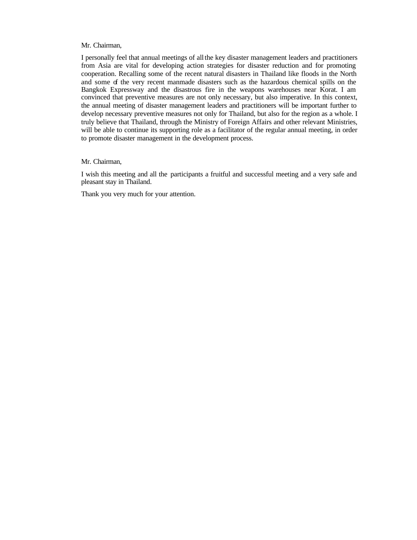#### Mr. Chairman,

I personally feel that annual meetings of all the key disaster management leaders and practitioners from Asia are vital for developing action strategies for disaster reduction and for promoting cooperation. Recalling some of the recent natural disasters in Thailand like floods in the North and some of the very recent manmade disasters such as the hazardous chemical spills on the Bangkok Expressway and the disastrous fire in the weapons warehouses near Korat. I am convinced that preventive measures are not only necessary, but also imperative. In this context, the annual meeting of disaster management leaders and practitioners will be important further to develop necessary preventive measures not only for Thailand, but also for the region as a whole. I truly believe that Thailand, through the Ministry of Foreign Affairs and other relevant Ministries, will be able to continue its supporting role as a facilitator of the regular annual meeting, in order to promote disaster management in the development process.

#### Mr. Chairman,

I wish this meeting and all the participants a fruitful and successful meeting and a very safe and pleasant stay in Thailand.

Thank you very much for your attention.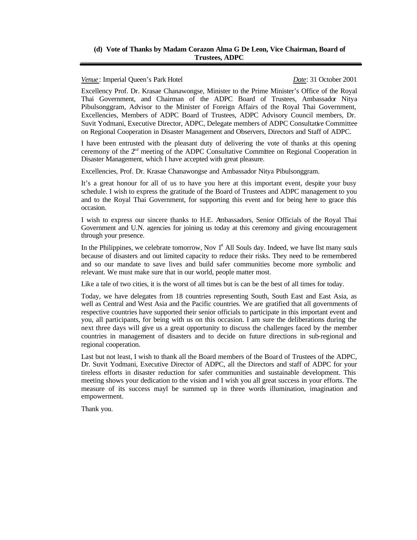#### **(d) Vote of Thanks by Madam Corazon Alma G De Leon, Vice Chairman, Board of Trustees, ADPC**

*Venue* : Imperial Queen's Park Hotel *Date*: 31 October 2001

Excellency Prof. Dr. Krasae Chanawongse, Minister to the Prime Minister's Office of the Royal Thai Government, and Chairman of the ADPC Board of Trustees, Ambassador Nitya Pibulsonggram, Advisor to the Minister of Foreign Affairs of the Royal Thai Government, Excellencies, Members of ADPC Board of Trustees, ADPC Advisory Council members, Dr. Suvit Yodmani, Executive Director, ADPC, Delegate members of ADPC Consultative Committee on Regional Cooperation in Disaster Management and Observers, Directors and Staff of ADPC.

I have been entrusted with the pleasant duty of delivering the vote of thanks at this opening ceremony of the 2<sup>nd</sup> meeting of the ADPC Consultative Committee on Regional Cooperation in Disaster Management, which I have accepted with great pleasure.

Excellencies, Prof. Dr. Krasae Chanawongse and Ambassador Nitya Pibulsonggram.

It's a great honour for all of us to have you here at this important event, despite your busy schedule. I wish to express the gratitude of the Board of Trustees and ADPC management to you and to the Royal Thai Government, for supporting this event and for being here to grace this occasion.

I wish to express our sincere thanks to H.E. Ambassadors, Senior Officials of the Royal Thai Government and U.N. agencies for joining us today at this ceremony and giving encouragement through your presence.

In the Philippines, we celebrate tomorrow, Nov  $1<sup>st</sup>$  All Souls day. Indeed, we have llst many souls because of disasters and out limited capacity to reduce their risks. They need to be remembered and so our mandate to save lives and build safer communities become more symbolic and relevant. We must make sure that in our world, people matter most.

Like a tale of two cities, it is the worst of all times but is can be the best of all times for today.

Today, we have delegates from 18 countries representing South, South East and East Asia, as well as Central and West Asia and the Pacific countries. We are gratified that all governments of respective countries have supported their senior officials to participate in this important event and you, all participants, for being with us on this occasion. I am sure the deliberations during the next three days will give us a great opportunity to discuss the challenges faced by the member countries in management of disasters and to decide on future directions in sub-regional and regional cooperation.

Last but not least, I wish to thank all the Board members of the Board of Trustees of the ADPC, Dr. Suvit Yodmani, Executive Director of ADPC, all the Directors and staff of ADPC for your tireless efforts in disaster reduction for safer communities and sustainable development. This meeting shows your dedication to the vision and I wish you all great success in your efforts. The measure of its success mayl be summed up in three words illumination, imagination and empowerment.

Thank you.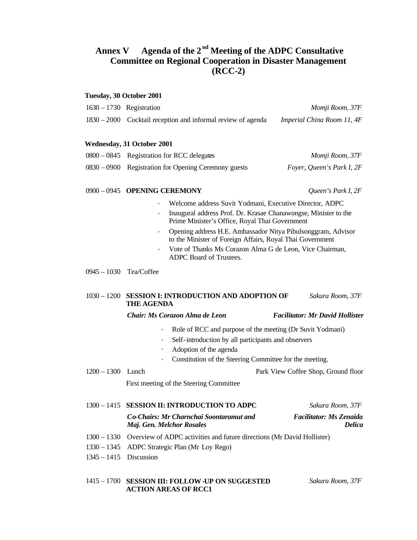## **Annex V Agenda of the 2 nd Meeting of the ADPC Consultative Committee on Regional Cooperation in Disaster Management (RCC-2)**

#### **Tuesday, 30 October 2001**

| $1630 - 1730$ Registration                                     | Momji Room, 37F            |
|----------------------------------------------------------------|----------------------------|
| $1830 - 2000$ Cocktail reception and informal review of agenda | Imperial China Room 11, 4F |

#### **Wednesday, 31 October 2001**

| $0800 - 0845$ Registration for RCC delegates         | Momji Room, 37F           |
|------------------------------------------------------|---------------------------|
| 0830 – 0900 Registration for Opening Ceremony guests | Foyer, Queen's Park I, 2F |

#### 0900 – 0945 **OPENING CEREMONY** *Queen's Park I, 2F*

- Welcome address Suvit Yodmani, Executive Director, ADPC
- Inaugural address Prof. Dr. Krasae Chanawongse, Minister to the Prime Minister's Office, Royal Thai Government
- Opening address H.E. Ambassador Nitya Pibulsonggram, Advisor to the Minister of Foreign Affairs, Royal Thai Government
- Vote of Thanks Ms Corazon Alma G de Leon, Vice Chairman, ADPC Board of Trustees.

### 0945 – 1030 Tea/Coffee

#### 1030 – 1200 **SESSION I: INTRODUCTION AND ADOPTION OF THE AGENDA** *Sakura Room, 37F*

*Chair: Ms Corazon Alma de Leon Facilitator: Mr David Hollister*

- Role of RCC and purpose of the meeting (Dr Suvit Yodmani)
- Self-introduction by all participants and observers
- 
- Adoption of the agenda
- Constitution of the Steering Committee for the meeting.

1200 – 1300 Lunch Park View Coffee Shop, Ground floor

First meeting of the Steering Committee

#### 1300 – 1415 **SESSION II: INTRODUCTION TO ADPC** *Sakura Room, 37F*

#### *Co-Chairs: Mr Charnchai Soontaramut and Maj. Gen. Melchor Rosales*

*Facilitator: Ms Zenaida Delica*

- 1300 1330 Overview of ADPC activities and future directions (Mr David Hollister)
- 1330 1345 ADPC Strategic Plan (Mr Loy Rego)
- 1345 1415 Discussion

#### 1415 – 1700 **SESSION III: FOLLOW-UP ON SUGGESTED ACTION AREAS OF RCC1**

*Sakura Room, 37F*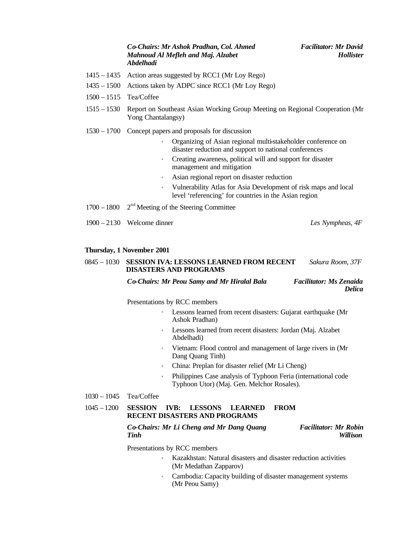#### *Co-Chairs: Mr Ashok Pradhan, Col. Ahmed Mahnoud Al Mefleh and Maj. Alzabet Abdelhadi*

- 1415 1435 Action areas suggested by RCC1 (Mr Loy Rego)
- 1435 1500 Actions taken by ADPC since RCC1 (Mr Loy Rego)
- 1500 1515 Tea/Coffee
- 1515 1530 Report on Southeast Asian Working Group Meeting on Regional Cooperation (Mr Yong Chantalangsy)
- 1530 1700 Concept papers and proposals for discussion
	- Organizing of Asian regional multi-stakeholder conference on disaster reduction and support to national conferences
	- Creating awareness, political will and support for disaster management and mitigation
	- Asian regional report on disaster reduction
	- Vulnerability Atlas for Asia Development of risk maps and local level 'referencing' for countries in the Asian region
- 1700 1800 2  $2<sup>nd</sup>$  Meeting of the Steering Committee
- 1900 2130 Welcome dinner *Les Nympheas, 4F*

#### **Thursday, 1 November 2001**

#### 0845 – 1030 **SESSION IVA: LESSONS LEARNED FROM RECENT DISASTERS AND PROGRAMS** *Sakura Room, 37F*

*Co-Chairs: Mr Peou Samy and Mr Hiralal Bala Facilitator: Ms Zenaida* 

*Delica*

Presentations by RCC members

- Lessons learned from recent disasters: Gujarat earthquake (Mr Ashok Pradhan)
- Lessons learned from recent disasters: Jordan (Maj. Alzabet Abdelhadi)
- Vietnam: Flood control and management of large rivers in (Mr Dang Quang Tinh)
- China: Preplan for disaster relief (Mr Li Cheng)
- Philippines Case analysis of Typhoon Feria (international code Typhoon Utor) (Maj. Gen. Melchor Rosales).

1030 – 1045 Tea/Coffee

#### 1045 – 1200 **SESSION IVB: LESSONS LEARNED FROM RECENT DISASTERS AND PROGRAMS**

#### *Co-Chairs: Mr Li Cheng and Mr Dang Quang Tinh Facilitator: Mr Robin Willison*

Presentations by RCC members

- Kazakhstan: Natural disasters and disaster reduction activities (Mr Medathan Zapparov)
- Cambodia: Capacity building of disaster management systems (Mr Peou Samy)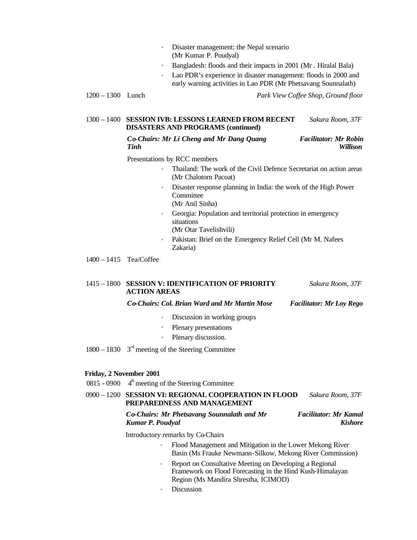- Disaster management: the Nepal scenario (Mr Kumar P. Poudyal)
- Bangladesh: floods and their impacts in 2001 (Mr . Hiralal Bala)
- Lao PDR's experience in disaster management: floods in 2000 and early warning activities in Lao PDR (Mr Phetsavang Sounnalath)

#### 1300 – 1400 **SESSION IVB: LESSONS LEARNED FROM RECENT DISASTERS AND PROGRAMS (continued)** *Sakura Room, 37F*

*Co-Chairs: Mr Li Cheng and Mr Dang Quang Tinh*

*Facilitator: Mr Robin Willison*

Presentations by RCC members

- Thailand: The work of the Civil Defence Secretariat on action areas (Mr Chalotorn Pacoat)
- Disaster response planning in India: the work of the High Power **Committee** (Mr Anil Sinha)
- Georgia: Population and territorial protection in emergency situations
	- (Mr Otar Tavelishvili)
- Pakistan: Brief on the Emergency Relief Cell (Mr M. Nafees Zakaria)

1400 – 1415 Tea/Coffee

#### 1415 – 1800 **SESSION V: IDENTIFICATION OF PRIORITY ACTION AREAS** *Sakura Room, 37F*

### *Co-Chairs: Col. Brian Ward and Mr Martin Mose Facilitator: Mr Loy Rego*

- Discussion in working groups
- Plenary presentations
- Plenary discussion.
- $1800 1830$   $3<sup>rd</sup>$  meeting of the Steering Committee

#### **Friday, 2 November 2001**

 $0815 - 0900$   $4<sup>th</sup>$  meeting of the Steering Committee

#### 0900 – 1200 **SESSION VI: REGIONAL COOPERATION IN FLOOD PREPAREDNESS AND MANAGEMENT**  *Sakura Room, 37F*

#### *Co-Chairs: Mr Phetsavang Sounnalath and Mr Kumar P. Poudyal Facilitator: Mr Kamal Kishore*

Introductory remarks by Co-Chairs

- Flood Management and Mitigation in the Lower Mekong River Basin (Ms Frauke Newmann-Silkow, Mekong River Commission)
- Report on Consultative Meeting on Developing a Regional Framework on Flood Forecasting in the Hind Kush-Himalayan Region (Ms Mandira Shrestha, ICIMOD)
- **Discussion**

<sup>1200 – 1300</sup> Lunch *Park View Coffee Shop, Ground floor*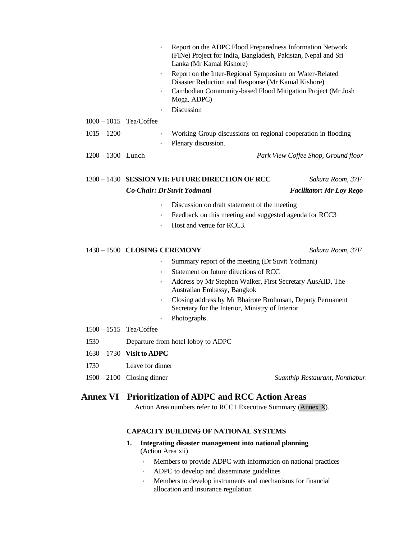|                          | $\qquad \qquad \bullet$ | Report on the ADPC Flood Preparedness Information Network<br>(FINe) Project for India, Bangladesh, Pakistan, Nepal and Sri<br>Lanka (Mr Kamal Kishore) |
|--------------------------|-------------------------|--------------------------------------------------------------------------------------------------------------------------------------------------------|
|                          | $\bullet$               | Report on the Inter-Regional Symposium on Water-Related<br>Disaster Reduction and Response (Mr Kamal Kishore)                                          |
|                          | $\bullet$               | Cambodian Community-based Flood Mitigation Project (Mr Josh<br>Moga, ADPC)                                                                             |
|                          | ۰                       | <b>Discussion</b>                                                                                                                                      |
| $1000 - 1015$ Tea/Coffee |                         |                                                                                                                                                        |
| $1015 - 1200$            | $\bullet$               | Working Group discussions on regional cooperation in flooding                                                                                          |
|                          | $\bullet$               | Plenary discussion.                                                                                                                                    |
| $1200 - 1300$ Lunch      |                         | Park View Coffee Shop, Ground floor                                                                                                                    |
|                          |                         |                                                                                                                                                        |

| 1300 – 1430 SESSION VII: FUTURE DIRECTION OF RCC | Sakura Room, 37F                |
|--------------------------------------------------|---------------------------------|
| Co-Chair: Dr Suvit Yodmani                       | <b>Facilitator: Mr Loy Rego</b> |

- Discussion on draft statement of the meeting
- Feedback on this meeting and suggested agenda for RCC3
- Host and venue for RCC3.

#### 1430 – 1500 **CLOSING CEREMONY** *Sakura Room, 37F*

- Summary report of the meeting (Dr Suvit Yodmani)
- Statement on future directions of RCC
- Address by Mr Stephen Walker, First Secretary AusAID, The Australian Embassy, Bangkok
- Closing address by Mr Bhairote Brohmsan, Deputy Permanent Secretary for the Interior, Ministry of Interior
- Photographs.
- 1500 1515 Tea/Coffee
- 1530 Departure from hotel lobby to ADPC
- 1630 1730 **Visit to ADPC**
- 1730 Leave for dinner
- 1900 2100 Closing dinner *Suanthip Restaurant, Nonthaburi*
	-

## **Annex VI Prioritization of ADPC and RCC Action Areas**

Action Area numbers refer to RCC1 Executive Summary (Annex X).

### **CAPACITY BUILDING OF NATIONAL SYSTEMS**

- **1. Integrating disaster management into national planning** (Action Area xii)
	- Members to provide ADPC with information on national practices
	- ADPC to develop and disseminate guidelines
	- Members to develop instruments and mechanisms for financial allocation and insurance regulation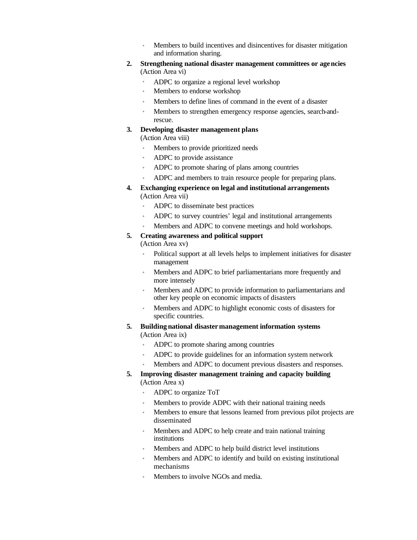- Members to build incentives and disincentives for disaster mitigation and information sharing.
- **2. Strengthening national disaster management committees or agencies** (Action Area vi)
	- ADPC to organize a regional level workshop
	- Members to endorse workshop
	- Members to define lines of command in the event of a disaster
	- Members to strengthen emergency response agencies, search-andrescue.

#### **3. Developing disaster management plans**

(Action Area viii)

- Members to provide prioritized needs
- ADPC to provide assistance
- ADPC to promote sharing of plans among countries
- ADPC and members to train resource people for preparing plans.
- **4. Exchanging experience on legal and institutional arrangements** (Action Area vii)
	- ADPC to disseminate best practices
	- ADPC to survey countries' legal and institutional arrangements
	- Members and ADPC to convene meetings and hold workshops.

#### **5. Creating awareness and political support**

(Action Area xv)

- Political support at all levels helps to implement initiatives for disaster management
- Members and ADPC to brief parliamentarians more frequently and more intensely
- Members and ADPC to provide information to parliamentarians and other key people on economic impacts of disasters
- Members and ADPC to highlight economic costs of disasters for specific countries.
- **5. Building national disastermanagement information systems** (Action Area ix)
	- ADPC to promote sharing among countries
	- ADPC to provide guidelines for an information system network
	- Members and ADPC to document previous disasters and responses.
- **5. Improving disaster management training and capacity building** (Action Area x)
	- ADPC to organize ToT
	- Members to provide ADPC with their national training needs
	- Members to ensure that lessons learned from previous pilot projects are disseminated
	- Members and ADPC to help create and train national training institutions
	- Members and ADPC to help build district level institutions
	- Members and ADPC to identify and build on existing institutional mechanisms
	- Members to involve NGOs and media.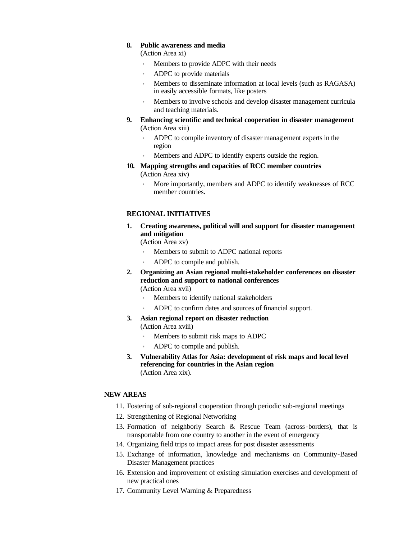#### **8. Public awareness and media**

(Action Area xi)

- Members to provide ADPC with their needs
- ADPC to provide materials
- Members to disseminate information at local levels (such as RAGASA) in easily accessible formats, like posters
- Members to involve schools and develop disaster management curricula and teaching materials.
- **9. Enhancing scientific and technical cooperation in disaster management** (Action Area xiii)
	- ADPC to compile inventory of disaster manag ement experts in the region
	- Members and ADPC to identify experts outside the region.
- **10. Mapping strengths and capacities of RCC member countries** (Action Area xiv)
	- More importantly, members and ADPC to identify weaknesses of RCC member countries.

### **REGIONAL INITIATIVES**

**1. Creating awareness, political will and support for disaster management and mitigation**

(Action Area xv)

- Members to submit to ADPC national reports
- ADPC to compile and publish.
- **2. Organizing an Asian regional multi-stakeholder conferences on disaster reduction and support to national conferences** (Action Area xvii)
	- Members to identify national stakeholders
	- ADPC to confirm dates and sources of financial support.
- **3. Asian regional report on disaster reduction** (Action Area xviii)
	- Members to submit risk maps to ADPC
	- ADPC to compile and publish.
- **3. Vulnerability Atlas for Asia: development of risk maps and local level referencing for countries in the Asian region** (Action Area xix).

#### **NEW AREAS**

- 11. Fostering of sub-regional cooperation through periodic sub-regional meetings
- 12. Strengthening of Regional Networking
- 13. Formation of neighborly Search & Rescue Team (across-borders), that is transportable from one country to another in the event of emergency
- 14. Organizing field trips to impact areas for post disaster assessments
- 15. Exchange of information, knowledge and mechanisms on Community-Based Disaster Management practices
- 16. Extension and improvement of existing simulation exercises and development of new practical ones
- 17. Community Level Warning & Preparedness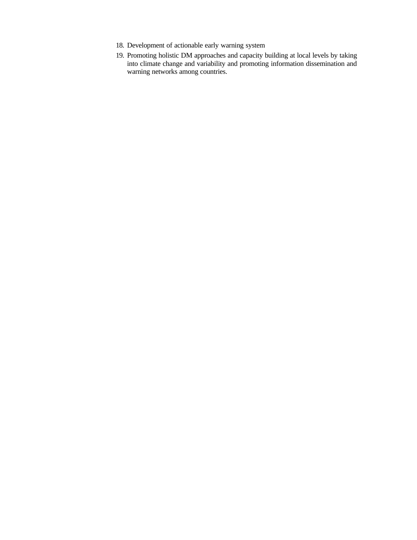- 18. Development of actionable early warning system
- 19. Promoting holistic DM approaches and capacity building at local levels by taking into climate change and variability and promoting information dissemination and warning networks among countries.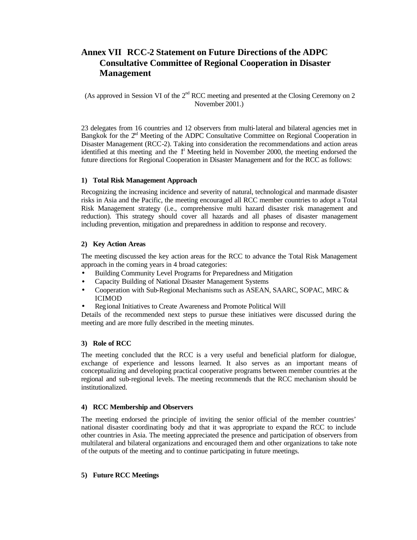## **Annex VII RCC-2 Statement on Future Directions of the ADPC Consultative Committee of Regional Cooperation in Disaster Management**

(As approved in Session VI of the  $2<sup>nd</sup> RCC$  meeting and presented at the Closing Ceremony on 2 November 2001.)

23 delegates from 16 countries and 12 observers from multi-lateral and bilateral agencies met in Bangkok for the  $2<sup>nd</sup>$  Meeting of the ADPC Consultative Committee on Regional Cooperation in Disaster Management (RCC-2). Taking into consideration the recommendations and action areas identified at this meeting and the  $1<sup>t</sup>$  Meeting held in November 2000, the meeting endorsed the future directions for Regional Cooperation in Disaster Management and for the RCC as follows:

#### **1) Total Risk Management Approach**

Recognizing the increasing incidence and severity of natural, technological and manmade disaster risks in Asia and the Pacific, the meeting encouraged all RCC member countries to adopt a Total Risk Management strategy (i.e., comprehensive multi hazard disaster risk management and reduction). This strategy should cover all hazards and all phases of disaster management including prevention, mitigation and preparedness in addition to response and recovery.

#### **2) Key Action Areas**

The meeting discussed the key action areas for the RCC to advance the Total Risk Management approach in the coming years in 4 broad categories:

- Building Community Level Programs for Preparedness and Mitigation
- Capacity Building of National Disaster Management Systems
- Cooperation with Sub-Regional Mechanisms such as ASEAN, SAARC, SOPAC, MRC & ICIMOD
- Regional Initiatives to Create Awareness and Promote Political Will

Details of the recommended next steps to pursue these initiatives were discussed during the meeting and are more fully described in the meeting minutes.

#### **3) Role of RCC**

The meeting concluded that the RCC is a very useful and beneficial platform for dialogue, exchange of experience and lessons learned. It also serves as an important means of conceptualizing and developing practical cooperative programs between member countries at the regional and sub-regional levels. The meeting recommends that the RCC mechanism should be institutionalized.

#### **4) RCC Membership and Observers**

The meeting endorsed the principle of inviting the senior official of the member countries' national disaster coordinating body and that it was appropriate to expand the RCC to include other countries in Asia. The meeting appreciated the presence and participation of observers from multilateral and bilateral organizations and encouraged them and other organizations to take note of the outputs of the meeting and to continue participating in future meetings.

#### **5) Future RCC Meetings**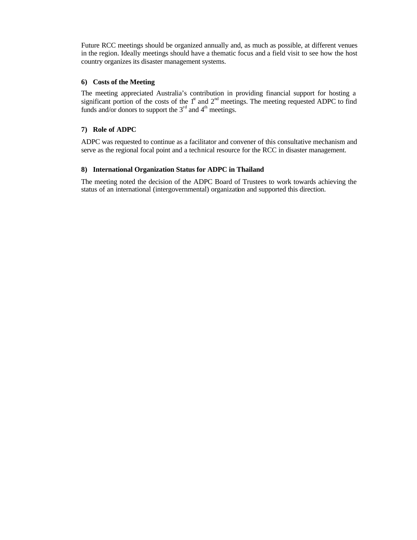Future RCC meetings should be organized annually and, as much as possible, at different venues in the region. Ideally meetings should have a thematic focus and a field visit to see how the host country organizes its disaster management systems.

### **6) Costs of the Meeting**

The meeting appreciated Australia's contribution in providing financial support for hosting a significant portion of the costs of the  $1<sup>st</sup>$  and  $2<sup>nd</sup>$  meetings. The meeting requested ADPC to find funds and/or donors to support the  $3<sup>rd</sup>$  and  $4<sup>th</sup>$  meetings.

### **7) Role of ADPC**

ADPC was requested to continue as a facilitator and convener of this consultative mechanism and serve as the regional focal point and a technical resource for the RCC in disaster management.

#### **8) International Organization Status for ADPC in Thailand**

The meeting noted the decision of the ADPC Board of Trustees to work towards achieving the status of an international (intergovernmental) organization and supported this direction.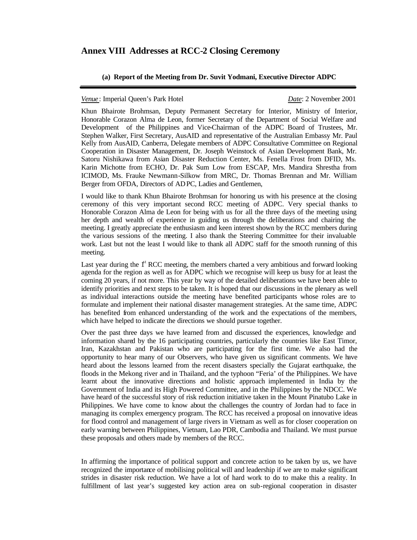## **Annex VIII Addresses at RCC-2 Closing Ceremony**

#### **(a) Report of the Meeting from Dr. Suvit Yodmani, Executive Director ADPC**

#### *Venue* : Imperial Queen's Park Hotel *Date*: 2 November 2001

Khun Bhairote Brohmsan, Deputy Permanent Secretary for Interior, Ministry of Interior, Honorable Corazon Alma de Leon, former Secretary of the Department of Social Welfare and Development of the Philippines and Vice-Chairman of the ADPC Board of Trustees, Mr. Stephen Walker, First Secretary, AusAID and representative of the Australian Embassy Mr. Paul Kelly from AusAID, Canberra, Delegate members of ADPC Consultative Committee on Regional Cooperation in Disaster Management, Dr. Joseph Weinstock of Asian Development Bank, Mr. Satoru Nishikawa from Asian Disaster Reduction Center, Ms. Fenella Frost from DFID, Ms. Karin Michotte from ECHO, Dr. Pak Sum Low from ESCAP, Mrs. Mandira Shrestha from ICIMOD, Ms. Frauke Newmann-Silkow from MRC, Dr. Thomas Brennan and Mr. William Berger from OFDA, Directors of ADPC, Ladies and Gentlemen,

I would like to thank Khun Bhairote Brohmsan for honoring us with his presence at the closing ceremony of this very important second RCC meeting of ADPC. Very special thanks to Honorable Corazon Alma de Leon for being with us for all the three days of the meeting using her depth and wealth of experience in guiding us through the deliberations and chairing the meeting. I greatly appreciate the enthusiasm and keen interest shown by the RCC members during the various sessions of the meeting. I also thank the Steering Committee for their invaluable work. Last but not the least I would like to thank all ADPC staff for the smooth running of this meeting.

Last year during the  $\mathbf{f}^{\text{t}}$  RCC meeting, the members charted a very ambitious and forward looking agenda for the region as well as for ADPC which we recognise will keep us busy for at least the coming 20 years, if not more. This year by way of the detailed deliberations we have been able to identify priorities and next steps to be taken. It is hoped that our discussions in the plenary as well as individual interactions outside the meeting have benefited participants whose roles are to formulate and implement their national disaster management strategies. At the same time, ADPC has benefited from enhanced understanding of the work and the expectations of the members, which have helped to indicate the directions we should pursue together.

Over the past three days we have learned from and discussed the experiences, knowledge and information shared by the 16 participating countries, particularly the countries like East Timor, Iran, Kazakhstan and Pakistan who are participating for the first time. We also had the opportunity to hear many of our Observers, who have given us significant comments. We have heard about the lessons learned from the recent disasters specially the Gujarat earthquake, the floods in the Mekong river and in Thailand, and the typhoon "Feria' of the Philippines. We have learnt about the innovative directions and holistic approach implemented in India by the Government of India and its High Powered Committee, and in the Philippines by the NDCC. We have heard of the successful story of risk reduction initiative taken in the Mount Pinatubo Lake in Philippines. We have come to know about the challenges the country of Jordan had to face in managing its complex emergency program. The RCC has received a proposal on innovative ideas for flood control and management of large rivers in Vietnam as well as for closer cooperation on early warning between Philippines, Vietnam, Lao PDR, Cambodia and Thailand. We must pursue these proposals and others made by members of the RCC.

In affirming the importance of political support and concrete action to be taken by us, we have recognized the importance of mobilising political will and leadership if we are to make significant strides in disaster risk reduction. We have a lot of hard work to do to make this a reality. In fulfillment of last year's suggested key action area on sub-regional cooperation in disaster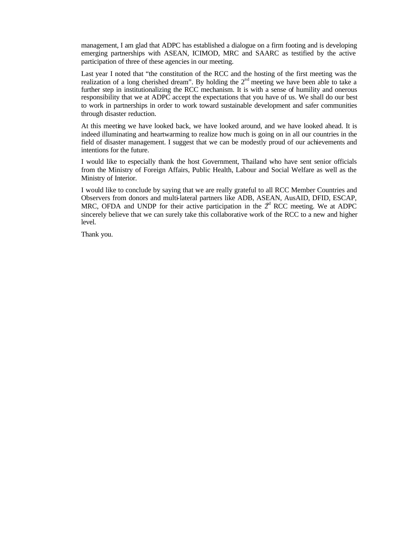management, I am glad that ADPC has established a dialogue on a firm footing and is developing emerging partnerships with ASEAN, ICIMOD, MRC and SAARC as testified by the active participation of three of these agencies in our meeting.

Last year I noted that "the constitution of the RCC and the hosting of the first meeting was the realization of a long cherished dream". By holding the  $2<sup>nd</sup>$  meeting we have been able to take a further step in institutionalizing the RCC mechanism. It is with a sense of humility and onerous responsibility that we at ADPC accept the expectations that you have of us. We shall do our best to work in partnerships in order to work toward sustainable development and safer communities through disaster reduction.

At this meeting we have looked back, we have looked around, and we have looked ahead. It is indeed illuminating and heartwarming to realize how much is going on in all our countries in the field of disaster management. I suggest that we can be modestly proud of our achievements and intentions for the future.

I would like to especially thank the host Government, Thailand who have sent senior officials from the Ministry of Foreign Affairs, Public Health, Labour and Social Welfare as well as the Ministry of Interior.

I would like to conclude by saying that we are really grateful to all RCC Member Countries and Observers from donors and multi-lateral partners like ADB, ASEAN, AusAID, DFID, ESCAP, MRC, OFDA and UNDP for their active participation in the  $2<sup>nd</sup>$  RCC meeting. We at ADPC sincerely believe that we can surely take this collaborative work of the RCC to a new and higher level.

Thank you.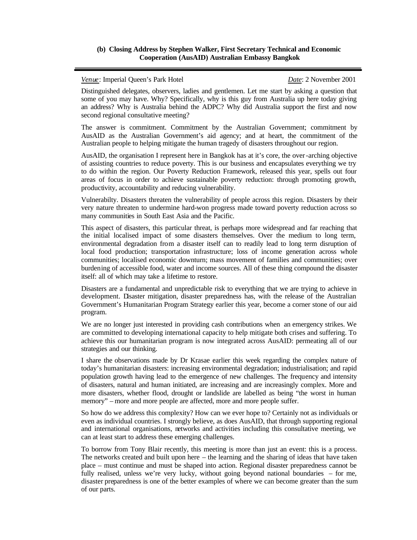#### **(b) Closing Address by Stephen Walker, First Secretary Technical and Economic Cooperation (AusAID) Australian Embassy Bangkok**

*Venue*: Imperial Queen's Park Hotel *Date*: 2 November 2001

Distinguished delegates, observers, ladies and gentlemen. Let me start by asking a question that some of you may have. Why? Specifically, why is this guy from Australia up here today giving an address? Why is Australia behind the ADPC? Why did Australia support the first and now second regional consultative meeting?

The answer is commitment. Commitment by the Australian Government; commitment by AusAID as the Australian Government's aid agency; and at heart, the commitment of the Australian people to helping mitigate the human tragedy of disasters throughout our region.

AusAID, the organisation I represent here in Bangkok has at it's core, the over-arching objective of assisting countries to reduce poverty. This is our business and encapsulates everything we try to do within the region. Our Poverty Reduction Framework, released this year, spells out four areas of focus in order to achieve sustainable poverty reduction: through promoting growth, productivity, accountability and reducing vulnerability.

Vulnerabilty. Disasters threaten the vulnerability of people across this region. Disasters by their very nature threaten to undermine hard-won progress made toward poverty reduction across so many communities in South East Asia and the Pacific.

This aspect of disasters, this particular threat, is perhaps more widespread and far reaching that the initial localised impact of some disasters themselves. Over the medium to long term, environmental degradation from a disaster itself can to readily lead to long term disruption of local food production; transportation infrastructure; loss of income generation across whole communities; localised economic downturn; mass movement of families and communities; over burdening of accessible food, water and income sources. All of these thing compound the disaster itself: all of which may take a lifetime to restore.

Disasters are a fundamental and unpredictable risk to everything that we are trying to achieve in development. Disaster mitigation, disaster preparedness has, with the release of the Australian Government's Humanitarian Program Strategy earlier this year, become a corner stone of our aid program.

We are no longer just interested in providing cash contributions when an emergency strikes. We are committed to developing international capacity to help mitigate both crises and suffering. To achieve this our humanitarian program is now integrated across AusAID: permeating all of our strategies and our thinking.

I share the observations made by Dr Krasae earlier this week regarding the complex nature of today's humanitarian disasters: increasing environmental degradation; industrialisation; and rapid population growth having lead to the emergence of new challenges. The frequency and intensity of disasters, natural and human initiated, are increasing and are increasingly complex. More and more disasters, whether flood, drought or landslide are labelled as being "the worst in human memory" – more and more people are affected, more and more people suffer.

So how do we address this complexity? How can we ever hope to? Certainly not as individuals or even as individual countries. I strongly believe, as does AusAID, that through supporting regional and international organisations, networks and activities including this consultative meeting, we can at least start to address these emerging challenges.

To borrow from Tony Blair recently, this meeting is more than just an event: this is a process. The networks created and built upon here – the learning and the sharing of ideas that have taken place – must continue and must be shaped into action. Regional disaster preparedness cannot be fully realised, unless we're very lucky, without going beyond national boundaries – for me, disaster preparedness is one of the better examples of where we can become greater than the sum of our parts.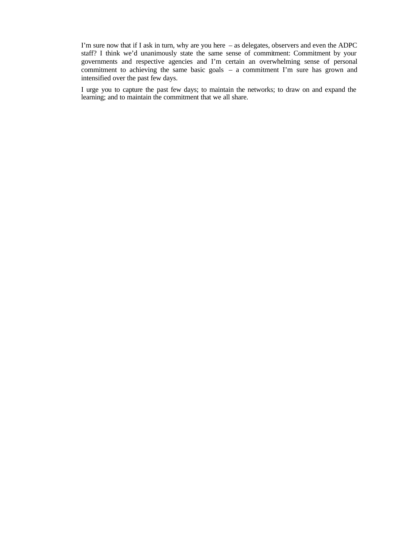I'm sure now that if I ask in turn, why are you here – as delegates, observers and even the ADPC staff? I think we'd unanimously state the same sense of commitment: Commitment by your governments and respective agencies and I'm certain an overwhelming sense of personal commitment to achieving the same basic goals – a commitment I'm sure has grown and intensified over the past few days.

I urge you to capture the past few days; to maintain the networks; to draw on and expand the learning; and to maintain the commitment that we all share.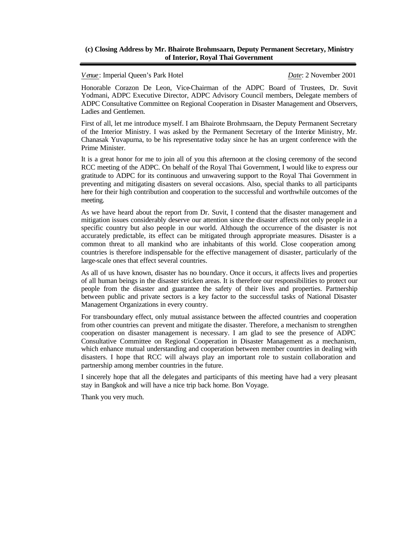## **(c) Closing Address by Mr. Bhairote Brohmsaarn, Deputy Permanent Secretary, Ministry of Interior, Royal Thai Government**

*Venue*: Imperial Queen's Park Hotel *Date*: 2 November 2001

Honorable Corazon De Leon, Vice-Chairman of the ADPC Board of Trustees, Dr. Suvit Yodmani, ADPC Executive Director, ADPC Advisory Council members, Delegate members of ADPC Consultative Committee on Regional Cooperation in Disaster Management and Observers, Ladies and Gentlemen.

First of all, let me introduce myself. I am Bhairote Brohmsaarn, the Deputy Permanent Secretary of the Interior Ministry. I was asked by the Permanent Secretary of the Interior Ministry, Mr. Chanasak Yuvapurna, to be his representative today since he has an urgent conference with the Prime Minister.

It is a great honor for me to join all of you this afternoon at the closing ceremony of the second RCC meeting of the ADPC. On behalf of the Royal Thai Government, I would like to express our gratitude to ADPC for its continuous and unwavering support to the Royal Thai Government in preventing and mitigating disasters on several occasions. Also, special thanks to all participants here for their high contribution and cooperation to the successful and worthwhile outcomes of the meeting.

As we have heard about the report from Dr. Suvit, I contend that the disaster management and mitigation issues considerably deserve our attention since the disaster affects not only people in a specific country but also people in our world. Although the occurrence of the disaster is not accurately predictable, its effect can be mitigated through appropriate measures. Disaster is a common threat to all mankind who are inhabitants of this world. Close cooperation among countries is therefore indispensable for the effective management of disaster, particularly of the large-scale ones that effect several countries.

As all of us have known, disaster has no boundary. Once it occurs, it affects lives and properties of all human beings in the disaster stricken areas. It is therefore our responsibilities to protect our people from the disaster and guarantee the safety of their lives and properties. Partnership between public and private sectors is a key factor to the successful tasks of National Disaster Management Organizations in every country.

For transboundary effect, only mutual assistance between the affected countries and cooperation from other countries can prevent and mitigate the disaster. Therefore, a mechanism to strengthen cooperation on disaster management is necessary. I am glad to see the presence of ADPC Consultative Committee on Regional Cooperation in Disaster Management as a mechanism, which enhance mutual understanding and cooperation between member countries in dealing with disasters. I hope that RCC will always play an important role to sustain collaboration and partnership among member countries in the future.

I sincerely hope that all the delegates and participants of this meeting have had a very pleasant stay in Bangkok and will have a nice trip back home. Bon Voyage.

Thank you very much.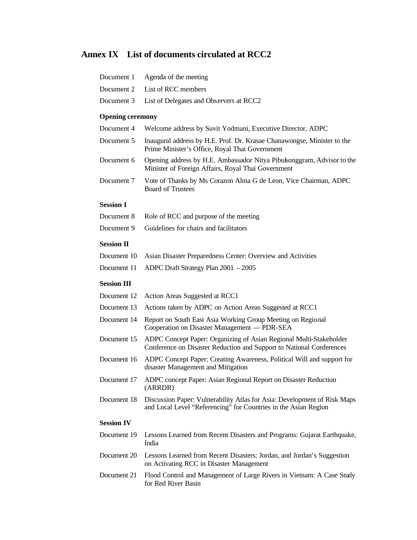# **Annex IX List of documents circulated at RCC2**

| Document 1              | Agenda of the meeting                                                                                                                       |
|-------------------------|---------------------------------------------------------------------------------------------------------------------------------------------|
| Document 2              | List of RCC members                                                                                                                         |
| Document 3              | List of Delegates and Observers at RCC2                                                                                                     |
| <b>Opening ceremony</b> |                                                                                                                                             |
| Document 4              | Welcome address by Suvit Yodmani, Executive Director, ADPC                                                                                  |
| Document 5              | Inaugural address by H.E. Prof. Dr. Krasae Chanawongse, Minister to the<br>Prime Minister's Office, Royal Thai Government                   |
| Document 6              | Opening address by H.E. Ambassador Nitya Pibukonggram, Advisor to the<br>Minister of Foreign Affairs, Royal Thai Government                 |
| Document 7              | Vote of Thanks by Ms Corazon Alma G de Leon, Vice Chairman, ADPC<br><b>Board of Trustees</b>                                                |
| <b>Session I</b>        |                                                                                                                                             |
| Document 8              | Role of RCC and purpose of the meeting                                                                                                      |
| Document 9              | Guidelines for chairs and facilitators                                                                                                      |
| <b>Session II</b>       |                                                                                                                                             |
| Document 10             | Asian Disaster Preparedness Center: Overview and Activities                                                                                 |
| Document 11             | ADPC Draft Strategy Plan $2001 - 2005$                                                                                                      |
| <b>Session III</b>      |                                                                                                                                             |
| Document 12             | Action Areas Suggested at RCC1                                                                                                              |
| Document 13             | Actions taken by ADPC on Action Areas Suggested at RCC1                                                                                     |
| Document 14             | Report on South East Asia Working Group Meeting on Regional<br>Cooperation on Disaster Management — PDR-SEA                                 |
| Document 15             | ADPC Concept Paper: Organizing of Asian Regional Multi-Stakeholder<br>Conference on Disaster Reduction and Support to National Conferences  |
| Document 16             | ADPC Concept Paper: Creating Awareness, Political Will and support for<br>disaster Management and Mitigation                                |
| Document 17             | ADPC concept Paper: Asian Regional Report on Disaster Reduction<br>(ARRDR)                                                                  |
| Document 18             | Discussion Paper: Vulnerability Atlas for Asia: Development of Risk Maps<br>and Local Level "Referencing" for Countries in the Asian Region |
| <b>Session IV</b>       |                                                                                                                                             |
| Document 19             | Lessons Learned from Recent Disasters and Programs: Gujarat Earthquake,<br>India                                                            |
| Document 20             | Lessons Learned from Recent Disasters: Jordan, and Jordan's Suggestion<br>on Activating RCC in Disaster Management                          |
| Document 21             | Flood Control and Management of Large Rivers in Vietnam: A Case Study<br>for Red River Basin                                                |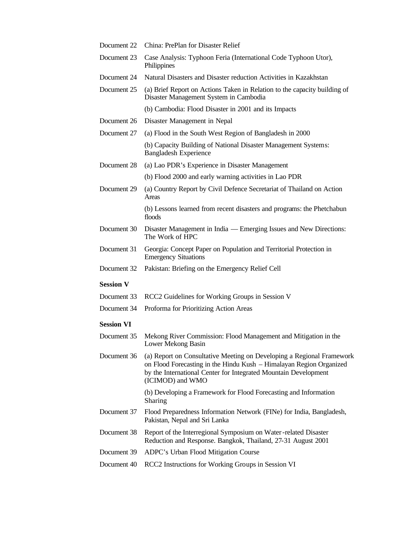| Document 22       | China: PrePlan for Disaster Relief                                                                                                                                                                                                  |
|-------------------|-------------------------------------------------------------------------------------------------------------------------------------------------------------------------------------------------------------------------------------|
| Document 23       | Case Analysis: Typhoon Feria (International Code Typhoon Utor),<br>Philippines                                                                                                                                                      |
| Document 24       | Natural Disasters and Disaster reduction Activities in Kazakhstan                                                                                                                                                                   |
| Document 25       | (a) Brief Report on Actions Taken in Relation to the capacity building of<br>Disaster Management System in Cambodia                                                                                                                 |
|                   | (b) Cambodia: Flood Disaster in 2001 and its Impacts                                                                                                                                                                                |
| Document 26       | Disaster Management in Nepal                                                                                                                                                                                                        |
| Document 27       | (a) Flood in the South West Region of Bangladesh in 2000                                                                                                                                                                            |
|                   | (b) Capacity Building of National Disaster Management Systems:<br><b>Bangladesh Experience</b>                                                                                                                                      |
| Document 28       | (a) Lao PDR's Experience in Disaster Management                                                                                                                                                                                     |
|                   | (b) Flood 2000 and early warning activities in Lao PDR                                                                                                                                                                              |
| Document 29       | (a) Country Report by Civil Defence Secretariat of Thailand on Action<br>Areas                                                                                                                                                      |
|                   | (b) Lessons learned from recent disasters and programs: the Phetchabun<br>floods                                                                                                                                                    |
| Document 30       | Disaster Management in India — Emerging Issues and New Directions:<br>The Work of HPC                                                                                                                                               |
| Document 31       | Georgia: Concept Paper on Population and Territorial Protection in<br><b>Emergency Situations</b>                                                                                                                                   |
| Document 32       | Pakistan: Briefing on the Emergency Relief Cell                                                                                                                                                                                     |
| <b>Session V</b>  |                                                                                                                                                                                                                                     |
| Document 33       | RCC2 Guidelines for Working Groups in Session V                                                                                                                                                                                     |
| Document 34       | Proforma for Prioritizing Action Areas                                                                                                                                                                                              |
| <b>Session VI</b> |                                                                                                                                                                                                                                     |
| Document 35       | Mekong River Commission: Flood Management and Mitigation in the<br>Lower Mekong Basin                                                                                                                                               |
| Document 36       | (a) Report on Consultative Meeting on Developing a Regional Framework<br>on Flood Forecasting in the Hindu Kush – Himalayan Region Organized<br>by the International Center for Integrated Mountain Development<br>(ICIMOD) and WMO |
|                   | (b) Developing a Framework for Flood Forecasting and Information<br>Sharing                                                                                                                                                         |
| Document 37       | Flood Preparedness Information Network (FINe) for India, Bangladesh,<br>Pakistan, Nepal and Sri Lanka                                                                                                                               |
| Document 38       | Report of the Interregional Symposium on Water-related Disaster<br>Reduction and Response. Bangkok, Thailand, 27-31 August 2001                                                                                                     |
| Document 39       | ADPC's Urban Flood Mitigation Course                                                                                                                                                                                                |
| Document 40       | RCC2 Instructions for Working Groups in Session VI                                                                                                                                                                                  |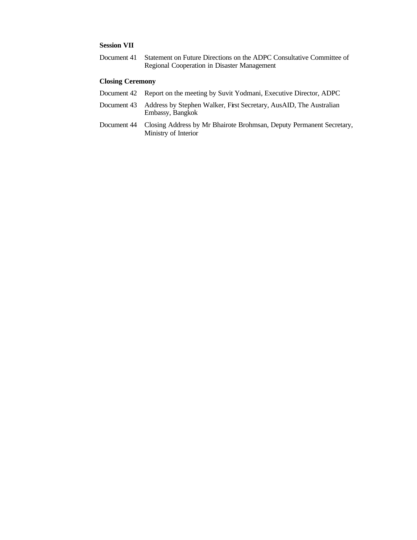# **Session VII**

Document 41 Statement on Future Directions on the ADPC Consultative Committee of Regional Cooperation in Disaster Management

## **Closing Ceremony**

- Document 42 Report on the meeting by Suvit Yodmani, Executive Director, ADPC
- Document 43 Address by Stephen Walker, First Secretary, AusAID, The Australian Embassy, Bangkok
- Document 44 Closing Address by Mr Bhairote Brohmsan, Deputy Permanent Secretary, Ministry of Interior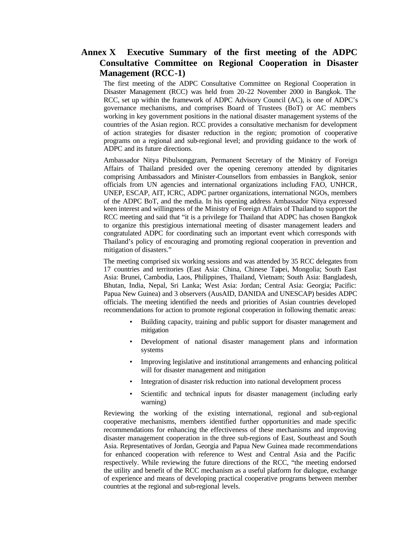# **Annex X Executive Summary of the first meeting of the ADPC Consultative Committee on Regional Cooperation in Disaster Management (RCC-1)**

The first meeting of the ADPC Consultative Committee on Regional Cooperation in Disaster Management (RCC) was held from 20-22 November 2000 in Bangkok. The RCC, set up within the framework of ADPC Advisory Council (AC), is one of ADPC's governance mechanisms, and comprises Board of Trustees (BoT) or AC members working in key government positions in the national disaster management systems of the countries of the Asian region. RCC provides a consultative mechanism for development of action strategies for disaster reduction in the region; promotion of cooperative programs on a regional and sub-regional level; and providing guidance to the work of ADPC and its future directions.

Ambassador Nitya Pibulsonggram, Permanent Secretary of the Ministry of Foreign Affairs of Thailand presided over the opening ceremony attended by dignitaries comprising Ambassadors and Minister-Counsellors from embassies in Bangkok, senior officials from UN agencies and international organizations including FAO, UNHCR, UNEP, ESCAP, AIT, ICRC, ADPC partner organizations, international NGOs, members of the ADPC BoT, and the media. In his opening address Ambassador Nitya expressed keen interest and willingness of the Ministry of Foreign Affairs of Thailand to support the RCC meeting and said that "it is a privilege for Thailand that ADPC has chosen Bangkok to organize this prestigious international meeting of disaster management leaders and congratulated ADPC for coordinating such an important event which corresponds with Thailand's policy of encouraging and promoting regional cooperation in prevention and mitigation of disasters."

The meeting comprised six working sessions and was attended by 35 RCC delegates from 17 countries and territories (East Asia: China, Chinese Taipei, Mongolia; South East Asia: Brunei, Cambodia, Laos, Philippines, Thailand, Vietnam; South Asia: Bangladesh, Bhutan, India, Nepal, Sri Lanka; West Asia: Jordan; Central Asia: Georgia; Pacific: Papua New Guinea) and 3 observers (AusAID, DANIDA and UNESCAP) besides ADPC officials. The meeting identified the needs and priorities of Asian countries developed recommendations for action to promote regional cooperation in following thematic areas:

- Building capacity, training and public support for disaster management and mitigation
- Development of national disaster management plans and information systems
- Improving legislative and institutional arrangements and enhancing political will for disaster management and mitigation
- Integration of disaster risk reduction into national development process
- Scientific and technical inputs for disaster management (including early warning)

Reviewing the working of the existing international, regional and sub-regional cooperative mechanisms, members identified further opportunities and made specific recommendations for enhancing the effectiveness of these mechanisms and improving disaster management cooperation in the three sub-regions of East, Southeast and South Asia. Representatives of Jordan, Georgia and Papua New Guinea made recommendations for enhanced cooperation with reference to West and Central Asia and the Pacific respectively. While reviewing the future directions of the RCC, "the meeting endorsed the utility and benefit of the RCC mechanism as a useful platform for dialogue, exchange of experience and means of developing practical cooperative programs between member countries at the regional and sub-regional levels.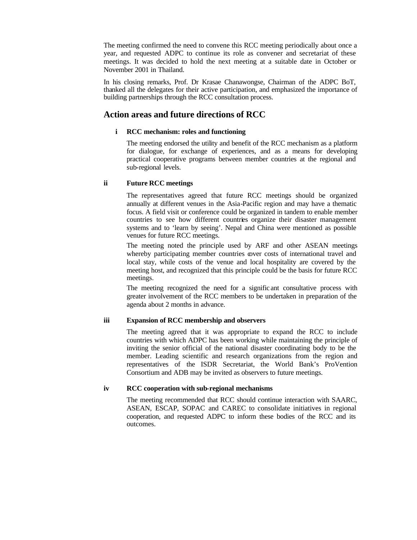The meeting confirmed the need to convene this RCC meeting periodically about once a year, and requested ADPC to continue its role as convener and secretariat of these meetings. It was decided to hold the next meeting at a suitable date in October or November 2001 in Thailand.

In his closing remarks, Prof. Dr Krasae Chanawongse, Chairman of the ADPC BoT, thanked all the delegates for their active participation, and emphasized the importance of building partnerships through the RCC consultation process.

# **Action areas and future directions of RCC**

## **i RCC mechanism: roles and functioning**

The meeting endorsed the utility and benefit of the RCC mechanism as a platform for dialogue, for exchange of experiences, and as a means for developing practical cooperative programs between member countries at the regional and sub-regional levels.

# **ii Future RCC meetings**

The representatives agreed that future RCC meetings should be organized annually at different venues in the Asia-Pacific region and may have a thematic focus. A field visit or conference could be organized in tandem to enable member countries to see how different countries organize their disaster management systems and to 'learn by seeing'. Nepal and China were mentioned as possible venues for future RCC meetings.

The meeting noted the principle used by ARF and other ASEAN meetings whereby participating member countries over costs of international travel and local stay, while costs of the venue and local hospitality are covered by the meeting host, and recognized that this principle could be the basis for future RCC meetings.

The meeting recognized the need for a signific ant consultative process with greater involvement of the RCC members to be undertaken in preparation of the agenda about 2 months in advance.

## **iii Expansion of RCC membership and observers**

The meeting agreed that it was appropriate to expand the RCC to include countries with which ADPC has been working while maintaining the principle of inviting the senior official of the national disaster coordinating body to be the member. Leading scientific and research organizations from the region and representatives of the ISDR Secretariat, the World Bank's ProVention Consortium and ADB may be invited as observers to future meetings.

## **iv RCC cooperation with sub-regional mechanisms**

The meeting recommended that RCC should continue interaction with SAARC, ASEAN, ESCAP, SOPAC and CAREC to consolidate initiatives in regional cooperation, and requested ADPC to inform these bodies of the RCC and its outcomes.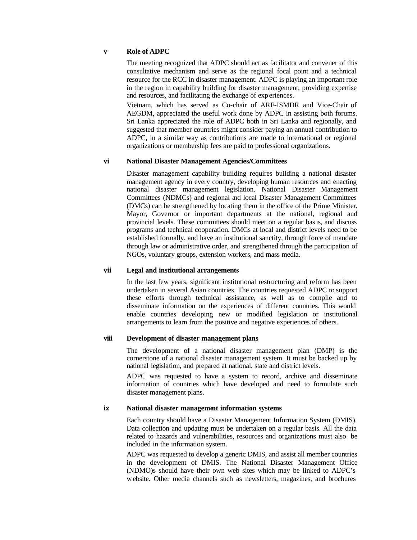## **v Role of ADPC**

The meeting recognized that ADPC should act as facilitator and convener of this consultative mechanism and serve as the regional focal point and a technical resource for the RCC in disaster management. ADPC is playing an important role in the region in capability building for disaster management, providing expertise and resources, and facilitating the exchange of exp eriences.

Vietnam, which has served as Co-chair of ARF-ISMDR and Vice-Chair of AEGDM, appreciated the useful work done by ADPC in assisting both forums. Sri Lanka appreciated the role of ADPC both in Sri Lanka and regionally, and suggested that member countries might consider paying an annual contribution to ADPC, in a similar way as contributions are made to international or regional organizations or membership fees are paid to professional organizations.

## **vi National Disaster Management Agencies/Committees**

Disaster management capability building requires building a national disaster management agency in every country, developing human resources and enacting national disaster management legislation. National Disaster Management Committees (NDMCs) and regional and local Disaster Management Committees (DMCs) can be strengthened by locating them in the office of the Prime Minister, Mayor, Governor or important departments at the national, regional and provincial levels. These committees should meet on a regular basis, and discuss programs and technical cooperation. DMCs at local and district levels need to be established formally, and have an institutional sanctity, through force of mandate through law or administrative order, and strengthened through the participation of NGOs, voluntary groups, extension workers, and mass media.

#### **vii Legal and institutional arrangements**

In the last few years, significant institutional restructuring and reform has been undertaken in several Asian countries. The countries requested ADPC to support these efforts through technical assistance, as well as to compile and to disseminate information on the experiences of different countries. This would enable countries developing new or modified legislation or institutional arrangements to learn from the positive and negative experiences of others.

#### **viii Development of disaster management plans**

The development of a national disaster management plan (DMP) is the cornerstone of a national disaster management system. It must be backed up by national legislation, and prepared at national, state and district levels.

ADPC was requested to have a system to record, archive and disseminate information of countries which have developed and need to formulate such disaster management plans.

#### **ix National disaster management information systems**

Each country should have a Disaster Management Information System (DMIS). Data collection and updating must be undertaken on a regular basis. All the data related to hazards and vulnerabilities, resources and organizations must also be included in the information system.

ADPC was requested to develop a generic DMIS, and assist all member countries in the development of DMIS. The National Disaster Management Office (NDMO)s should have their own web sites which may be linked to ADPC's website. Other media channels such as newsletters, magazines, and brochures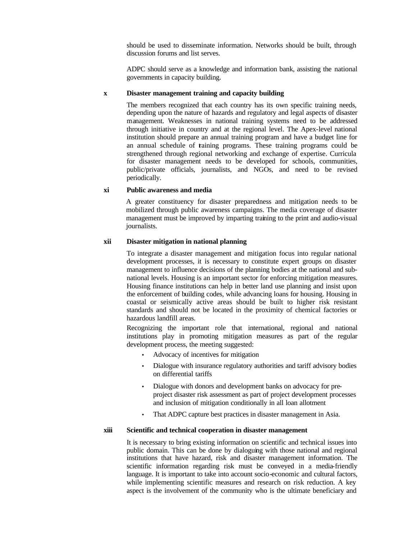should be used to disseminate information. Networks should be built, through discussion forums and list serves.

ADPC should serve as a knowledge and information bank, assisting the national governments in capacity building.

#### **x Disaster management training and capacity building**

The members recognized that each country has its own specific training needs, depending upon the nature of hazards and regulatory and legal aspects of disaster management. Weaknesses in national training systems need to be addressed through initiative in country and at the regional level. The Apex-level national institution should prepare an annual training program and have a budget line for an annual schedule of training programs. These training programs could be strengthened through regional networking and exchange of expertise. Curricula for disaster management needs to be developed for schools, communities, public/private officials, journalists, and NGOs, and need to be revised periodically.

#### **xi Public awareness and media**

A greater constituency for disaster preparedness and mitigation needs to be mobilized through public awareness campaigns. The media coverage of disaster management must be improved by imparting training to the print and audio-visual journalists.

#### **xii Disaster mitigation in national planning**

To integrate a disaster management and mitigation focus into regular national development processes, it is necessary to constitute expert groups on disaster management to influence decisions of the planning bodies at the national and subnational levels. Housing is an important sector for enforcing mitigation measures. Housing finance institutions can help in better land use planning and insist upon the enforcement of building codes, while advancing loans for housing. Housing in coastal or seismically active areas should be built to higher risk resistant standards and should not be located in the proximity of chemical factories or hazardous landfill areas.

Recognizing the important role that international, regional and national institutions play in promoting mitigation measures as part of the regular development process, the meeting suggested:

- Advocacy of incentives for mitigation
- Dialogue with insurance regulatory authorities and tariff advisory bodies on differential tariffs
- Dialogue with donors and development banks on advocacy for preproject disaster risk assessment as part of project development processes and inclusion of mitigation conditionally in all loan allotment
- That ADPC capture best practices in disaster management in Asia.

#### **xiii Scientific and technical cooperation in disaster management**

It is necessary to bring existing information on scientific and technical issues into public domain. This can be done by dialoguing with those national and regional institutions that have hazard, risk and disaster management information. The scientific information regarding risk must be conveyed in a media-friendly language. It is important to take into account socio-economic and cultural factors, while implementing scientific measures and research on risk reduction. A key aspect is the involvement of the community who is the ultimate beneficiary and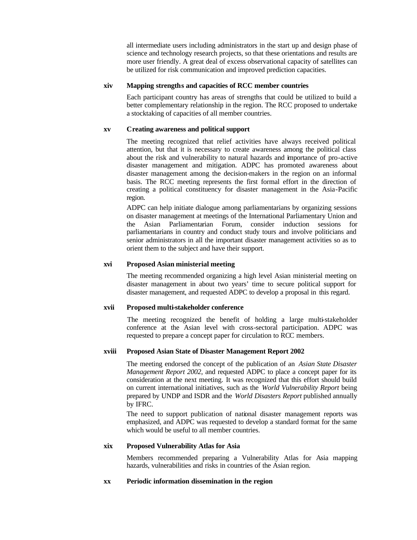all intermediate users including administrators in the start up and design phase of science and technology research projects, so that these orientations and results are more user friendly. A great deal of excess observational capacity of satellites can be utilized for risk communication and improved prediction capacities.

## **xiv Mapping strengths and capacities of RCC member countries**

Each participant country has areas of strengths that could be utilized to build a better complementary relationship in the region. The RCC proposed to undertake a stocktaking of capacities of all member countries.

## **xv Creating awareness and political support**

The meeting recognized that relief activities have always received political attention, but that it is necessary to create awareness among the political class about the risk and vulnerability to natural hazards and importance of pro-active disaster management and mitigation. ADPC has promoted awareness about disaster management among the decision-makers in the region on an informal basis. The RCC meeting represents the first formal effort in the direction of creating a political constituency for disaster management in the Asia-Pacific region.

ADPC can help initiate dialogue among parliamentarians by organizing sessions on disaster management at meetings of the International Parliamentary Union and the Asian Parliamentarian Forum, consider induction sessions for parliamentarians in country and conduct study tours and involve politicians and senior administrators in all the important disaster management activities so as to orient them to the subject and have their support.

# **xvi Proposed Asian ministerial meeting**

The meeting recommended organizing a high level Asian ministerial meeting on disaster management in about two years' time to secure political support for disaster management, and requested ADPC to develop a proposal in this regard.

## **xvii Proposed multi-stakeholder conference**

The meeting recognized the benefit of holding a large multi-stakeholder conference at the Asian level with cross-sectoral participation. ADPC was requested to prepare a concept paper for circulation to RCC members.

# **xviii Proposed Asian State of Disaster Management Report 2002**

The meeting endorsed the concept of the publication of an *Asian State Disaster Management Report 2002*, and requested ADPC to place a concept paper for its consideration at the next meeting. It was recognized that this effort should build on current international initiatives, such as the *World Vulnerability Report* being prepared by UNDP and ISDR and the *World Disasters Report* published annually by IFRC.

The need to support publication of national disaster management reports was emphasized, and ADPC was requested to develop a standard format for the same which would be useful to all member countries.

## **xix Proposed Vulnerability Atlas for Asia**

Members recommended preparing a Vulnerability Atlas for Asia mapping hazards, vulnerabilities and risks in countries of the Asian region.

## **xx Periodic information dissemination in the region**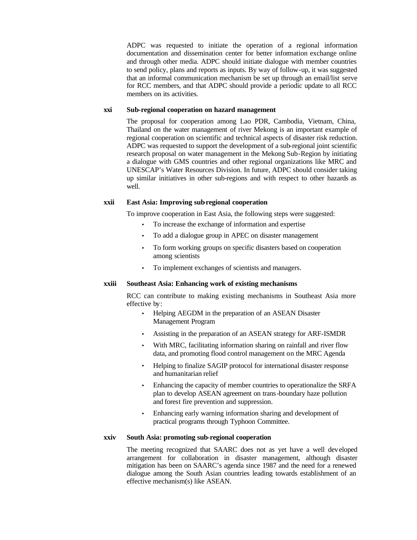ADPC was requested to initiate the operation of a regional information documentation and dissemination center for better information exchange online and through other media. ADPC should initiate dialogue with member countries to send policy, plans and reports as inputs. By way of follow-up, it was suggested that an informal communication mechanism be set up through an email/list serve for RCC members, and that ADPC should provide a periodic update to all RCC members on its activities.

#### **xxi Sub-regional cooperation on hazard management**

The proposal for cooperation among Lao PDR, Cambodia, Vietnam, China, Thailand on the water management of river Mekong is an important example of regional cooperation on scientific and technical aspects of disaster risk reduction. ADPC was requested to support the development of a sub-regional joint scientific research proposal on water management in the Mekong Sub-Region by initiating a dialogue with GMS countries and other regional organizations like MRC and UNESCAP's Water Resources Division. In future, ADPC should consider taking up similar initiatives in other sub-regions and with respect to other hazards as well.

# **xxii East Asia: Improving sub-regional cooperation**

To improve cooperation in East Asia, the following steps were suggested:

- To increase the exchange of information and expertise
- To add a dialogue group in APEC on disaster management
- To form working groups on specific disasters based on cooperation among scientists
- To implement exchanges of scientists and managers.

## **xxiii Southeast Asia: Enhancing work of existing mechanisms**

RCC can contribute to making existing mechanisms in Southeast Asia more effective by:

- Helping AEGDM in the preparation of an ASEAN Disaster Management Program
- Assisting in the preparation of an ASEAN strategy for ARF-ISMDR
- With MRC, facilitating information sharing on rainfall and river flow data, and promoting flood control management on the MRC Agenda
- Helping to finalize SAGIP protocol for international disaster response and humanitarian relief
- Enhancing the capacity of member countries to operationalize the SRFA plan to develop ASEAN agreement on trans-boundary haze pollution and forest fire prevention and suppression.
- Enhancing early warning information sharing and development of practical programs through Typhoon Committee.

## **xxiv South Asia: promoting sub-regional cooperation**

The meeting recognized that SAARC does not as yet have a well dev eloped arrangement for collaboration in disaster management, although disaster mitigation has been on SAARC's agenda since 1987 and the need for a renewed dialogue among the South Asian countries leading towards establishment of an effective mechanism(s) like ASEAN.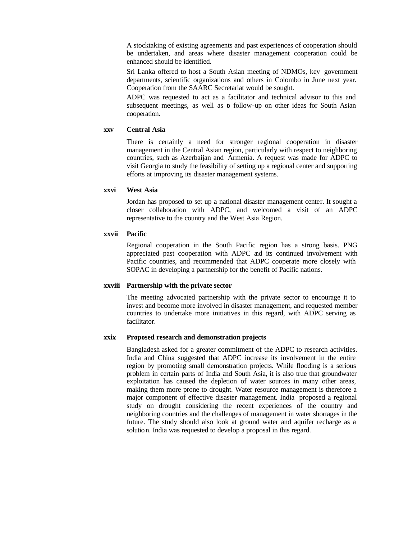A stocktaking of existing agreements and past experiences of cooperation should be undertaken, and areas where disaster management cooperation could be enhanced should be identified.

Sri Lanka offered to host a South Asian meeting of NDMOs, key government departments, scientific organizations and others in Colombo in June next year. Cooperation from the SAARC Secretariat would be sought.

ADPC was requested to act as a facilitator and technical advisor to this and subsequent meetings, as well as **b** follow-up on other ideas for South Asian cooperation.

#### **xxv Central Asia**

There is certainly a need for stronger regional cooperation in disaster management in the Central Asian region, particularly with respect to neighboring countries, such as Azerbaijan and Armenia. A request was made for ADPC to visit Georgia to study the feasibility of setting up a regional center and supporting efforts at improving its disaster management systems.

#### **xxvi West Asia**

Jordan has proposed to set up a national disaster management center. It sought a closer collaboration with ADPC, and welcomed a visit of an ADPC representative to the country and the West Asia Region.

#### **xxvii Pacific**

Regional cooperation in the South Pacific region has a strong basis. PNG appreciated past cooperation with ADPC and its continued involvement with Pacific countries, and recommended that ADPC cooperate more closely with SOPAC in developing a partnership for the benefit of Pacific nations.

#### **xxviii Partnership with the private sector**

The meeting advocated partnership with the private sector to encourage it to invest and become more involved in disaster management, and requested member countries to undertake more initiatives in this regard, with ADPC serving as facilitator.

#### **xxix Proposed research and demonstration projects**

Bangladesh asked for a greater commitment of the ADPC to research activities. India and China suggested that ADPC increase its involvement in the entire region by promoting small demonstration projects. While flooding is a serious problem in certain parts of India and South Asia, it is also true that groundwater exploitation has caused the depletion of water sources in many other areas, making them more prone to drought. Water resource management is therefore a major component of effective disaster management. India proposed a regional study on drought considering the recent experiences of the country and neighboring countries and the challenges of management in water shortages in the future. The study should also look at ground water and aquifer recharge as a solution. India was requested to develop a proposal in this regard.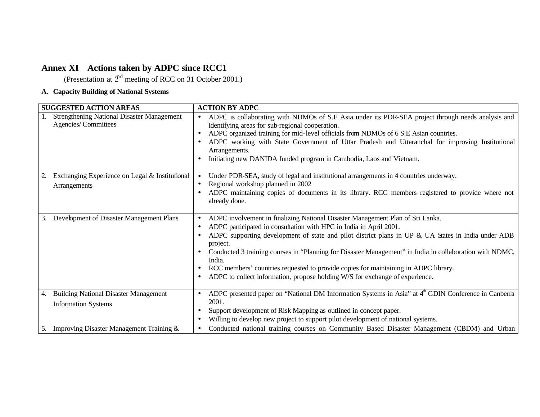# **Annex XI Actions taken by ADPC since RCC1**

(Presentation at  $2<sup>nd</sup>$  meeting of RCC on 31 October 2001.)

# **A. Capacity Building of National Systems**

| <b>SUGGESTED ACTION AREAS</b>                                                    | <b>ACTION BY ADPC</b>                                                                                                                                                                                                                                                                                                                                                                                                                                                                                                                                                           |
|----------------------------------------------------------------------------------|---------------------------------------------------------------------------------------------------------------------------------------------------------------------------------------------------------------------------------------------------------------------------------------------------------------------------------------------------------------------------------------------------------------------------------------------------------------------------------------------------------------------------------------------------------------------------------|
| <b>Strengthening National Disaster Management</b><br>Agencies/Committees         | ADPC is collaborating with NDMOs of S.E Asia under its PDR-SEA project through needs analysis and<br>$\bullet$<br>identifying areas for sub-regional cooperation.<br>ADPC organized training for mid-level officials from NDMOs of 6 S.E Asian countries.<br>ADPC working with State Government of Uttar Pradesh and Uttaranchal for improving Institutional<br>Arrangements.<br>Initiating new DANIDA funded program in Cambodia, Laos and Vietnam.                                                                                                                            |
| Exchanging Experience on Legal & Institutional<br>Arrangements                   | Under PDR-SEA, study of legal and institutional arrangements in 4 countries underway.<br>Regional workshop planned in 2002<br>ADPC maintaining copies of documents in its library. RCC members registered to provide where not<br>already done.                                                                                                                                                                                                                                                                                                                                 |
| Development of Disaster Management Plans<br>3.                                   | ADPC involvement in finalizing National Disaster Management Plan of Sri Lanka.<br>$\bullet$<br>ADPC participated in consultation with HPC in India in April 2001.<br>ADPC supporting development of state and pilot district plans in UP & UA States in India under ADB<br>project.<br>Conducted 3 training courses in "Planning for Disaster Management" in India in collaboration with NDMC,<br>India.<br>RCC members' countries requested to provide copies for maintaining in ADPC library.<br>ADPC to collect information, propose holding W/S for exchange of experience. |
| <b>Building National Disaster Management</b><br>4.<br><b>Information Systems</b> | ADPC presented paper on "National DM Information Systems in Asia" at 4 <sup>th</sup> GDIN Conference in Canberra<br>2001.<br>Support development of Risk Mapping as outlined in concept paper.<br>Willing to develop new project to support pilot development of national systems.                                                                                                                                                                                                                                                                                              |
| Improving Disaster Management Training &<br>5.                                   | Conducted national training courses on Community Based Disaster Management (CBDM) and Urban<br>$\bullet$                                                                                                                                                                                                                                                                                                                                                                                                                                                                        |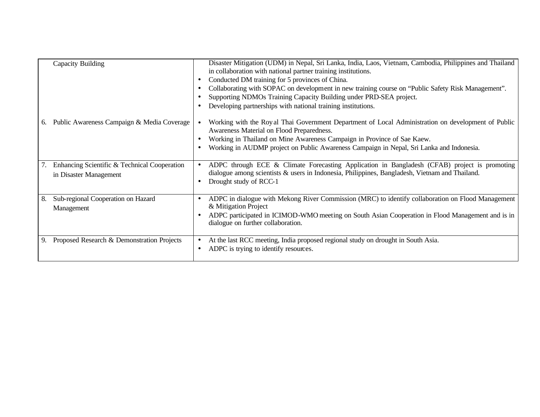|    | Capacity Building                                                      | Disaster Mitigation (UDM) in Nepal, Sri Lanka, India, Laos, Vietnam, Cambodia, Philippines and Thailand<br>in collaboration with national partner training institutions.<br>Conducted DM training for 5 provinces of China.<br>Collaborating with SOPAC on development in new training course on "Public Safety Risk Management".<br>Supporting NDMOs Training Capacity Building under PRD-SEA project.<br>Developing partnerships with national training institutions. |
|----|------------------------------------------------------------------------|-------------------------------------------------------------------------------------------------------------------------------------------------------------------------------------------------------------------------------------------------------------------------------------------------------------------------------------------------------------------------------------------------------------------------------------------------------------------------|
| 6. | Public Awareness Campaign & Media Coverage                             | Working with the Royal Thai Government Department of Local Administration on development of Public<br>Awareness Material on Flood Preparedness.<br>Working in Thailand on Mine Awareness Campaign in Province of Sae Kaew.<br>Working in AUDMP project on Public Awareness Campaign in Nepal, Sri Lanka and Indonesia.                                                                                                                                                  |
|    | Enhancing Scientific & Technical Cooperation<br>in Disaster Management | ADPC through ECE & Climate Forecasting Application in Bangladesh (CFAB) project is promoting<br>dialogue among scientists $\&$ users in Indonesia, Philippines, Bangladesh, Vietnam and Thailand.<br>Drought study of RCC-1                                                                                                                                                                                                                                             |
| 8. | Sub-regional Cooperation on Hazard<br>Management                       | ADPC in dialogue with Mekong River Commission (MRC) to identify collaboration on Flood Management<br>٠<br>& Mitigation Project<br>ADPC participated in ICIMOD-WMO meeting on South Asian Cooperation in Flood Management and is in<br>dialogue on further collaboration.                                                                                                                                                                                                |
|    | Proposed Research & Demonstration Projects                             | At the last RCC meeting, India proposed regional study on drought in South Asia.<br>ADPC is trying to identify resources.                                                                                                                                                                                                                                                                                                                                               |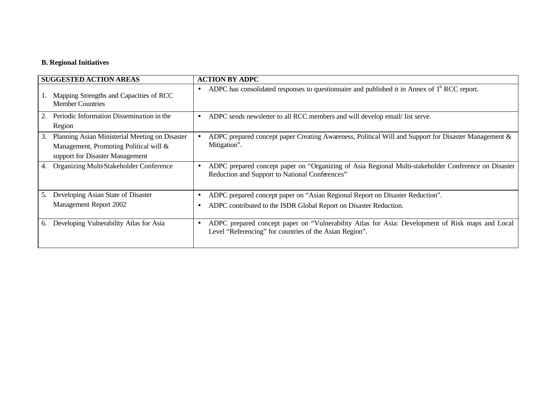# **B. Regional Initiatives**

| <b>SUGGESTED ACTION AREAS</b>                                                                                                     | <b>ACTION BY ADPC</b>                                                                                                                                       |
|-----------------------------------------------------------------------------------------------------------------------------------|-------------------------------------------------------------------------------------------------------------------------------------------------------------|
| Mapping Strengths and Capacities of RCC<br><b>Member Countries</b>                                                                | ADPC has consolidated responses to questionnaire and published it in Annex of $1st$ RCC report.<br>$\bullet$                                                |
| Periodic Information Dissemination in the<br>2.<br>Region                                                                         | ADPC sends newsletter to all RCC members and will develop email/list serve.<br>$\bullet$                                                                    |
| Planning Asian Ministerial Meeting on Disaster<br>3.<br>Management, Promoting Political will &<br>support for Disaster Management | ADPC prepared concept paper Creating Awareness, Political Will and Support for Disaster Management &<br>Mitigation".                                        |
| Organizing Multi-Stakeholder Conference<br>4.                                                                                     | ADPC prepared concept paper on "Organizing of Asia Regional Multi-stakeholder Conference on Disaster<br>Reduction and Support to National Conferences"      |
| Developing Asian State of Disaster<br>5.                                                                                          | ADPC prepared concept paper on "Asian Regional Report on Disaster Reduction".                                                                               |
| Management Report 2002                                                                                                            | ADPC contributed to the ISDR Global Report on Disaster Reduction.                                                                                           |
| Developing Vulnerability Atlas for Asia<br>6.                                                                                     | ADPC prepared concept paper on "Vulnerability Atlas for Asia: Development of Risk maps and Local<br>Level "Referencing" for countries of the Asian Region". |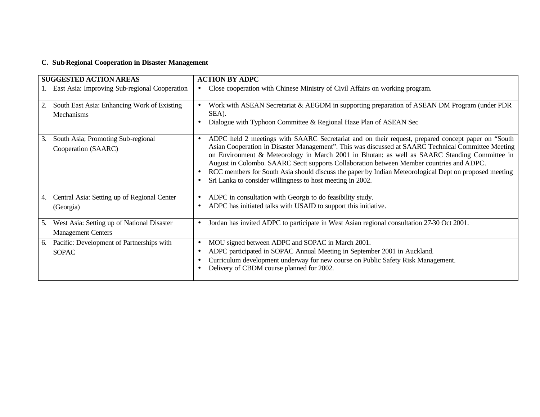# **C. Sub-Regional Cooperation in Disaster Management**

| <b>SUGGESTED ACTION AREAS</b>                                                 | <b>ACTION BY ADPC</b>                                                                                                                                                                                                                                                                                                                                                                                                                                                                                                                                                                          |
|-------------------------------------------------------------------------------|------------------------------------------------------------------------------------------------------------------------------------------------------------------------------------------------------------------------------------------------------------------------------------------------------------------------------------------------------------------------------------------------------------------------------------------------------------------------------------------------------------------------------------------------------------------------------------------------|
| East Asia: Improving Sub-regional Cooperation                                 | Close cooperation with Chinese Ministry of Civil Affairs on working program.<br>$\bullet$                                                                                                                                                                                                                                                                                                                                                                                                                                                                                                      |
| South East Asia: Enhancing Work of Existing<br>2.<br>Mechanisms               | Work with ASEAN Secretariat & AEGDM in supporting preparation of ASEAN DM Program (under PDR<br>SEA).<br>Dialogue with Typhoon Committee & Regional Haze Plan of ASEAN Sec                                                                                                                                                                                                                                                                                                                                                                                                                     |
| South Asia; Promoting Sub-regional<br>3.<br>Cooperation (SAARC)               | ADPC held 2 meetings with SAARC Secretariat and on their request, prepared concept paper on "South"<br>$\bullet$<br>Asian Cooperation in Disaster Management". This was discussed at SAARC Technical Committee Meeting<br>on Environment & Meteorology in March 2001 in Bhutan: as well as SAARC Standing Committee in<br>August in Colombo. SAARC Sectt supports Collaboration between Member countries and ADPC.<br>RCC members for South Asia should discuss the paper by Indian Meteorological Dept on proposed meeting<br>Sri Lanka to consider willingness to host meeting in 2002.<br>٠ |
| Central Asia: Setting up of Regional Center<br>4.<br>(Georgia)                | ADPC in consultation with Georgia to do feasibility study.<br>$\bullet$<br>ADPC has initiated talks with USAID to support this initiative.<br>$\bullet$                                                                                                                                                                                                                                                                                                                                                                                                                                        |
| West Asia: Setting up of National Disaster<br>5.<br><b>Management Centers</b> | Jordan has invited ADPC to participate in West Asian regional consultation 27-30 Oct 2001.<br>$\bullet$                                                                                                                                                                                                                                                                                                                                                                                                                                                                                        |
| Pacific: Development of Partnerships with<br>6.<br><b>SOPAC</b>               | MOU signed between ADPC and SOPAC in March 2001.<br>$\bullet$<br>ADPC participated in SOPAC Annual Meeting in September 2001 in Auckland.<br>$\bullet$<br>Curriculum development underway for new course on Public Safety Risk Management.<br>Delivery of CBDM course planned for 2002.                                                                                                                                                                                                                                                                                                        |